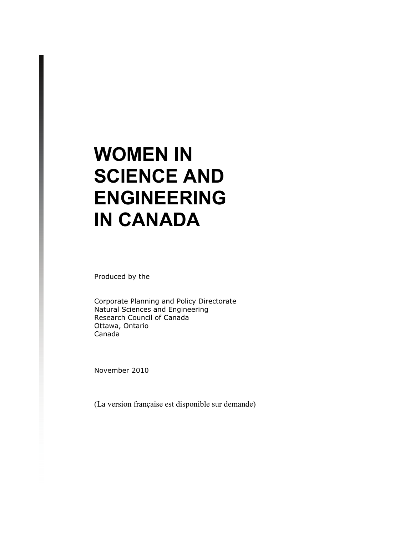# **WOMEN IN SCIENCE AND ENGINEERING IN CANADA**

Produced by the

 Corporate Planning and Policy Directorate Natural Sciences and Engineering Research Council of Canada Ottawa, Ontario Canada

November 2010

(La version française est disponible sur demande)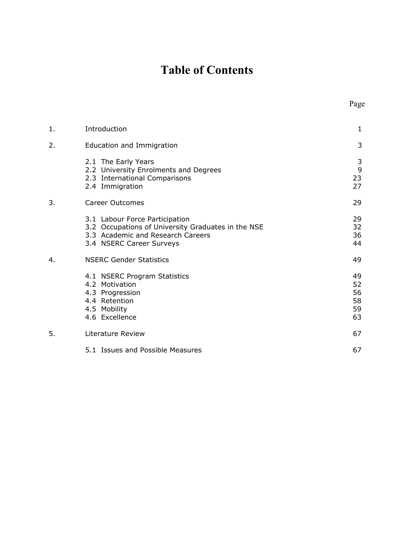## **Table of Contents**

| 1. | Introduction                                                                                                                                          | 1                                |
|----|-------------------------------------------------------------------------------------------------------------------------------------------------------|----------------------------------|
| 2. | Education and Immigration                                                                                                                             | 3                                |
|    | 2.1 The Early Years<br>2.2 University Enrolments and Degrees<br>2.3 International Comparisons<br>2.4 Immigration                                      | 3<br>9<br>23<br>27               |
| 3. | Career Outcomes                                                                                                                                       | 29                               |
|    | 3.1 Labour Force Participation<br>3.2 Occupations of University Graduates in the NSE<br>3.3 Academic and Research Careers<br>3.4 NSERC Career Surveys | 29<br>32<br>36<br>44             |
| 4. | <b>NSERC Gender Statistics</b>                                                                                                                        | 49                               |
|    | 4.1 NSERC Program Statistics<br>4.2 Motivation<br>4.3 Progression<br>4.4 Retention<br>4.5 Mobility<br>4.6 Excellence                                  | 49<br>52<br>56<br>58<br>59<br>63 |
| 5. | Literature Review                                                                                                                                     | 67                               |
|    | 5.1 Issues and Possible Measures                                                                                                                      | 67                               |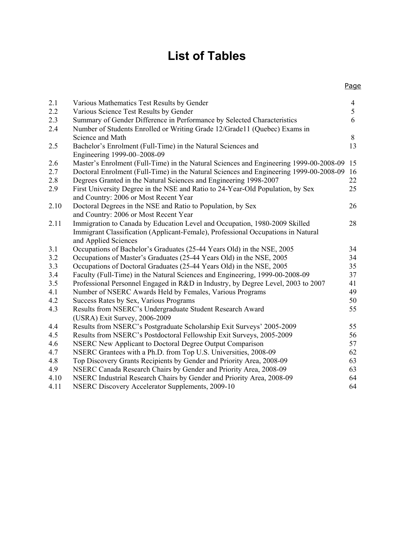## **List of Tables**

Page

| 2.1  | Various Mathematics Test Results by Gender                                             | $\overline{4}$ |
|------|----------------------------------------------------------------------------------------|----------------|
| 2.2  | Various Science Test Results by Gender                                                 | 5              |
| 2.3  | Summary of Gender Difference in Performance by Selected Characteristics                | 6              |
| 2.4  | Number of Students Enrolled or Writing Grade 12/Grade11 (Quebec) Exams in              |                |
|      | Science and Math                                                                       | 8              |
| 2.5  | Bachelor's Enrolment (Full-Time) in the Natural Sciences and                           | 13             |
|      | Engineering 1999-00-2008-09                                                            |                |
| 2.6  | Master's Enrolment (Full-Time) in the Natural Sciences and Engineering 1999-00-2008-09 | 15             |
| 2.7  | Doctoral Enrolment (Full-Time) in the Natural Sciences and Engineering 1999-00-2008-09 | 16             |
| 2.8  | Degrees Granted in the Natural Sciences and Engineering 1998-2007                      | 22             |
| 2.9  | First University Degree in the NSE and Ratio to 24-Year-Old Population, by Sex         | 25             |
|      | and Country: 2006 or Most Recent Year                                                  |                |
| 2.10 | Doctoral Degrees in the NSE and Ratio to Population, by Sex                            | 26             |
|      | and Country: 2006 or Most Recent Year                                                  |                |
| 2.11 | Immigration to Canada by Education Level and Occupation, 1980-2009 Skilled             | 28             |
|      | Immigrant Classification (Applicant-Female), Professional Occupations in Natural       |                |
|      | and Applied Sciences                                                                   |                |
| 3.1  | Occupations of Bachelor's Graduates (25-44 Years Old) in the NSE, 2005                 | 34             |
| 3.2  | Occupations of Master's Graduates (25-44 Years Old) in the NSE, 2005                   | 34             |
| 3.3  | Occupations of Doctoral Graduates (25-44 Years Old) in the NSE, 2005                   | 35             |
| 3.4  | Faculty (Full-Time) in the Natural Sciences and Engineering, 1999-00-2008-09           | 37             |
| 3.5  | Professional Personnel Engaged in R&D in Industry, by Degree Level, 2003 to 2007       | 41             |
| 4.1  | Number of NSERC Awards Held by Females, Various Programs                               | 49             |
| 4.2  | Success Rates by Sex, Various Programs                                                 | 50             |
| 4.3  | Results from NSERC's Undergraduate Student Research Award                              | 55             |
|      | (USRA) Exit Survey, 2006-2009                                                          |                |
| 4.4  | Results from NSERC's Postgraduate Scholarship Exit Surveys' 2005-2009                  | 55             |
| 4.5  | Results from NSERC's Postdoctoral Fellowship Exit Surveys, 2005-2009                   | 56             |
| 4.6  | NSERC New Applicant to Doctoral Degree Output Comparison                               | 57             |
| 4.7  | NSERC Grantees with a Ph.D. from Top U.S. Universities, 2008-09                        | 62             |
| 4.8  | Top Discovery Grants Recipients by Gender and Priority Area, 2008-09                   | 63             |
| 4.9  | NSERC Canada Research Chairs by Gender and Priority Area, 2008-09                      | 63             |
| 4.10 | NSERC Industrial Research Chairs by Gender and Priority Area, 2008-09                  | 64             |
|      |                                                                                        |                |

4.11 NSERC Discovery Accelerator Supplements, 2009-10 64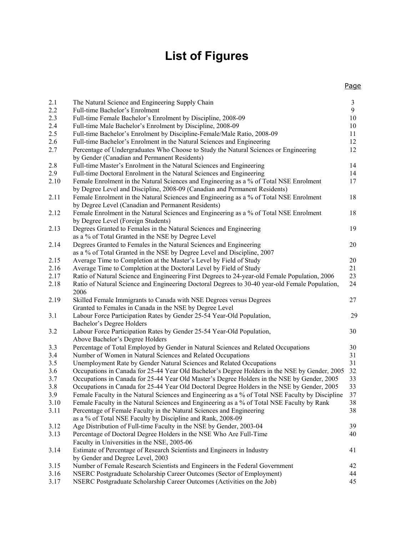## **List of Figures**

| 2.1  | The Natural Science and Engineering Supply Chain                                                 | $\mathfrak{Z}$ |
|------|--------------------------------------------------------------------------------------------------|----------------|
| 2.2  | Full-time Bachelor's Enrolment                                                                   | 9              |
| 2.3  | Full-time Female Bachelor's Enrolment by Discipline, 2008-09                                     | $10\,$         |
| 2.4  | Full-time Male Bachelor's Enrolment by Discipline, 2008-09                                       | 10             |
| 2.5  | Full-time Bachelor's Enrolment by Discipline-Female/Male Ratio, 2008-09                          | 11             |
| 2.6  | Full-time Bachelor's Enrolment in the Natural Sciences and Engineering                           | 12             |
| 2.7  | Percentage of Undergraduates Who Choose to Study the Natural Sciences or Engineering             | 12             |
|      | by Gender (Canadian and Permanent Residents)                                                     |                |
| 2.8  | Full-time Master's Enrolment in the Natural Sciences and Engineering                             | 14             |
| 2.9  | Full-time Doctoral Enrolment in the Natural Sciences and Engineering                             | 14             |
| 2.10 | Female Enrolment in the Natural Sciences and Engineering as a % of Total NSE Enrolment           | 17             |
|      | by Degree Level and Discipline, 2008-09 (Canadian and Permanent Residents)                       |                |
| 2.11 | Female Enrolment in the Natural Sciences and Engineering as a % of Total NSE Enrolment           | 18             |
|      | by Degree Level (Canadian and Permanent Residents)                                               |                |
| 2.12 | Female Enrolment in the Natural Sciences and Engineering as a % of Total NSE Enrolment           | 18             |
|      | by Degree Level (Foreign Students)                                                               |                |
| 2.13 | Degrees Granted to Females in the Natural Sciences and Engineering                               | 19             |
|      | as a % of Total Granted in the NSE by Degree Level                                               |                |
| 2.14 | Degrees Granted to Females in the Natural Sciences and Engineering                               | 20             |
|      | as a % of Total Granted in the NSE by Degree Level and Discipline, 2007                          |                |
| 2.15 | Average Time to Completion at the Master's Level by Field of Study                               | 20             |
| 2.16 | Average Time to Completion at the Doctoral Level by Field of Study                               | 21             |
| 2.17 | Ratio of Natural Science and Engineering First Degrees to 24-year-old Female Population, 2006    | 23             |
| 2.18 | Ratio of Natural Science and Engineering Doctoral Degrees to 30-40 year-old Female Population,   | 24             |
|      | 2006                                                                                             |                |
| 2.19 | Skilled Female Immigrants to Canada with NSE Degrees versus Degrees                              | 27             |
|      | Granted to Females in Canada in the NSE by Degree Level                                          |                |
| 3.1  | Labour Force Participation Rates by Gender 25-54 Year-Old Population,                            | 29             |
|      | Bachelor's Degree Holders                                                                        |                |
| 3.2  | Labour Force Participation Rates by Gender 25-54 Year-Old Population,                            | 30             |
|      | Above Bachelor's Degree Holders                                                                  |                |
| 3.3  | Percentage of Total Employed by Gender in Natural Sciences and Related Occupations               | 30             |
| 3.4  | Number of Women in Natural Sciences and Related Occupations                                      | 31             |
| 3.5  | Unemployment Rate by Gender Natural Sciences and Related Occupations                             | 31             |
| 3.6  | Occupations in Canada for 25-44 Year Old Bachelor's Degree Holders in the NSE by Gender, 2005    | 32             |
| 3.7  | Occupations in Canada for 25-44 Year Old Master's Degree Holders in the NSE by Gender, 2005      | 33             |
| 3.8  | Occupations in Canada for 25-44 Year Old Doctoral Degree Holders in the NSE by Gender, 2005      | 33             |
| 3.9  | Female Faculty in the Natural Sciences and Engineering as a % of Total NSE Faculty by Discipline | 37             |
| 3.10 | Female Faculty in the Natural Sciences and Engineering as a % of Total NSE Faculty by Rank       | 38             |
| 3.11 | Percentage of Female Faculty in the Natural Sciences and Engineering                             | 38             |
|      | as a % of Total NSE Faculty by Discipline and Rank, 2008-09                                      |                |
| 3.12 | Age Distribution of Full-time Faculty in the NSE by Gender, 2003-04                              | 39             |
| 3.13 | Percentage of Doctoral Degree Holders in the NSE Who Are Full-Time                               | 40             |
|      | Faculty in Universities in the NSE, 2005-06                                                      |                |
| 3.14 | Estimate of Percentage of Research Scientists and Engineers in Industry                          | 41             |
|      | by Gender and Degree Level, 2003                                                                 |                |
| 3.15 | Number of Female Research Scientists and Engineers in the Federal Government                     | 42             |
| 3.16 | NSERC Postgraduate Scholarship Career Outcomes (Sector of Employment)                            | 44             |
| 3.17 | NSERC Postgraduate Scholarship Career Outcomes (Activities on the Job)                           | 45             |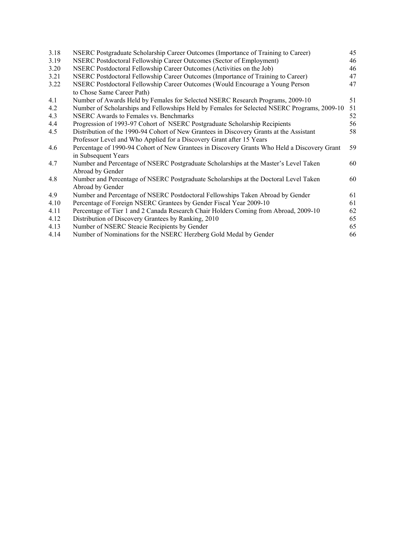| 3.18 | NSERC Postgraduate Scholarship Career Outcomes (Importance of Training to Career)                                  | 45 |
|------|--------------------------------------------------------------------------------------------------------------------|----|
| 3.19 | NSERC Postdoctoral Fellowship Career Outcomes (Sector of Employment)                                               | 46 |
| 3.20 | NSERC Postdoctoral Fellowship Career Outcomes (Activities on the Job)                                              | 46 |
| 3.21 | NSERC Postdoctoral Fellowship Career Outcomes (Importance of Training to Career)                                   | 47 |
| 3.22 | NSERC Postdoctoral Fellowship Career Outcomes (Would Encourage a Young Person                                      | 47 |
|      | to Chose Same Career Path)                                                                                         |    |
| 4.1  | Number of Awards Held by Females for Selected NSERC Research Programs, 2009-10                                     | 51 |
| 4.2  | Number of Scholarships and Fellowships Held by Females for Selected NSERC Programs, 2009-10                        | 51 |
| 4.3  | NSERC Awards to Females vs. Benchmarks                                                                             | 52 |
| 4.4  | Progression of 1993-97 Cohort of NSERC Postgraduate Scholarship Recipients                                         | 56 |
| 4.5  | Distribution of the 1990-94 Cohort of New Grantees in Discovery Grants at the Assistant                            | 58 |
|      | Professor Level and Who Applied for a Discovery Grant after 15 Years                                               |    |
| 4.6  | Percentage of 1990-94 Cohort of New Grantees in Discovery Grants Who Held a Discovery Grant<br>in Subsequent Years | 59 |
| 4.7  | Number and Percentage of NSERC Postgraduate Scholarships at the Master's Level Taken<br>Abroad by Gender           | 60 |
| 4.8  | Number and Percentage of NSERC Postgraduate Scholarships at the Doctoral Level Taken<br>Abroad by Gender           | 60 |
| 4.9  | Number and Percentage of NSERC Postdoctoral Fellowships Taken Abroad by Gender                                     | 61 |
| 4.10 | Percentage of Foreign NSERC Grantees by Gender Fiscal Year 2009-10                                                 | 61 |
| 4.11 | Percentage of Tier 1 and 2 Canada Research Chair Holders Coming from Abroad, 2009-10                               | 62 |
| 4.12 | Distribution of Discovery Grantees by Ranking, 2010                                                                | 65 |
| 4.13 | Number of NSERC Steacie Recipients by Gender                                                                       | 65 |
| 4.14 | Number of Nominations for the NSERC Herzberg Gold Medal by Gender                                                  | 66 |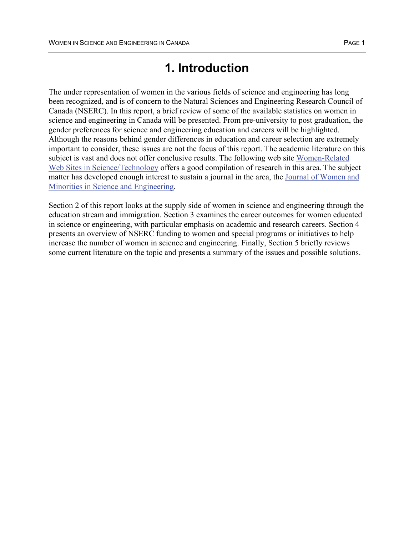## **1. Introduction**

The under representation of women in the various fields of science and engineering has long been recognized, and is of concern to the Natural Sciences and Engineering Research Council of Canada (NSERC). In this report, a brief review of some of the available statistics on women in science and engineering in Canada will be presented. From pre-university to post graduation, the gender preferences for science and engineering education and careers will be highlighted. Although the reasons behind gender differences in education and career selection are extremely important to consider, these issues are not the focus of this report. The academic literature on this subject is vast and does not offer conclusive results. The following web site Women-Related Web Sites in Science/Technology offers a good compilation of research in this area. The subject matter has developed enough interest to sustain a journal in the area, the Journal of Women and Minorities in Science and Engineering.

Section 2 of this report looks at the supply side of women in science and engineering through the education stream and immigration. Section 3 examines the career outcomes for women educated in science or engineering, with particular emphasis on academic and research careers. Section 4 presents an overview of NSERC funding to women and special programs or initiatives to help increase the number of women in science and engineering. Finally, Section 5 briefly reviews some current literature on the topic and presents a summary of the issues and possible solutions.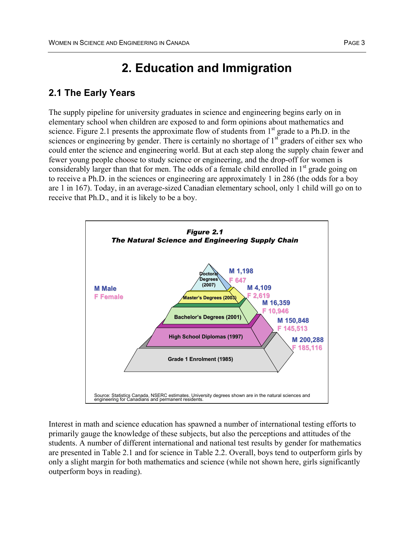## **2. Education and Immigration**

### **2.1 The Early Years**

The supply pipeline for university graduates in science and engineering begins early on in elementary school when children are exposed to and form opinions about mathematics and science. Figure 2.1 presents the approximate flow of students from 1<sup>st</sup> grade to a Ph.D. in the sciences or engineering by gender. There is certainly no shortage of  $1<sup>st</sup>$  graders of either sex who could enter the science and engineering world. But at each step along the supply chain fewer and fewer young people choose to study science or engineering, and the drop-off for women is considerably larger than that for men. The odds of a female child enrolled in  $1<sup>st</sup>$  grade going on to receive a Ph.D. in the sciences or engineering are approximately 1 in 286 (the odds for a boy are 1 in 167). Today, in an average-sized Canadian elementary school, only 1 child will go on to receive that Ph.D., and it is likely to be a boy.



Interest in math and science education has spawned a number of international testing efforts to primarily gauge the knowledge of these subjects, but also the perceptions and attitudes of the students. A number of different international and national test results by gender for mathematics are presented in Table 2.1 and for science in Table 2.2. Overall, boys tend to outperform girls by only a slight margin for both mathematics and science (while not shown here, girls significantly outperform boys in reading).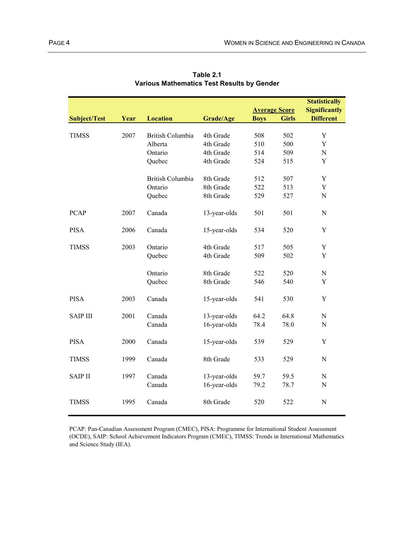|                     |      |                         |              |                      |              | <b>Statistically</b> |
|---------------------|------|-------------------------|--------------|----------------------|--------------|----------------------|
|                     |      |                         |              | <b>Average Score</b> |              | <b>Significantly</b> |
| <b>Subject/Test</b> | Year | <b>Location</b>         | Grade/Age    | <b>Boys</b>          | <b>Girls</b> | <b>Different</b>     |
|                     |      |                         |              |                      |              |                      |
| <b>TIMSS</b>        | 2007 | <b>British Columbia</b> | 4th Grade    | 508                  | 502          | $\mathbf Y$          |
|                     |      | Alberta                 | 4th Grade    | 510                  | 500          | Y                    |
|                     |      | Ontario                 | 4th Grade    | 514                  | 509          | ${\bf N}$            |
|                     |      | Quebec                  | 4th Grade    | 524                  | 515          | Y                    |
|                     |      |                         |              |                      |              |                      |
|                     |      | <b>British Columbia</b> | 8th Grade    | 512                  | 507          | Y                    |
|                     |      | Ontario                 | 8th Grade    | 522                  | 513          | Y                    |
|                     |      | Quebec                  | 8th Grade    | 529                  | 527          | ${\bf N}$            |
|                     |      |                         |              |                      |              |                      |
| <b>PCAP</b>         | 2007 | Canada                  | 13-year-olds | 501                  | 501          | ${\bf N}$            |
|                     |      |                         |              |                      |              |                      |
| <b>PISA</b>         | 2006 | Canada                  | 15-year-olds | 534                  | 520          | Y                    |
|                     |      |                         |              |                      |              |                      |
| <b>TIMSS</b>        | 2003 | Ontario                 | 4th Grade    | 517                  | 505          | Y                    |
|                     |      | Quebec                  | 4th Grade    | 509                  | 502          | Y                    |
|                     |      |                         |              |                      |              |                      |
|                     |      | Ontario                 | 8th Grade    | 522                  | 520          | ${\bf N}$            |
|                     |      | Quebec                  | 8th Grade    | 546                  | 540          | Y                    |
|                     |      |                         |              |                      |              |                      |
| <b>PISA</b>         | 2003 | Canada                  | 15-year-olds | 541                  | 530          | Y                    |
|                     |      |                         |              |                      |              |                      |
| <b>SAIP III</b>     | 2001 | Canada                  | 13-year-olds | 64.2                 | 64.8         | ${\bf N}$            |
|                     |      | Canada                  | 16-year-olds | 78.4                 | 78.0         | ${\bf N}$            |
| <b>PISA</b>         | 2000 | Canada                  |              |                      |              | Y                    |
|                     |      |                         | 15-year-olds | 539                  | 529          |                      |
| <b>TIMSS</b>        |      | Canada                  | 8th Grade    | 533                  |              | ${\bf N}$            |
|                     | 1999 |                         |              |                      | 529          |                      |
| <b>SAIP II</b>      | 1997 | Canada                  | 13-year-olds | 59.7                 | 59.5         | ${\bf N}$            |
|                     |      | Canada                  | 16-year-olds | 79.2                 | 78.7         | ${\bf N}$            |
|                     |      |                         |              |                      |              |                      |
| <b>TIMSS</b>        | 1995 | Canada                  | 8th Grade    | 520                  | 522          | N                    |
|                     |      |                         |              |                      |              |                      |
|                     |      |                         |              |                      |              |                      |

**Various Mathematics Test Results by Gender Table 2.1**

PCAP: Pan-Canadian Assessment Program (CMEC), PISA: Programme for International Student Assessment (OCDE), SAIP: School Achievement Indicators Program (CMEC), TIMSS: Trends in International Mathematics and Science Study (IEA).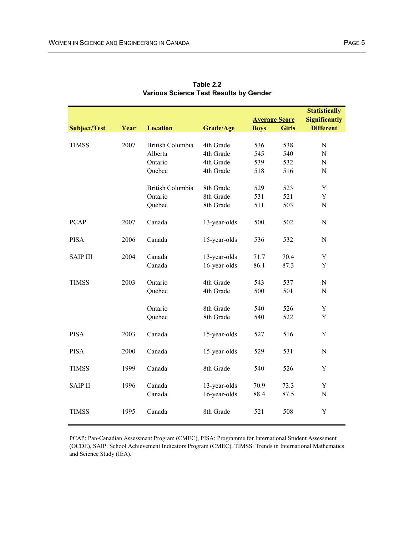|                     |      |                         |              |                      |              | <b>Statistically</b> |
|---------------------|------|-------------------------|--------------|----------------------|--------------|----------------------|
|                     |      |                         |              | <b>Average Score</b> |              | <b>Significantly</b> |
| <b>Subject/Test</b> | Year | <b>Location</b>         | Grade/Age    | <b>Boys</b>          | <b>Girls</b> | <b>Different</b>     |
|                     |      |                         |              |                      |              |                      |
| <b>TIMSS</b>        | 2007 | <b>British Columbia</b> | 4th Grade    | 536                  | 538          | $\mathbf N$          |
|                     |      | Alberta                 | 4th Grade    | 545                  | 540          | N                    |
|                     |      | Ontario                 | 4th Grade    | 539                  | 532          | ${\bf N}$            |
|                     |      | Quebec                  | 4th Grade    | 518                  | 516          | ${\bf N}$            |
|                     |      | <b>British Columbia</b> | 8th Grade    | 529                  | 523          | Y                    |
|                     |      | Ontario                 | 8th Grade    | 531                  | 521          | Y                    |
|                     |      | Quebec                  | 8th Grade    | 511                  | 503          | ${\bf N}$            |
| <b>PCAP</b>         | 2007 | Canada                  | 13-year-olds | 500                  | 502          | $\mathbf N$          |
| <b>PISA</b>         | 2006 | Canada                  | 15-year-olds | 536                  | 532          | N                    |
| <b>SAIP III</b>     | 2004 | Canada                  | 13-year-olds | 71.7                 | 70.4         | Y                    |
|                     |      | Canada                  | 16-year-olds | 86.1                 | 87.3         | Y                    |
| <b>TIMSS</b>        | 2003 | Ontario                 | 4th Grade    | 543                  | 537          | ${\bf N}$            |
|                     |      | Quebec                  | 4th Grade    | 500                  | 501          | ${\bf N}$            |
|                     |      | Ontario                 | 8th Grade    | 540                  | 526          | Y                    |
|                     |      | Quebec                  | 8th Grade    | 540                  | 522          | Y                    |
| <b>PISA</b>         | 2003 | Canada                  | 15-year-olds | 527                  | 516          | Y                    |
| <b>PISA</b>         | 2000 | Canada                  | 15-year-olds | 529                  | 531          | $\mathbf N$          |
| <b>TIMSS</b>        | 1999 | Canada                  | 8th Grade    | 540                  | 526          | Y                    |
| <b>SAIP II</b>      | 1996 | Canada                  | 13-year-olds | 70.9                 | 73.3         | Y                    |
|                     |      | Canada                  | 16-year-olds | 88.4                 | 87.5         | $\mathbf N$          |
| <b>TIMSS</b>        | 1995 | Canada                  | 8th Grade    | 521                  | 508          | Y                    |

| Table 2.2                                     |
|-----------------------------------------------|
| <b>Various Science Test Results by Gender</b> |

PCAP: Pan-Canadian Assessment Program (CMEC), PISA: Programme for International Student Assessment (OCDE), SAIP: School Achievement Indicators Program (CMEC), TIMSS: Trends in International Mathematics and Science Study (IEA).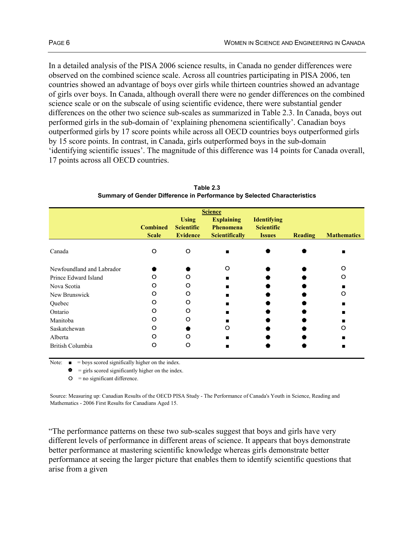In a detailed analysis of the PISA 2006 science results, in Canada no gender differences were observed on the combined science scale. Across all countries participating in PISA 2006, ten countries showed an advantage of boys over girls while thirteen countries showed an advantage of girls over boys. In Canada, although overall there were no gender differences on the combined science scale or on the subscale of using scientific evidence, there were substantial gender differences on the other two science sub-scales as summarized in Table 2.3. In Canada, boys out performed girls in the sub-domain of 'explaining phenomena scientifically'. Canadian boys outperformed girls by 17 score points while across all OECD countries boys outperformed girls by 15 score points. In contrast, in Canada, girls outperformed boys in the sub-domain 'identifying scientific issues'. The magnitude of this difference was 14 points for Canada overall, 17 points across all OECD countries.

|                           | <b>Science</b><br><b>Using</b><br><b>Explaining</b><br><b>Identifying</b> |                                      |                                           |                                    |                |                    |  |  |  |  |  |  |  |  |
|---------------------------|---------------------------------------------------------------------------|--------------------------------------|-------------------------------------------|------------------------------------|----------------|--------------------|--|--|--|--|--|--|--|--|
|                           | <b>Combined</b><br><b>Scale</b>                                           | <b>Scientific</b><br><b>Evidence</b> | <b>Phenomena</b><br><b>Scientifically</b> | <b>Scientific</b><br><b>Issues</b> | <b>Reading</b> | <b>Mathematics</b> |  |  |  |  |  |  |  |  |
| Canada                    | $\Omega$                                                                  | $\Omega$                             |                                           |                                    |                |                    |  |  |  |  |  |  |  |  |
| Newfoundland and Labrador |                                                                           |                                      | O                                         |                                    |                | O                  |  |  |  |  |  |  |  |  |
| Prince Edward Island      | O                                                                         | O                                    |                                           |                                    |                | O                  |  |  |  |  |  |  |  |  |
| Nova Scotia               | O                                                                         | O                                    |                                           |                                    |                |                    |  |  |  |  |  |  |  |  |
| New Brunswick             | ∩                                                                         | റ                                    |                                           |                                    |                | റ                  |  |  |  |  |  |  |  |  |
| Quebec                    | ∩                                                                         | റ                                    |                                           |                                    |                |                    |  |  |  |  |  |  |  |  |
| Ontario                   | O                                                                         | O                                    |                                           |                                    |                |                    |  |  |  |  |  |  |  |  |
| Manitoba                  | O                                                                         | റ                                    |                                           |                                    |                |                    |  |  |  |  |  |  |  |  |
| Saskatchewan              | ∩                                                                         |                                      | O                                         |                                    |                | റ                  |  |  |  |  |  |  |  |  |
| Alberta                   | റ                                                                         |                                      |                                           |                                    |                |                    |  |  |  |  |  |  |  |  |
| British Columbia          | റ                                                                         | ( )                                  |                                           |                                    |                |                    |  |  |  |  |  |  |  |  |

**Table 2.3 Summary of Gender Difference in Performance by Selected Characteristics**

Note:  $\blacksquare$  = boys scored significally higher on the index.

 $\bullet$  = girls scored significantly higher on the index.

 $O =$  no significant difference.

Source: Measuring up: Canadian Results of the OECD PISA Study - The Performance of Canada's Youth in Science, Reading and Mathematics - 2006 First Results for Canadians Aged 15.

"The performance patterns on these two sub-scales suggest that boys and girls have very different levels of performance in different areas of science. It appears that boys demonstrate better performance at mastering scientific knowledge whereas girls demonstrate better performance at seeing the larger picture that enables them to identify scientific questions that arise from a given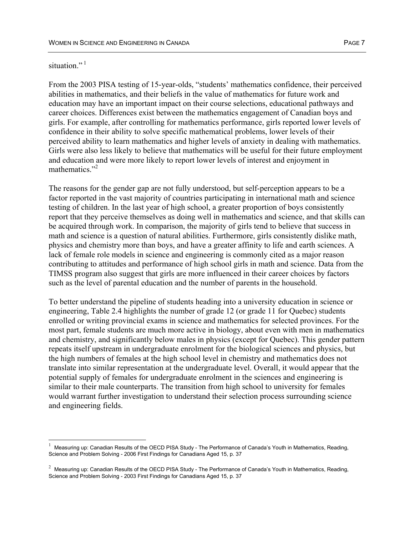#### situation $^{\cdot}$ <sup>1</sup>

 $\overline{a}$ 

From the 2003 PISA testing of 15-year-olds, "students' mathematics confidence, their perceived abilities in mathematics, and their beliefs in the value of mathematics for future work and education may have an important impact on their course selections, educational pathways and career choices. Differences exist between the mathematics engagement of Canadian boys and girls. For example, after controlling for mathematics performance, girls reported lower levels of confidence in their ability to solve specific mathematical problems, lower levels of their perceived ability to learn mathematics and higher levels of anxiety in dealing with mathematics. Girls were also less likely to believe that mathematics will be useful for their future employment and education and were more likely to report lower levels of interest and enjoyment in mathematics<sup>"2</sup>

The reasons for the gender gap are not fully understood, but self-perception appears to be a factor reported in the vast majority of countries participating in international math and science testing of children. In the last year of high school, a greater proportion of boys consistently report that they perceive themselves as doing well in mathematics and science, and that skills can be acquired through work. In comparison, the majority of girls tend to believe that success in math and science is a question of natural abilities. Furthermore, girls consistently dislike math, physics and chemistry more than boys, and have a greater affinity to life and earth sciences. A lack of female role models in science and engineering is commonly cited as a major reason contributing to attitudes and performance of high school girls in math and science. Data from the TIMSS program also suggest that girls are more influenced in their career choices by factors such as the level of parental education and the number of parents in the household.

To better understand the pipeline of students heading into a university education in science or engineering, Table 2.4 highlights the number of grade 12 (or grade 11 for Quebec) students enrolled or writing provincial exams in science and mathematics for selected provinces. For the most part, female students are much more active in biology, about even with men in mathematics and chemistry, and significantly below males in physics (except for Quebec). This gender pattern repeats itself upstream in undergraduate enrolment for the biological sciences and physics, but the high numbers of females at the high school level in chemistry and mathematics does not translate into similar representation at the undergraduate level. Overall, it would appear that the potential supply of females for undergraduate enrolment in the sciences and engineering is similar to their male counterparts. The transition from high school to university for females would warrant further investigation to understand their selection process surrounding science and engineering fields.

<sup>1</sup> Measuring up: Canadian Results of the OECD PISA Study - The Performance of Canada's Youth in Mathematics, Reading, Science and Problem Solving - 2006 First Findings for Canadians Aged 15, p. 37

 $^2$  Measuring up: Canadian Results of the OECD PISA Study - The Performance of Canada's Youth in Mathematics, Reading, Science and Problem Solving - 2003 First Findings for Canadians Aged 15, p. 37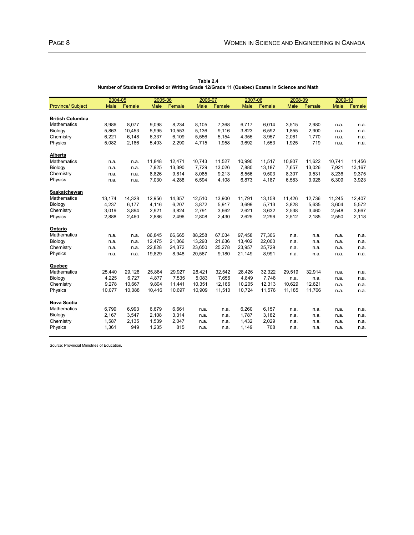|                          | 2004-05     |        | 2005-06 |        | 2006-07     |        | 2007-08 |        | 2008-09     |        | 2009-10     |        |
|--------------------------|-------------|--------|---------|--------|-------------|--------|---------|--------|-------------|--------|-------------|--------|
| <b>Province/ Subject</b> | <b>Male</b> | Female | Male    | Female | <b>Male</b> | Female | Male    | Female | <b>Male</b> | Female | <b>Male</b> | Female |
|                          |             |        |         |        |             |        |         |        |             |        |             |        |
| <b>British Columbia</b>  |             |        |         |        |             |        |         |        |             |        |             |        |
| <b>Mathematics</b>       | 8,986       | 8.077  | 9,098   | 8,234  | 8,105       | 7,368  | 6.717   | 6.014  | 3,515       | 2,980  | n.a.        | n.a.   |
| Biology                  | 5,863       | 10,453 | 5,995   | 10,553 | 5,136       | 9,116  | 3,823   | 6,592  | 1,855       | 2,900  | n.a.        | n.a.   |
| Chemistry                | 6,221       | 6,148  | 6,337   | 6,109  | 5,556       | 5,154  | 4,355   | 3,957  | 2,061       | 1,770  | n.a.        | n.a.   |
| Physics                  | 5,082       | 2,186  | 5,403   | 2,290  | 4,715       | 1,958  | 3,692   | 1,553  | 1,925       | 719    | n.a.        | n.a.   |
| Alberta                  |             |        |         |        |             |        |         |        |             |        |             |        |
| <b>Mathematics</b>       | n.a.        | n.a.   | 11,848  | 12,471 | 10,743      | 11,527 | 10,990  | 11,517 | 10,907      | 11,622 | 10,741      | 11,456 |
| Biology                  | n.a.        | n.a.   | 7,925   | 13,390 | 7,729       | 13,026 | 7,880   | 13,187 | 7,657       | 13,026 | 7,921       | 13,167 |
| Chemistry                | n.a.        | n.a.   | 8,826   | 9,814  | 8,085       | 9,213  | 8,556   | 9,503  | 8,307       | 9,531  | 8,236       | 9,375  |
| Physics                  | n.a.        | n.a.   | 7,030   | 4,288  | 6,594       | 4,108  | 6,873   | 4,187  | 6,583       | 3,926  | 6,309       | 3,923  |
| Saskatchewan             |             |        |         |        |             |        |         |        |             |        |             |        |
| <b>Mathematics</b>       | 13,174      | 14,328 | 12,956  | 14,357 | 12,510      | 13,900 | 11,791  | 13,158 | 11,426      | 12,736 | 11,245      | 12,407 |
| Biology                  | 4,237       | 6,177  | 4,116   | 6,207  | 3,872       | 5,917  | 3,699   | 5,713  | 3,828       | 5,635  | 3,604       | 5,572  |
| Chemistry                | 3,019       | 3,894  | 2,921   | 3,824  | 2,791       | 3,662  | 2,621   | 3,632  | 2,538       | 3,460  | 2,548       | 3,667  |
| Physics                  | 2,888       | 2,460  | 2,886   | 2,496  | 2,808       | 2,430  | 2,625   | 2,296  | 2,512       | 2,185  | 2,550       | 2,118  |
| Ontario                  |             |        |         |        |             |        |         |        |             |        |             |        |
| <b>Mathematics</b>       | n.a.        | n.a.   | 86,845  | 66.665 | 88,258      | 67,034 | 97,458  | 77,306 | n.a.        | n.a.   | n.a.        | n.a.   |
| Biology                  | n.a.        | n.a.   | 12.475  | 21.066 | 13.293      | 21,636 | 13,402  | 22,000 | n.a.        | n.a.   | n.a.        | n.a.   |
| Chemistry                | n.a.        | n.a.   | 22,828  | 24,372 | 23,650      | 25,278 | 23,957  | 25,729 | n.a.        | n.a.   | n.a.        | n.a.   |
| Physics                  | n.a.        | n.a.   | 19,829  | 8,948  | 20,567      | 9,180  | 21,149  | 8,991  | n.a.        | n.a.   | n.a.        | n.a.   |
| Quebec                   |             |        |         |        |             |        |         |        |             |        |             |        |
| <b>Mathematics</b>       | 25,440      | 29,128 | 25,864  | 29,927 | 28,421      | 32,542 | 28,426  | 32,322 | 29,519      | 32,914 | n.a.        | n.a.   |
| Biology                  | 4,225       | 6,727  | 4,877   | 7,535  | 5,083       | 7,656  | 4,849   | 7,748  | n.a.        | n.a.   | n.a.        | n.a.   |
| Chemistry                | 9,278       | 10.667 | 9.804   | 11.441 | 10,351      | 12.166 | 10.205  | 12.313 | 10.629      | 12.621 | n.a.        | n.a.   |
| Physics                  | 10,077      | 10,088 | 10,416  | 10.697 | 10,909      | 11,510 | 10,724  | 11,576 | 11,185      | 11,766 | n.a.        | n.a.   |
| <b>Nova Scotia</b>       |             |        |         |        |             |        |         |        |             |        |             |        |
| Mathematics              | 6,799       | 6,993  | 6,679   | 6,661  | n.a.        | n.a.   | 6,260   | 6,157  | n.a.        | n.a.   | n.a.        | n.a.   |
| Biology                  | 2.167       | 3,547  | 2,108   | 3,314  | n.a.        | n.a.   | 1,787   | 3,182  | n.a.        | n.a.   | n.a.        | n.a.   |
| Chemistry                | 1,587       | 2,135  | 1,539   | 2,047  | n.a.        | n.a.   | 1,432   | 2,029  | n.a.        | n.a.   | n.a.        | n.a.   |
| Physics                  | 1,361       | 949    | 1,235   | 815    | n.a.        | n.a.   | 1,149   | 708    | n.a.        | n.a.   | n.a.        | n.a.   |

**Table 2.4 Number of Students Enrolled or Writing Grade 12/Grade 11 (Quebec) Exams in Science and Math**

Source: Provincial Ministries of Education.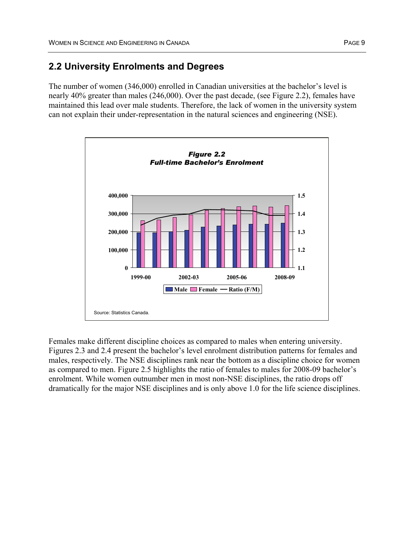## **2.2 University Enrolments and Degrees**

The number of women (346,000) enrolled in Canadian universities at the bachelor's level is nearly 40% greater than males (246,000). Over the past decade, (see Figure 2.2), females have maintained this lead over male students. Therefore, the lack of women in the university system can not explain their under-representation in the natural sciences and engineering (NSE).



Females make different discipline choices as compared to males when entering university. Figures 2.3 and 2.4 present the bachelor's level enrolment distribution patterns for females and males, respectively. The NSE disciplines rank near the bottom as a discipline choice for women as compared to men. Figure 2.5 highlights the ratio of females to males for 2008-09 bachelor's enrolment. While women outnumber men in most non-NSE disciplines, the ratio drops off dramatically for the major NSE disciplines and is only above 1.0 for the life science disciplines.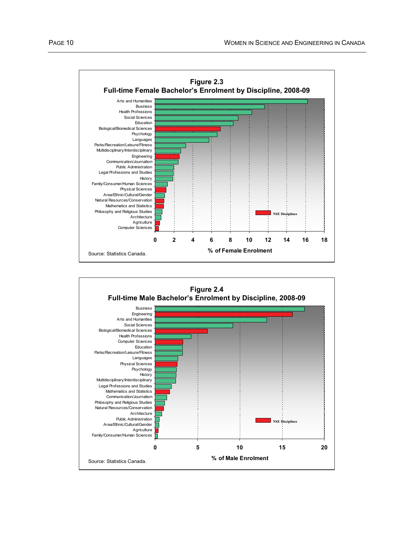

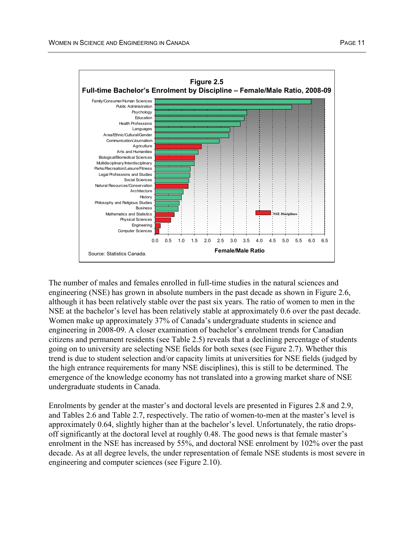

The number of males and females enrolled in full-time studies in the natural sciences and engineering (NSE) has grown in absolute numbers in the past decade as shown in Figure 2.6, although it has been relatively stable over the past six years. The ratio of women to men in the NSE at the bachelor's level has been relatively stable at approximately 0.6 over the past decade. Women make up approximately 37% of Canada's undergraduate students in science and engineering in 2008-09. A closer examination of bachelor's enrolment trends for Canadian citizens and permanent residents (see Table 2.5) reveals that a declining percentage of students going on to university are selecting NSE fields for both sexes (see Figure 2.7). Whether this trend is due to student selection and/or capacity limits at universities for NSE fields (judged by the high entrance requirements for many NSE disciplines), this is still to be determined. The emergence of the knowledge economy has not translated into a growing market share of NSE undergraduate students in Canada.

Enrolments by gender at the master's and doctoral levels are presented in Figures 2.8 and 2.9, and Tables 2.6 and Table 2.7, respectively. The ratio of women-to-men at the master's level is approximately 0.64, slightly higher than at the bachelor's level. Unfortunately, the ratio dropsoff significantly at the doctoral level at roughly 0.48. The good news is that female master's enrolment in the NSE has increased by 55%, and doctoral NSE enrolment by 102% over the past decade. As at all degree levels, the under representation of female NSE students is most severe in engineering and computer sciences (see Figure 2.10).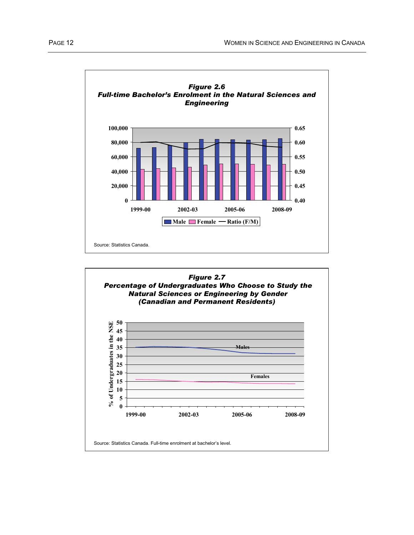

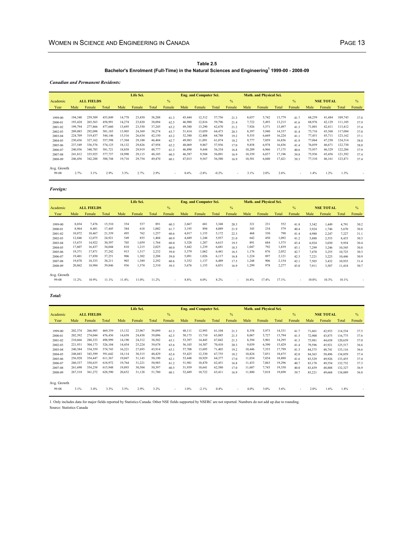#### **Table 2.5 Bachelor's Enrolment (Full-Time) in the Natural Sciences and Engineering<sup>1</sup> 1999-00 - 2008-09**

*Canadian and Permanent Residents:*

|             |         |                   |         |               | Life Sci. |        |               |        | <b>Eng. and Computer Sci.</b> |         |        | Math. and Physical Sci. |               |                  |        |        |        |         |        |
|-------------|---------|-------------------|---------|---------------|-----------|--------|---------------|--------|-------------------------------|---------|--------|-------------------------|---------------|------------------|--------|--------|--------|---------|--------|
| Academic    |         | <b>ALL FIELDS</b> |         | $\frac{0}{6}$ |           |        | $\frac{0}{0}$ |        |                               |         |        |                         | $\frac{0}{2}$ | <b>NSE TOTAL</b> |        | $\%$   |        |         |        |
| Year        | Male    | Female            | Total   | Male          | Female    | Total  | Female        | Male   | Female                        | Total   | Female | Male                    | Female        | Total            | Female | Male   | Female | Total   | Female |
|             |         |                   |         |               |           |        |               |        |                               |         |        |                         |               |                  |        |        |        |         |        |
| 1999-00     | 194,340 | 259,509           | 453,849 | 14,778        | 23,430    | 38,208 | 61.3          | 45,444 | 12,312                        | 57,756  | 21.3   | 8,037                   | 5,742         | 13,779           | 41.7   | 68,259 | 41,484 | 109,743 | 37.8   |
| 2000-01     | 193,428 | 265,563           | 458.991 | 14,274        | 23,820    | 38.094 | 62.5          | 46.980 | 12,816                        | 59,796  | 21.4   | 7,722                   | 5,493         | 13,215           | 41.6   | 68.976 | 42,129 | 111.105 | 37.9   |
| 2001-02     | 199.794 | 277,866           | 477.660 | 13,695        | 23,550    | 37,245 | 63.2          | 49.380 | 13,290                        | 62,670  | 21.2   | 7,926                   | 5,571         | 13.497           | 41.3   | 71,001 | 42,411 | 113.412 | 37.4   |
| 2002-03     | 209,085 | 292,098           | 501,183 | 13,905        | 24,369    | 38,274 | 63.7          | 51,414 | 13,059                        | 64,473  | 20.3   | 8,397                   | 5,940         | 14,337           | 414    | 73,716 | 43,368 | 117.084 | 37.0   |
| 2003-04     | 224,709 | 319,437           | 544,146 | 15,516        | 26,634    | 42,150 | 63.2          | 52,380 | 12,408                        | 64,788  | 19.2   | 9,555                   | 6,669         | 16,224           | 41.1   | 77,451 | 45,711 | 123,162 | 37.1   |
| 2004-05     | 230,436 | 327,162           | 557,598 | 17,304        | 29,100    | 46.404 | 62.7          | 49.983 | 11,091                        | 61,074  | 18.2   | 9.777                   | 7,059         | 16,836           | 41.9   | 77,064 | 47,250 | 124.314 | 38.0   |
| 2005-06     | 237,549 | 336,576           | 574.125 | 18,132        | 29,826    | 47.958 | 62.2          | 48.069 | 9.867                         | 57,936  | 17.0   | 9,858                   | 6.978         | 16.836           | 41.4   | 76,059 | 46,671 | 122,730 | 38.0   |
| 2006-07     | 240,936 | 340,785           | 581,721 | 18,858        | 29.919    | 48.777 | 61.3          | 46.890 | 9.444                         | 56,334  | 16.8   | 10,209                  | 6.966         | 17.175           | 40.6   | 75.957 | 46,329 | 122,286 | 37.9   |
| 2007-08     | 241,812 | 335,925           | 577,737 | 18,990        | 29.115    | 48.105 | 60.5          | 46.587 | 9,504                         | 56,091  | 16.9   | 10,359                  | 6,837         | 17.196           | 39.8   | 75,936 | 45,456 | 121,392 | 37.4   |
| 2008-09     | 246.456 | 342,288           | 588,744 | 19.716        | 29.754    | 49.470 | 60.1          | 47,013 | 9,567                         | 56,580  | 16.9   | 10,581                  | 6,840         | 17.421           | 39.3   | 77,310 | 46,161 | 123.471 | 37.4   |
| Avg. Growth |         |                   |         |               |           |        |               |        |                               |         |        |                         |               |                  |        |        |        |         |        |
| 99-08       | 2.7%    | 3.1%              | 2.9%    | 3.3%          | 2.7%      | 2.9%   | $\mathbf{r}$  | 0.4%   | $-2.8%$                       | $-0.2%$ |        | 3.1%                    | 2.0%          | 2.6%             | ٠      | 1.4%   | 1.2%   | 1.3%    |        |

#### *Foreign:*

|                      |        |                   |        |       | Life Sci. |       |               |               | <b>Eng. and Computer Sci.</b> |       |        |               | <b>Math. and Physical Sci.</b> |       |              |                  |        |               |        |
|----------------------|--------|-------------------|--------|-------|-----------|-------|---------------|---------------|-------------------------------|-------|--------|---------------|--------------------------------|-------|--------------|------------------|--------|---------------|--------|
| Academic             |        | <b>ALL FIELDS</b> |        |       |           |       | $\frac{0}{6}$ | $\frac{0}{0}$ |                               |       |        | $\frac{0}{2}$ |                                |       |              | <b>NSE TOTAL</b> |        | $\frac{0}{6}$ |        |
| Year                 | Male   | Female            | Total  | Male  | Female    | Total | Female        | Male          | Female                        | Total | Female | Male          | Female                         | Total | Female       | Male             | Female | Total         | Female |
|                      |        |                   |        |       |           |       |               |               |                               |       |        |               |                                |       |              |                  |        |               |        |
| 1999-00              | 8,034  | 7.476             | 15,510 | 354   | 537       | 891   | 60.3          | 2,667         | 681                           | 3,348 | 20.3   | 321           | 231                            | 552   | 41.8         | 3,342            | 1.449  | 4,791         | 30.2   |
| 2000-01              | 8,964  | 8.481             | 17.445 | 384   | 618       | 1.002 | 61.7          | 3,195         | 894                           | 4,089 | 21.9   | 345           | 234                            | 579   | 40.4         | 3.924            | 1,746  | 5,670         | 30.8   |
| 2001-02              | 10,872 | 10,467            | 21,339 | 495   | 762       | 1,257 | 60.6          | 4,017         | 1,155                         | 5,172 | 22.3   | 468           | 330                            | 798   | 41.4         | 4,980            | 2,247  | 7,227         | 31.1   |
| 2002-03              | 12,846 | 12,075            | 24.921 | 549   | 855       | 1.404 | 60.9          | 4.689         | 1.248                         | 5,937 | 21.0   | 642           | 450                            | 1.092 | 41.2         | 5,880            | 2,553  | 8,433         | 30.3   |
| 2003-04              | 15,675 | 14,922            | 30,597 | 705   | 1.059     | 1,764 | 60.0          | 5,328         | 1,287                         | 6,615 | 19.5   | 891           | 684                            | 1,575 | 43.4         | 6.924            | 3,030  | 9.954         | 30.4   |
| 2004-05              | 17,607 | 16,437            | 34,044 | 810   | 1.215     | 2,025 | 60.0          | 5,442         | 1,239                         | 6,681 | 18.5   | 1.047         | 792                            | 1,839 | 43.1         | 7,299            | 3,246  | 10,545        | 30.8   |
| 2005-06              | 19,371 | 17,871            | 37,242 | 915   | 1,317     | 2,232 | 59.0          | 5,379         | 1,062                         | 6,441 | 16.5   | 1.176         | 876                            | 2,052 | 42.7         | 7.470            | 3,255  | 10.725        | 30.3   |
| 2006-07              | 19,401 | 17,850            | 37,251 | 906   | 1,302     | 2,208 | 59.0          | 5,091         | 1,026                         | 6.117 | 16.8   | 1,224         | 897                            | 2,121 | 42.3         | 7,221            | 3,225  | 10,446        | 30.9   |
| 2007-08              | 19,878 | 18,333            | 38,211 | 903   | 1,389     | 2,292 | 60.6          | 5,352         | 1,137                         | 6.489 | 17.5   | 1,248         | 906                            | 2,154 | 42.1         | 7,503            | 3,432  | 10,935        | 31.4   |
| 2008-09              | 20,862 | 18,984            | 39,846 | 936   | 1.374     | 2,310 | 59.5          | 5,676         | 1,155                         | 6,831 | 16.9   | 1.299         | 978                            | 2,277 | 43.0         | 7,911            | 3,507  | 11.418        | 30.7   |
| Avg. Growth<br>99-08 | 11.2%  | 10.9%             | 11.1%  | 11.4% | 11.0%     | 11.2% | ۰.            | 8.8%          | 6.0%                          | 8.2%  | . .    | 16.8%         | 17.4%                          | 17.1% | $\mathbf{r}$ | 10.0%            | 10.3%  | 10.1%         |        |

#### *Total:*

|             |         |                   |         |               | Life Sci. |        |        |               | <b>Eng. and Computer Sci.</b> |        |        |               | <b>Math. and Physical Sci.</b> |        |        |                  |        |         |               |
|-------------|---------|-------------------|---------|---------------|-----------|--------|--------|---------------|-------------------------------|--------|--------|---------------|--------------------------------|--------|--------|------------------|--------|---------|---------------|
| Academic    |         | <b>ALL FIELDS</b> |         | $\frac{0}{6}$ |           |        |        | $\frac{0}{0}$ |                               |        |        | $\frac{0}{0}$ |                                |        |        | <b>NSE TOTAL</b> |        |         | $\frac{0}{0}$ |
| Year        | Male    | Female            | Total   | Male          | Female    | Total  | Female | Male          | Female                        | Total  | Female | Male          | Female                         | Total  | Female | Male             | Female | Total   | Female        |
|             |         |                   |         |               |           |        |        |               |                               |        |        |               |                                |        |        |                  |        |         |               |
| 1999-00     | 202,374 | 266,985           | 469,359 | 15,132        | 23,967    | 39,099 | 61.3   | 48,111        | 12,993                        | 61,104 | 21.3   | 8,358         | 5,973                          | 14,331 | 41.7   | 71,601           | 42,933 | 114,534 | 37.5          |
| 2000-01     | 202,392 | 274,044           | 476,436 | 14,658        | 24,438    | 39,096 | 62.5   | 50,175        | 13,710                        | 63,885 | 21.5   | 8,067         | 5,727                          | 13,794 | 41.5   | 72,900           | 43,875 | 116.775 | 37.6          |
| 2001-02     | 210,666 | 288,333           | 498,999 | 14,190        | 24,312    | 38,502 | 63.1   | 53,397        | 14,445                        | 67,842 | 21.3   | 8,394         | 5,901                          | 14,295 | 41.3   | 75,981           | 44,658 | 120,639 | 37.0          |
| 2002-03     | 221,931 | 304,173           | 526,104 | 14,454        | 25,224    | 39,678 | 63.6   | 56,103        | 14,307                        | 70,410 | 20.3   | 9,039         | 6,390                          | 15,429 | 41.4   | 79,596           | 45,921 | 125,517 | 36.6          |
| 2003-04     | 240,384 | 334.359           | 574.743 | 16,221        | 27,693    | 43.914 | 63.1   | 57,708        | 13.695                        | 71.403 | 19.2   | 10.446        | 7,353                          | 17,799 | 41.3   | 84,375           | 48,741 | 133,116 | 36.6          |
| 2004-05     | 248,043 | 343,599           | 591,642 | 18,114        | 30,315    | 48,429 | 62.6   | 55,425        | 12,330                        | 67,755 | 18.2   | 10,824        | 7,851                          | 18,675 | 42.0   | 84,363           | 50,496 | 134.859 | 37.4          |
| 2005-06     | 256,920 | 354,447           | 611,367 | 19,047        | 31,143    | 50,190 | 62.1   | 53,448        | 10,929                        | 64,377 | 17.0   | 11,034        | 7,854                          | 18,888 | 41.6   | 83,529           | 49,926 | 133,455 | 37.4          |
| 2006-07     | 260,337 | 358,635           | 618,972 | 19,764        | 31,221    | 50,985 | 61.2   | 51,981        | 10,470                        | 62,451 | 16.8   | 11,433        | 7,863                          | 19,296 | 40.7   | 83,178           | 49,554 | 132,732 | 37.3          |
| 2007-08     | 261,690 | 354,258           | 615,948 | 19,893        | 30,504    | 50,397 | 60.5   | 51,939        | 10,641                        | 62,580 | 17.0   | 11,607        | 7,743                          | 19,350 | 40.0   | 83,439           | 48,888 | 132,327 | 36.9          |
| 2008-09     | 267,318 | 361,272           | 628,590 | 20,652        | 31,128    | 51,780 | 60.1   | 52,689        | 10,722                        | 63,411 | 16.9   | 11,880        | 7,818                          | 19,698 | 39.7   | 85,221           | 49,668 | 134,889 | 36.8          |
|             |         |                   |         |               |           |        |        |               |                               |        |        |               |                                |        |        |                  |        |         |               |
| Avg. Growth |         |                   |         |               |           |        |        |               |                               |        |        |               |                                |        |        |                  |        |         |               |
| 99-08       | 3.1%    | 3.4%              | 3.3%    | 3.5%          | 2.9%      | 3.2%   | ٠      | 1.0%          | $-2.1%$                       | 0.4%   | ۰.     | 4.0%          | 3.0%                           | 3.6%   |        | 2.0%             | 1.6%   | 1.8%    |               |
|             |         |                   |         |               |           |        |        |               |                               |        |        |               |                                |        |        |                  |        |         |               |

1. Only includes data for major fields reported by Statistics Canada. Other NSE fields supported by NSERC are not reported. Numbers do not add up due to rounding. Source: Statistics Canada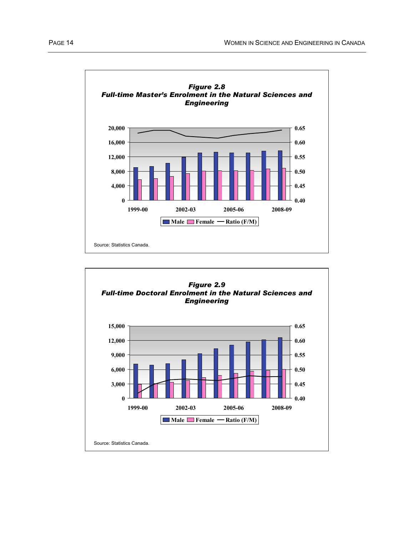

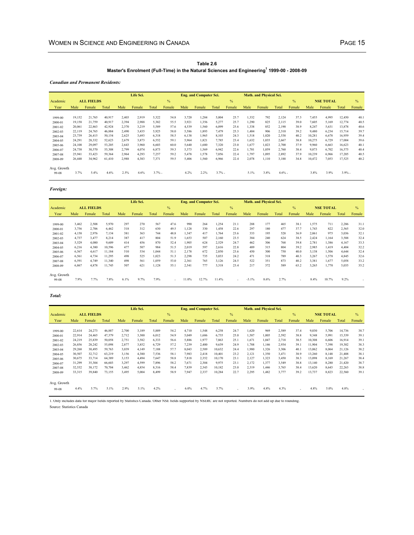#### **Table 2.6 Master's Enrolment (Full-Time) in the Natural Sciences and Engineering1 1999-00 - 2008-09**

*Canadian and Permanent Residents:*

|             |        |                   |        |       | Life Sci. |           |               |       | <b>Eng. and Computer Sci.</b> |          |               |       | <b>Math. and Physical Sci.</b> |          |               |        |                  |           |               |
|-------------|--------|-------------------|--------|-------|-----------|-----------|---------------|-------|-------------------------------|----------|---------------|-------|--------------------------------|----------|---------------|--------|------------------|-----------|---------------|
| Academic    |        | <b>ALL FIELDS</b> |        |       |           |           | $\frac{0}{6}$ |       |                               |          | $\frac{0}{0}$ |       |                                |          | $\frac{0}{2}$ |        | <b>NSE TOTAL</b> |           | $\frac{0}{6}$ |
| Year        | Male   | Female            | Total  | Male  | Female    | Total     | Female        | Male  | Female                        | Total    | Female        | Male  | Female                         | Total    | Female        | Male   | Female           | Total     | Female        |
|             |        |                   |        |       |           |           |               |       |                               |          |               |       |                                |          |               |        |                  |           |               |
| 1999-00     | 19,152 | 21,765            | 40.917 | 2,403 | 2.919     | 5,322     | 54.8          | 3,720 | 1,284                         | 5.004    | 25.7          | 1,332 | 792                            | 2,124    | 37.3          | 7,455  | 4,995            | 12,450    | 40.1          |
| 2000-01     | 19.158 | 21,759            | 40.917 | 2.394 | 2.988     | 5.382     | 55.5          | 3.921 | 1.356                         | 5,277    | 25.7          | 1.290 | 825                            | 2,115    | 39.0          | 7.605  | 5,169            | 12,774    | 40.5          |
| 2001-02     | 20,061 | 22,863            | 42,924 | 2,370 | 3,219     | 5,589     | 57.6          | 4,539 | 1.560                         | 6,099    | 25.6          | 1,338 | 852                            | 2,190    | 38.9          | 8.247  | 5,631            | 13,878    | 40.6          |
| 2002-03     | 22,119 | 24,765            | 46,884 | 2,490 | 3,435     | 5,925     | 58.0          | 5,586 | 1.893                         | 7,479    | 25.3          | 1.404 | 906                            | 2,310    | 39.2          | 9,480  | 6,234            | 15,714    | 39.7          |
| 2003-04     | 23,739 | 26,415            | 50,154 | 2.625 | 3.693     | 6,318     | 58.5          | 6,138 | 1.965                         | 8.103    | 24.3          | 1,518 | 1.020                          | 2,538    | 40.2          | 10,281 | 6,678            | 16.959    | 39.4          |
| 2004-05     | 24,291 | 28,332            | 52,623 | 2,679 | 3.873     | 6,552     | 59.1          | 5,964 | 1.821                         | 7.785    | 23.4          | 1.632 | 1,035                          | 2.667    | 38.8          | 10.275 | 6,729            | 17,004    | 39.6          |
| 2005-06     | 24,108 | 29,097            | 53,205 | 2,643 | 3.960     | 6.603     | 60.0          | 5,640 | 1.680                         | 7.320    | 23.0          | 1.677 | 1.023                          | 2,700    | 37.9          | 9.960  | 6,663            | 16,623    | 40.1          |
| 2006-07     | 24,738 | 30,570            | 55,308 | 2,799 | 4,074     | 6,873     | 59.3          | 5,373 | 1,569                         | 6.942    | 22.6          | 1.701 | 1.059                          | 2,760    | 38.4          | 9,873  | 6,702            | 16,575    | 40.4          |
| 2007-08     | 25,941 | 33,423            | 59,364 | 2,964 | 4,293     | 7.257     | 59.2          | 5.478 | 1.578                         | 7.056    | 22.4          | 1.797 | 1.095                          | 2.892    | 37.9          | 10.239 | 6.966            | 17,205    | 40.5          |
| 2008-09     | 26,448 | 34,962            | 61,410 | 2,988 | 4,383     | 7,371     | 59.5          | 5,406 | 1,560                         | 6,966    | 22.4          | 2,078 | 1,110                          | 3,188    | 34.8          | 10,472 | 7,053            | 17,525    | 40.2          |
| Avg. Growth |        |                   |        |       |           |           |               |       |                               |          |               |       |                                |          |               |        |                  |           |               |
| 99-08       | 3.7%   | 5.4%              | 4.6%   | 2.5%  | 4.6%      | $3.7\%$ - |               | 4.2%  | 2.2%                          | $3.7%$ . |               | 5.1%  | 3.8%                           | $4.6%$ . |               | 3.8%   | 3.9%             | $3.9\%$ - |               |

#### *Foreign:*

|             |       |                   |        |      | Life Sci. |       |               |       | <b>Eng. and Computer Sci.</b> |       |               |         | <b>Math. and Physical Sci.</b> |       |               |       |                  |       |               |
|-------------|-------|-------------------|--------|------|-----------|-------|---------------|-------|-------------------------------|-------|---------------|---------|--------------------------------|-------|---------------|-------|------------------|-------|---------------|
| Academic    |       | <b>ALL FIELDS</b> |        |      |           |       | $\frac{0}{6}$ |       |                               |       | $\frac{0}{0}$ |         |                                |       | $\frac{0}{2}$ |       | <b>NSE TOTAL</b> |       | $\frac{0}{6}$ |
| Year        | Male  | Female            | Total  | Male | Female    | Total | Female        | Male  | Female                        | Total | Female        | Male    | Female                         | Total | Female        | Male  | Female           | Total | Female        |
|             |       |                   |        |      |           |       |               |       |                               |       |               |         |                                |       |               |       |                  |       |               |
| 1999-00     | 3,462 | 2,508             | 5,970  | 297  | 270       | 567   | 47.6          | 990   | 264                           | 1.254 | 21.1          | 288     | 177                            | 465   | 38.1          | 1,575 | 711              | 2,286 | 31.1          |
| 2000-01     | 3,756 | 2,706             | 6.462  | 318  | 312       | 630   | 49.5          | 1.128 | 330                           | 1.458 | 22.6          | 297     | 180                            | 477   | 37.7          | 1,743 | 822              | 2,565 | 32.0          |
| 2001-02     | 4,158 | 2,976             | 7,134  | 381  | 363       | 744   | 48.8          | 1,347 | 417                           | 1,764 | 23.6          | 333     | 195                            | 528   | 36.9          | 2,061 | 975              | 3,036 | 32.1          |
| 2002-03     | 4,737 | 3.477             | 8.214  | 387  | 417       | 804   | 51.9          | 1.653 | 507                           | 2.160 | 23.5          | 384     | 240                            | 624   | 38.5          | 2.424 | 1,164            | 3,588 | 32.4          |
| 2003-04     | 5,529 | 4,080             | 9,609  | 414  | 456       | 870   | 52.4          | 1.905 | 624                           | 2,529 | 24.7          | 462     | 306                            | 768   | 39.8          | 2,781 | 1,386            | 4,167 | 33.3          |
| 2004-05     | 6,216 | 4,380             | 10,596 | 477  | 507       | 984   | 51.5          | 2,019 | 597                           | 2,616 | 22.8          | 489     | 315                            | 804   | 39.2          | 2,985 | 1,419            | 4,404 | 32.2          |
| 2005-06     | 6,567 | 4,617             | 11,184 | 510  | 534       | .044  | 51.1          | 2,178 | 672                           | 2,850 | 23.6          | 450     | 300                            | 750   | 40.0          | 3,138 | 1,506            | 4,644 | 32.4          |
| 2006-07     | 6,561 | 4,734             | 11,295 | 498  | 525       | 1.023 | 51.3          | 2,298 | 735                           | 3,033 | 24.2          | 471     | 318                            | 789   | 40.3          | 3,267 | 1,578            | 4,845 | 32.6          |
| 2007-08     | 6,591 | 4,749             | 11,340 | 498  | 561       | 1.059 | 53.0          | 2,361 | 765                           | 3,126 | 24.5          | 522     | 351                            | 873   | 40.2          | 3,381 | 1,677            | 5,058 | 33.2          |
| 2008-09     | 6,867 | 4,878             | 11,745 | 507  | 621       | 1.128 | 55.1          | 2,541 | 777                           | 3,318 | 23.4          | 217     | 372                            | 589   | 63.2          | 3,265 | 1,770            | 5,035 | 35.2          |
| Avg. Growth |       |                   |        |      |           |       |               |       |                               |       |               |         |                                |       |               |       |                  |       |               |
| 99-08       | 7.9%  | 7.7%              | 7.8%   | 6.1% | 9.7%      | 7.9%  |               | 11.0% | 12.7%                         | 11.4% | ÷.            | $-3.1%$ | 8.6%                           | 2.7%  | ٠             | 8.4%  | 10.7%            | 9.2%  |               |

*Total:*

|             |        |                   |        |       | Life Sci. |       |               |       | <b>Eng. and Computer Sci.</b> |        |               |       | <b>Math. and Physical Sci.</b> |       |               |        |                  |        |        |
|-------------|--------|-------------------|--------|-------|-----------|-------|---------------|-------|-------------------------------|--------|---------------|-------|--------------------------------|-------|---------------|--------|------------------|--------|--------|
| Academic    |        | <b>ALL FIELDS</b> |        |       |           |       | $\frac{9}{6}$ |       |                               |        | $\frac{0}{0}$ |       |                                |       | $\frac{0}{0}$ |        | <b>NSE TOTAL</b> |        | $\%$   |
| Year        | Male   | Female            | Total  | Male  | Female    | Total | Female        | Male  | Female                        | Total  | Female        | Male  | Female                         | Total | Female        | Male   | Female           | Total  | Female |
|             |        |                   |        |       |           |       |               |       |                               |        |               |       |                                |       |               |        |                  |        |        |
| 1999-00     | 22,614 | 24,273            | 46,887 | 2,700 | 3.189     | 5,889 | 54.2          | 4,710 | 1,548                         | 6,258  | 24.7          | 1,620 | 969                            | 2,589 | 37.4          | 9,030  | 5,706            | 14,736 | 38.7   |
| 2000-01     | 22,914 | 24,465            | 47,379 | 2,712 | 3,300     | 6,012 | 54.9          | 5,049 | 1,686                         | 6,735  | 25.0          | 1,587 | 1,005                          | 2,592 | 38.8          | 9,348  | 5,991            | 15,339 | 39.1   |
| 2001-02     | 24,219 | 25,839            | 50,058 | 2,751 | 3,582     | 6,333 | 56.6          | 5,886 | 1.977                         | 7.863  | 25.1          | 1.671 | 1.047                          | 2,718 | 38.5          | 10,308 | 6,606            | 16.914 | 39.1   |
| 2002-03     | 26,856 | 28,242            | 55,098 | 2,877 | 3,852     | 6,729 | 57.2          | 7,239 | 2,400                         | 9,639  | 24.9          | 1,788 | 1,146                          | 2,934 | 39.1          | 11,904 | 7,398            | 19,302 | 38.3   |
| 2003-04     | 29,268 | 30.495            | 59,763 | 3,039 | 4.149     | 7.188 | 57.7          | 8.043 | 2,589                         | 10.632 | 24.4          | 1.980 | 1,326                          | 3,306 | 40.1          | 13,062 | 8,064            | 21,126 | 38.2   |
| 2004-05     | 30,507 | 32.712            | 63.219 | 3,156 | 4.380     | 7.536 | 58.1          | 7.983 | 2.418                         | 10.401 | 23.2          | 2,121 | 1.350                          | 3.471 | 38.9          | 13.260 | 8,148            | 21.408 | 38.1   |
| 2005-06     | 30,675 | 33,714            | 64,389 | 3,153 | 4,494     | 7,647 | 58.8          | 7,818 | 2,352                         | 10,170 | 23.1          | 2,127 | 1,323                          | 3,450 | 38.3          | 13,098 | 8,169            | 21,267 | 38.4   |
| 2006-07     | 31,299 | 35,304            | 66,603 | 3,297 | 4,599     | 7,896 | 58.2          | 7,671 | 2,304                         | 9,975  | 23.1          | 2,172 | 1.377                          | 3,549 | 38.8          | 13,140 | 8,280            | 21,420 | 38.7   |
| 2007-08     | 32,532 | 38,172            | 70,704 | 3,462 | 4,854     | 8,316 | 58.4          | 7,839 | 2,343                         | 10,182 | 23.0          | 2,319 | 1.446                          | 3,765 | 38.4          | 13,620 | 8,643            | 22,263 | 38.8   |
| 2008-09     | 33,315 | 39,840            | 73,155 | 3,495 | 5,004     | 8,499 | 58.9          | 7,947 | 2,337                         | 10,284 | 22.7          | 2,295 | 1,482                          | 3,777 | 39.2          | 13,737 | 8,823            | 22,560 | 39.1   |
| Avg. Growth |        |                   |        |       |           |       |               |       |                               |        |               |       |                                |       |               |        |                  |        |        |
| 99-08       | 4.4%   | 5.7%              | 5.1%   | 2.9%  | 5.1%      | 4.2%  |               | 6.0%  | 4.7%                          | 5.7%   | $\sim$        | 3.9%  | 4.8%                           | 4.3%  | ٠             | 4.8%   | 5.0%             | 4.8%   |        |

1. Only includes data for major fields reported by Statistics Canada. Other NSE fields supported by NSERC are not reported. Numbers do not add up due to rounding.

Source: Statistics Canada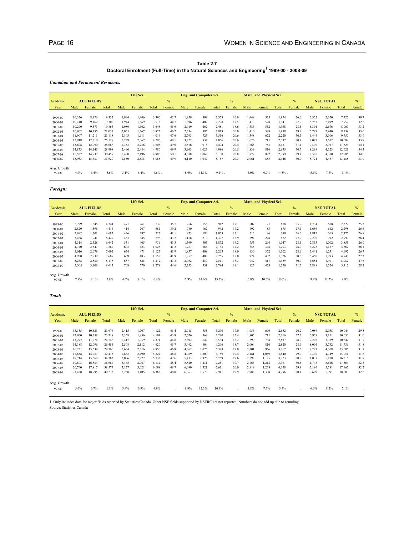#### **Table 2.7 Doctoral Enrolment (Full-Time) in the Natural Sciences and Engineering<sup>1</sup> 1999-00 - 2008-09**

*Canadian and Permanent Residents:*

|             |        |                   |        |       | Life Sci. |          |               |       | <b>Eng. and Computer Sci.</b> |           |               |       | <b>Math. and Physical Sci.</b> |          |               |       |                  |           |               |
|-------------|--------|-------------------|--------|-------|-----------|----------|---------------|-------|-------------------------------|-----------|---------------|-------|--------------------------------|----------|---------------|-------|------------------|-----------|---------------|
| Academic    |        | <b>ALL FIELDS</b> |        |       |           |          | $\frac{9}{6}$ |       |                               |           | $\frac{0}{0}$ |       |                                |          | $\frac{0}{2}$ |       | <b>NSE TOTAL</b> |           | $\frac{0}{0}$ |
| Year        | Male   | Female            | Total  | Male  | Female    | Total    | Female        | Male  | Female                        | Total     | Female        | Male  | Female                         | Total    | Female        | Male  | Female           | Total     | Female        |
|             |        |                   |        |       |           |          |               |       |                               |           |               |       |                                |          |               |       |                  |           |               |
| 1999-00     | 10,356 | 8.976             | 19,332 | 1,944 | 1.446     | 3,390    | 42.7          | 1,959 | 399                           | 2,358     | 16.9          | 1.449 | 525                            | 1,974    | 26.6          | 5,352 | 2,370            | 7,722     | 30.7          |
| 2000-01     | 10.140 | 9.162             | 19.302 | 1.944 | 1.569     | 3,513    | 44.7          | 1.896 | 402                           | 2,298     | 17.5          | 1.413 | 528                            | 1.941    | 27.2          | 5.253 | 2.499            | 7,752     | 32.2          |
| 2001-02     | 10,290 | 9,573             | 19,863 | 1,986 | 1.662     | 3,648    | 45.6          | 2,019 | 462                           | 2,481     | 18.6          | 1,386 | 552                            | 1.938    | 28.5          | 5,391 | 2,676            | 8,067     | 33.2          |
| 2002-03     | 10,902 | 10,155            | 21,057 | 2,055 | 1.767     | 3,822    | 46.2          | 2,334 | 585                           | 2,919     | 20.0          | 1.410 | 588                            | 1.998    | 29.4          | 5,799 | 2,940            | 8,739     | 33.6          |
| 2003-04     | 11,907 | 11,211            | 23,118 | 2,103 | 1.911     | 4.014    | 47.6          | 2,793 | 723                           | 3,516     | 20.6          | 1,548 | 672                            | 2,220    | 30.3          | 6.444 | 3,306            | 9,750     | 33.9          |
| 2004-05     | 12,918 | 12,210            | 25,128 | 2,229 | 2.067     | 4.296    | 48.1          | 3,222 | 834                           | 4,056     | 20.6          | 1.626 | 711                            | 2,337    | 30.4          | 7.077 | 3,612            | 10.689    | 33.8          |
| 2005-06     | 13,698 | 12,990            | 26,688 | 2,352 | 2,256     | 4.608    | 49.0          | 3,576 | 918                           | 4.494     | 20.4          | 1,668 | 753                            | 2.421    | 31.1          | 7.596 | 3,927            | 11,523    | 34.1          |
| 2006-07     | 14,853 | 14,145            | 28,998 | 2,496 | 2.484     | 4.980    | 49.9          | 3,963 | 1.023                         | 4,986     | 20.5          | 1.839 | 816                            | 2,655    | 30.7          | 8,298 | 4,323            | 12,621    | 34.3          |
| 2007-08     | 15,522 | 14,937            | 30.459 | 2,490 | 2.496     | 4.986    | 50.1          | 4.038 | 1.062                         | 5.100     | 20.8          | 1.977 | 822                            | 2.799    | 29.4          | 8.505 | 4,380            | 12,885    | 34.0          |
| 2008-09     | 15,933 | 15,687            | 31,620 | 2,550 | 2,535     | 5,085    | 49.9          | 4,110 | 1.047                         | 5,157     | 20.3          | 2,061 | 885                            | 2,946    | 30.0          | 8,721 | 4,467            | 13,188    | 33.9          |
| Avg. Growth |        |                   |        |       |           |          |               |       |                               |           |               |       |                                |          |               |       |                  |           |               |
| 99-08       | 4.9%   | 6.4%              | 5.6%   | 3.1%  | 6.4%      | $4.6%$ - |               | 8.6%  | 11.3%                         | $9.1\%$ - |               | 4.0%  | 6.0%                           | $4.5%$ . |               | 5.6%  | 7.3%             | $6.1\%$ - |               |

#### *Foreign:*

|       |        |       |                            | Life Sci. |       |               |                  | <b>Eng. and Computer Sci.</b> |       |               |                    | <b>Math. and Physical Sci.</b> |       |               |                   |        |       |                                        |
|-------|--------|-------|----------------------------|-----------|-------|---------------|------------------|-------------------------------|-------|---------------|--------------------|--------------------------------|-------|---------------|-------------------|--------|-------|----------------------------------------|
|       |        |       |                            |           |       | $\frac{0}{6}$ |                  |                               |       | $\frac{0}{0}$ |                    |                                |       | $\frac{0}{6}$ |                   |        |       | $\frac{0}{0}$                          |
| Male  | Female | Total | Male                       | Female    | Total | Female        | Male             | Female                        | Total | Female        | Male               | Female                         | Total | Female        | Male              | Female | Total | Female                                 |
|       |        |       |                            |           |       |               |                  |                               |       |               |                    |                                |       |               |                   |        |       |                                        |
|       |        |       |                            |           |       |               |                  |                               |       |               |                    |                                |       |               |                   |        |       | 25.3                                   |
| 2,820 | 1.596  | 4.416 | 414                        | 267       | 681   | 39.2          | 780              | 162                           | 942   | 17.2          | 492                | 183                            | 675   | 27.1          | 1.686             | 612    | 2,298 | 26.6                                   |
| 2,982 | 1,701  | 4,683 | 426                        | 297       | 723   | 41.1          | 873              | 180                           | 1,053 | 17.1          | 513                | 186                            | 699   | 26.6          | 1,812             | 663    | 2,475 | 26.8                                   |
| 3,486 | 1.941  | 5.427 | 453                        | 345       | 798   | 43.2          | 1.158            | 219                           | 1,377 | 15.9          | 594                | 228                            | 822   | 27.7          | 2,205             | 792    | 2,997 | 26.4                                   |
| 4,314 | 2,328  | 6,642 | 531                        | 405       | 936   | 43.3          | 1.569            | 303                           | 1,872 | 16.2          | 753                | 294                            | 1.047 | 28.1          | 2,853             | 1,002  | 3,855 | 26.0                                   |
| 4,740 | 2,547  | 7,287 | 603                        | 423       | 1.026 | 41.2          | 1.767            | 366                           | 2,133 | 17.2          | 855                | 348                            | 1.203 | 28.9          | 3,225             | 1.137  | 4,362 | 26.1                                   |
| 5,016 | 2,679  | 7,695 | 654                        | 471       | 1.125 | 41.9          | 1.857            | 408                           | 2,265 | 18.0          | 930                | 372                            | 1,302 | 28.6          | 3,441             | 1.251  | 4,692 | 26.7                                   |
| 4,950 | 2,739  | 7,689 | 669                        | 483       | 1,152 | 41.9          | 1.857            | 408                           | 2,265 | 18.0          | 924                | 402                            | 1,326 | 30.3          | 3,450             | 1,293  | 4,743 | 27.3                                   |
| 5,238 | 2.880  | 8.118 | 687                        | 525       | 1.212 | 43.3          | 2.052            | 459                           | 2.511 | 18.3          | 942                | 417                            | 1.359 | 30.7          | 3.681             | 1.401  | 5,082 | 27.6                                   |
| 5,505 | 3,108  | 8,613 | 708                        | 570       | 1,278 | 44.6          | 2,253            | 531                           | 2,784 | 19.1          | 927                | 423                            | 1,350 | 31.3          | 3,888             | 1,524  | 5,412 | 28.2                                   |
|       |        |       |                            |           |       |               |                  |                               |       |               |                    |                                |       |               |                   |        |       |                                        |
| 7.8%  | 8.1%   | 7.9%  | 4.6%                       | 9.1%      |       |               | 12.9%            | 14.6%                         |       |               | 6.9%               | 10.6%                          |       |               | 9.4%              | 11.2%  |       |                                        |
|       | 2,799  | 1,545 | <b>ALL FIELDS</b><br>4,344 | 471       | 261   | 732           | 35.7<br>$6.4%$ - | 756                           | 156   | 912           | 17.1<br>$13.2\%$ - | 507                            | 171   | 678           | 25.2<br>$8.0\%$ - | 1,734  | 588   | <b>NSE TOTAL</b><br>2,322<br>$9.9\%$ - |

*Total:*

|             |        |                   |        |       | Life Sci. |       |               |       | <b>Eng. and Computer Sci.</b> |       |               |       | <b>Math. and Physical Sci.</b> |       |               |        |                  |        |        |
|-------------|--------|-------------------|--------|-------|-----------|-------|---------------|-------|-------------------------------|-------|---------------|-------|--------------------------------|-------|---------------|--------|------------------|--------|--------|
| Academic    |        | <b>ALL FIELDS</b> |        |       |           |       | $\frac{9}{6}$ |       |                               |       | $\frac{0}{6}$ |       |                                |       | $\frac{0}{2}$ |        | <b>NSE TOTAL</b> |        | $\%$   |
| Year        | Male   | Female            | Total  | Male  | Female    | Total | Female        | Male  | Female                        | Total | Female        | Male  | Female                         | Total | Female        | Male   | Female           | Total  | Female |
|             |        |                   |        |       |           |       |               |       |                               |       |               |       |                                |       |               |        |                  |        |        |
| 1999-00     | 13,155 | 10,521            | 23,676 | 2,415 | 1,707     | 4,122 | 41.4          | 2,715 | 555                           | 3,270 | 17.0          | 1,956 | 696                            | 2,652 | 26.2          | 7,086  | 2,958            | 10,044 | 29.5   |
| 2000-01     | 12,960 | 10,758            | 23,718 | 2,358 | 1,836     | 4,194 | 43.8          | 2,676 | 564                           | 3,240 | 17.4          | 1,905 | 711                            | 2,616 | 27.2          | 6,939  | 3,111            | 10,050 | 31.0   |
| 2001-02     | 13,272 | 11,274            | 24,546 | 2,412 | 1,959     | 4,371 | 44.8          | 2,892 | 642                           | 3,534 | 18.2          | 1.899 | 738                            | 2,637 | 28.0          | 7,203  | 3,339            | 10,542 | 31.7   |
| 2002-03     | 14,388 | 12,096            | 26,484 | 2,508 | 2,112     | 4,620 | 45.7          | 3,492 | 804                           | 4,296 | 18.7          | 2,004 | 816                            | 2,820 | 28.9          | 8,004  | 3,732            | 11,736 | 31.8   |
| 2003-04     | 16,221 | 13,539            | 29,760 | 2,634 | 2,316     | 4,950 | 46.8          | 4,362 | 1.026                         | 5,388 | 19.0          | 2,301 | 966                            | 3,267 | 29.6          | 9,297  | 4,308            | 13,605 | 31.7   |
| 2004-05     | 17,658 | 14,757            | 32,415 | 2,832 | 2,490     | 5,322 | 46.8          | 4,989 | 1.200                         | 6,189 | 19.4          | 2,481 | 1,059                          | 3,540 | 29.9          | 10,302 | 4,749            | 15,051 | 31.6   |
| 2005-06     | 18,714 | 15,669            | 34,383 | 3,006 | 2,727     | 5,733 | 47.6          | 5,433 | 1,326                         | 6,759 | 19.6          | 2,598 | 1,125                          | 3,723 | 30.2          | 11,037 | 5,178            | 16,215 | 31.9   |
| 2006-07     | 19,803 | 16,884            | 36,687 | 3,165 | 2,967     | 6,132 | 48.4          | 5,820 | 1,431                         | 7,251 | 19.7          | 2,763 | 1,218                          | 3,981 | 30.6          | 11,748 | 5,616            | 17,364 | 32.3   |
| 2007-08     | 20,760 | 17,817            | 38,577 | 3,177 | 3,021     | 6,198 | 48.7          | 6,090 | 1,521                         | 7,611 | 20.0          | 2,919 | 1,239                          | 4,158 | 29.8          | 12,186 | 5,781            | 17.967 | 32.2   |
| 2008-09     | 21,438 | 18,795            | 40,233 | 3,258 | 3,105     | 6,363 | 48.8          | 6,363 | 1,578                         | 7,941 | 19.9          | 2,988 | 1,308                          | 4,296 | 30.4          | 12,609 | 5,991            | 18,600 | 32.2   |
| Avg. Growth |        |                   |        |       |           |       |               |       |                               |       |               |       |                                |       |               |        |                  |        |        |
| 99-08       | 5.6%   | 6.7%              | 6.1%   | 3.4%  | 6.9%      | 4.9%  |               | 9.9%  | 12.3%                         | 10.4% | $\sim$        | 4.8%  | 7.3%                           | 5.5%  | ۰             | 6.6%   | 8.2%             | 7.1%   |        |

1. Only includes data for major fields reported by Statistics Canada. Other NSE fields supported by NSERC are not reported. Numbers do not add up due to rounding. Source: Statistics Canada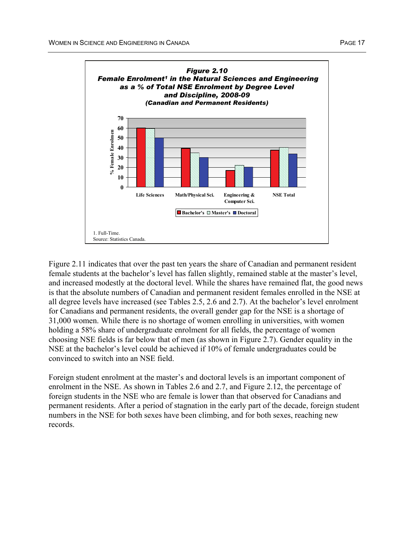

Figure 2.11 indicates that over the past ten years the share of Canadian and permanent resident female students at the bachelor's level has fallen slightly, remained stable at the master's level, and increased modestly at the doctoral level. While the shares have remained flat, the good news is that the absolute numbers of Canadian and permanent resident females enrolled in the NSE at all degree levels have increased (see Tables 2.5, 2.6 and 2.7). At the bachelor's level enrolment for Canadians and permanent residents, the overall gender gap for the NSE is a shortage of 31,000 women. While there is no shortage of women enrolling in universities, with women holding a 58% share of undergraduate enrolment for all fields, the percentage of women choosing NSE fields is far below that of men (as shown in Figure 2.7). Gender equality in the NSE at the bachelor's level could be achieved if 10% of female undergraduates could be convinced to switch into an NSE field.

Foreign student enrolment at the master's and doctoral levels is an important component of enrolment in the NSE. As shown in Tables 2.6 and 2.7, and Figure 2.12, the percentage of foreign students in the NSE who are female is lower than that observed for Canadians and permanent residents. After a period of stagnation in the early part of the decade, foreign student numbers in the NSE for both sexes have been climbing, and for both sexes, reaching new records.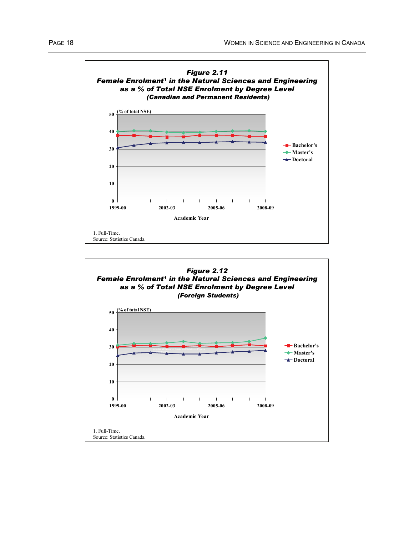

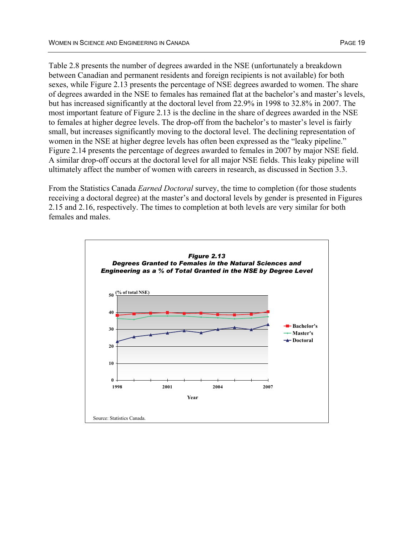Table 2.8 presents the number of degrees awarded in the NSE (unfortunately a breakdown between Canadian and permanent residents and foreign recipients is not available) for both sexes, while Figure 2.13 presents the percentage of NSE degrees awarded to women. The share of degrees awarded in the NSE to females has remained flat at the bachelor's and master's levels, but has increased significantly at the doctoral level from 22.9% in 1998 to 32.8% in 2007. The most important feature of Figure 2.13 is the decline in the share of degrees awarded in the NSE to females at higher degree levels. The drop-off from the bachelor's to master's level is fairly small, but increases significantly moving to the doctoral level. The declining representation of women in the NSE at higher degree levels has often been expressed as the "leaky pipeline." Figure 2.14 presents the percentage of degrees awarded to females in 2007 by major NSE field. A similar drop-off occurs at the doctoral level for all major NSE fields. This leaky pipeline will ultimately affect the number of women with careers in research, as discussed in Section 3.3.

From the Statistics Canada *Earned Doctoral* survey, the time to completion (for those students receiving a doctoral degree) at the master's and doctoral levels by gender is presented in Figures 2.15 and 2.16, respectively. The times to completion at both levels are very similar for both females and males.

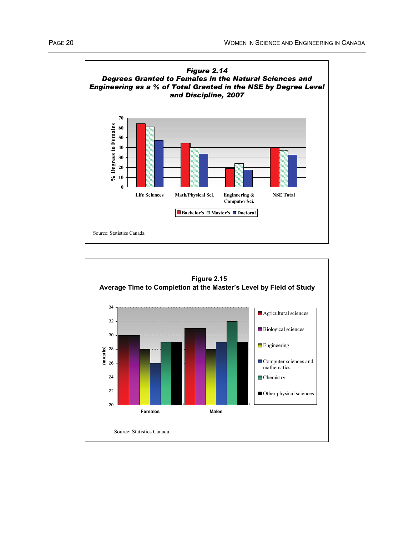

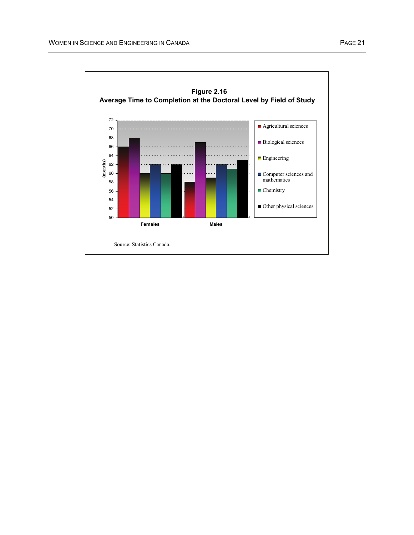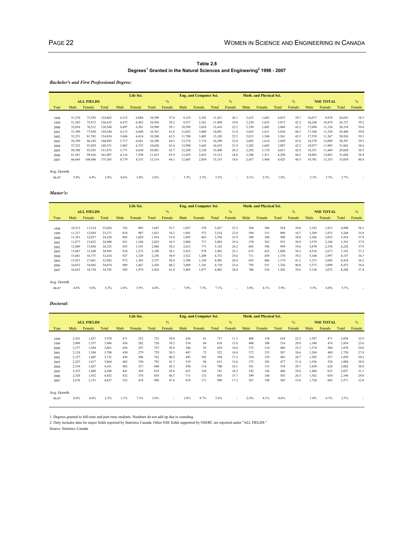#### **Table 2.8 Degrees1 Granted in the Natural Sciences and Engineering2 1998 - 2007**

*Bachelor's and First Professional Degree:*

|             |        |                   |         |       | Life Sci. |        |               |        | <b>Eng. and Computer Sci.</b> |        |               |       | <b>Math. and Physical Sci.</b> |       |               |        |                  |        |               |
|-------------|--------|-------------------|---------|-------|-----------|--------|---------------|--------|-------------------------------|--------|---------------|-------|--------------------------------|-------|---------------|--------|------------------|--------|---------------|
|             |        | <b>ALL FIELDS</b> |         |       |           |        | $\frac{0}{0}$ |        |                               |        | $\frac{0}{0}$ |       |                                |       | $\frac{0}{0}$ |        | <b>NSE TOTAL</b> |        | $\frac{0}{0}$ |
| Year        | Male   | Female            | Total   | Male  | Female    | Total  | Female        | Male   | Female                        | Total  | Female        | Male  | Female                         | Total | Female        | Male   | Female           | Total  | Female        |
|             |        |                   |         |       |           |        |               |        |                               |        |               |       |                                |       |               |        |                  |        |               |
| 1998        | 51,270 | 73,593            | 124,863 | 4,515 | 6,084     | 10,599 | 57.4          | 9,129  | 2,292                         | 11,421 | 20.1          | 2,433 | 1,602                          | 4,035 | 39.7          | 16,077 | 9,978            | 26,055 | 38.3          |
| 1999        | 51,363 | 75,072            | 126.435 | 4,473 | 6,483     | 10.956 | 59.2          | 9,537  | 2,361                         | 11.898 | 19.8          | 2,238 | 1,635                          | 3,873 | 42.2          | 16,248 | 10,479           | 26.727 | 39.2          |
| 2000        | 52,056 | 76,512            | 128,568 | 4,497 | 6,501     | 10.998 | 59.1          | 10,398 | 3,018                         | 13,416 | 22.5          | 2,199 | 1,605                          | 3,804 | 42.2          | 17,094 | 11,124           | 28,218 | 39.4          |
| 2001        | 51,390 | 77,850            | 129,240 | 4,113 | 6,648     | 10.761 | 61.8          | 11,022 | 3,069                         | 14,091 | 21.8          | 2,025 | 1.611                          | 3,636 | 44.3          | 17,160 | 11,328           | 28,488 | 39.8          |
| 2002        | 52,251 | 81,783            | 134.034 | 3.846 | 6.414     | 10.260 | 62.5          | 11.700 | 3.405                         | 15.105 | 22.5          | 2.013 | 1,548                          | 3,561 | 43.5          | 17,559 | 11,367           | 28,926 | 39.3          |
| 2003        | 54.789 | 86,103            | 140.892 | 3.717 | 6.681     | 10.398 | 64.3          | 12.576 | 3,714                         | 16.290 | 22.8          | 2,085 | 1.614                          | 3.699 | 43.6          | 18,378 | 12,009           | 30,387 | 39.5          |
| 2004        | 57,522 | 91,029            | 148,551 | 3,885 | 6,735     | 10,620 | 63.4          | 12,990 | 3,645                         | 16,635 | 21.9          | 2,202 | 1,605                          | 3.807 | 42.2          | 19,077 | 11,985           | 31,062 | 38.6          |
| 2005        | 58,590 | 93,285            | 151,875 | 3,771 | 6,630     | 10.401 | 63.7          | 12,288 | 3,120                         | 15,408 | 20.2          | 2,292 | 1,719                          | 4,011 | 42.9          | 18,351 | 11,469           | 29,820 | 38.5          |
| 2006        | 61,581 | 99,426            | 161.007 | 4.116 | 7.299     | 11.415 | 63.9          | 12.459 | 2,853                         | 15,312 | 18.6          | 2.388 | 1.911                          | 4.299 | 44.5          | 18,963 | 12,063           | 31.026 | 38.9          |
| 2007        | 66,669 | 108,696           | 175,365 | 4,779 | 8,535     | 13,314 | 64.1          | 12,465 | 2,850                         | 15,315 | 18.6          | 2,457 | 1,968                          | 4,425 | 44.5          | 19,701 | 13,353           | 33,054 | 40.4          |
| Avg. Growth |        |                   |         |       |           |        |               |        |                               |        |               |       |                                |       |               |        |                  |        |               |
| 98-07       | 3.0%   | 4.4%              | 3.8%    | 0.6%  | 3.8%      | 2.6%   |               | 3.5%   | 2.5%                          | 3.3%   | $\mathbf{r}$  | 0.1%  | 2.3%                           | 1.0%  | ٠             | 2.3%   | 3.3%             | 2.7%   |               |

#### *Master's:*

|             |        |                   |        |      | Life Sci. |       |               |       | <b>Eng. and Computer Sci.</b> |       |               |      | Math. and Physical Sci. |       |               |       |                  |       |               |
|-------------|--------|-------------------|--------|------|-----------|-------|---------------|-------|-------------------------------|-------|---------------|------|-------------------------|-------|---------------|-------|------------------|-------|---------------|
|             |        | <b>ALL FIELDS</b> |        |      |           |       | $\frac{0}{0}$ |       |                               |       | $\frac{0}{0}$ |      |                         |       | $\frac{0}{0}$ |       | <b>NSE TOTAL</b> |       | $\frac{0}{0}$ |
| Year        | Male   | Female            | Total  | Male | Female    | Total | Female        | Male  | Female                        | Total | Female        | Male | Female                  | Total | Female        | Male  | Female           | Total | Female        |
|             |        |                   |        |      |           |       |               |       |                               |       |               |      |                         |       |               |       |                  |       |               |
| 1998        | 10,512 | 11,514            | 22,026 | 762  | 885       | 1,647 | 53.7          | 1,857 | 570                           | 2,427 | 23.5          | 564  | 360                     | 924   | 39.0          | 3,183 | 1,815            | 4,998 | 36.3          |
| 1999        | 11,217 | 12,054            | 23,271 | 834  | 987       | 1.821 | 54.2          | 1.941 | 573                           | 2,514 | 22.8          | 594  | 315                     | 909   | 34.7          | 3,369 | 1,875            | 5,244 | 35.8          |
| 2000        | 11,391 | 12,837            | 24,228 | 885  | 1.029     | 1,914 | 53.8          | 1,893 | 663                           | 2,556 | 25.9          | 588  | 360                     | 948   | 38.0          | 3,366 | 2,052            | 5,418 | 37.9          |
| 2001        | 11,877 | 13,023            | 24,900 | 921  | 1.104     | 2,025 | 54.5          | 2.088 | 717                           | 2.805 | 25.6          | 570  | 363                     | 933   | 38.9          | 3,579 | 2,184            | 5,763 | 37.9          |
| 2002        | 12,489 | 13,836            | 26,325 | 855  | 1,191     | 2,046 | 58.2          | 2,412 | 771                           | 3,183 | 24.2          | 603  | 396                     | 999   | 39.6          | 3,870 | 2,358            | 6,228 | 37.9          |
| 2003        | 13,887 | 15,108            | 28,995 | 918  | 1,272     | 2,190 | 58.1          | 2,925 | 978                           | 3,903 | 25.1          | 675  | 423                     | 1.098 | 38.5          | 4,518 | 2,673            | 7,191 | 37.2          |
| 2004        | 15,681 | 16,737            | 32,418 | 927  | 1,329     | 2,256 | 58.9          | 3,522 | 1,209                         | 4,731 | 25.6          | 711  | 459                     | 1,170 | 39.2          | 5,160 | 2,997            | 8,157 | 36.7          |
| 2005        | 15,921 | 17,061            | 32,982 | 972  | 1,365     | 2,337 | 58.4          | 3,708 | 1,194                         | 4,902 | 24.4          | 693  | 486                     | 1,179 | 41.2          | 5,373 | 3,045            | 8,418 | 36.2          |
| 2006        | 16,032 | 18,042            | 34,074 | 969  | 1.467     | 2.436 | 60.2          | 3.609 | 1.101                         | 4,710 | 23.4          | 795  | 531                     | 1.326 | 40.0          | 5,373 | 3,099            | 8,472 | 36.6          |
| 2007        | 16,035 | 18,750            | 34,785 | 945  | 1,479     | 2,424 | 61.0          | 3,405 | 1,077                         | 4,482 | 24.0          | 786  | 516                     | 1,302 | 39.6          | 5,136 | 3,072            | 8,208 | 37.4          |
| Avg. Growth |        |                   |        |      |           |       |               |       |                               |       |               |      |                         |       |               |       |                  |       |               |
| 98-07       | 4.8%   | 5.6%              | 5.2%   | 2.4% | 5.9%      | 4.4%  |               | 7.0%  | 7.3%                          | 7.1%  | ٠             | 3.8% | 4.1%                    | 3.9%  | $\sim$        | 5.5%  | 6.0%             | 5.7%  |               |

#### *Doctoral:*

|             |       |                   |       |      | Life Sci. |       |               |      | <b>Eng. and Computer Sci.</b> |       |               |         | <b>Math. and Physical Sci.</b> |         |               |       |                  |       |               |
|-------------|-------|-------------------|-------|------|-----------|-------|---------------|------|-------------------------------|-------|---------------|---------|--------------------------------|---------|---------------|-------|------------------|-------|---------------|
|             |       | <b>ALL FIELDS</b> |       |      |           |       | $\frac{0}{0}$ |      |                               |       | $\frac{0}{0}$ |         |                                |         | $\frac{0}{0}$ |       | <b>NSE TOTAL</b> |       | $\frac{0}{6}$ |
| Year        | Male  | Female            | Total | Male | Female    | Total | Female        | Male | Female                        | Total | Female        | Male    | Female                         | Total   | Female        | Male  | Female           | Total | Female        |
|             |       |                   |       |      |           |       |               |      |                               |       |               |         |                                |         |               |       |                  |       |               |
| 1998        | 2,541 | 1,437             | 3,978 | 471  | 252       | 723   | 34.9          | 636  | 81                            | 717   | 11.3          | 480     | 138                            | 618     | 22.3          | 1,587 | 471              | 2,058 | 22.9          |
| 1999        | 2,409 | 1,557             | 3,966 | 438  | 282       | 720   | 39.2          | 534  | 84                            | 618   | 13.6          | 408     | 108                            | 516     | 20.9          | 1,380 | 474              | 1,854 | 25.6          |
| 2000        | 2,277 | 1,584             | 3,861 | 456  | 297       | 753   | 39.4          | 546  | 93                            | 639   | 14.6          | 372     | 114                            | 486     | 23.5          | 1,374 | 504              | 1,878 | 26.8          |
| 2001        | 2,124 | 1,584             | 3,708 | 450  | 279       | 729   | 38.3          | 447  | 75                            | 522   | 14.4          | 372     | 135                            | 507     | 26.6          | 1,269 | 489              | 1,758 | 27.8          |
| 2002        | 2,127 | 1,605             | 3,732 | 456  | 306       | 762   | 40.2          | 492  | 102                           | 594   | 17.2          | 354     | 129                            | 483     | 26.7          | 1,302 | 537              | 1,839 | 29.2          |
| 2003        | 2,247 | 1,617             | 3,864 | 462  | 330       | 792   | 41.7          | 519  | 96                            | 615   | 15.6          | 375     | 102                            | 477     | 21.4          | 1,356 | 528              | 1,884 | 28.0          |
| 2004        | 2,334 | 1,827             | 4,161 | 483  | 357       | 840   | 42.5          | 594  | 114                           | 708   | 16.1          | 381     | 153                            | 534     | 28.7          | 1,458 | 624              | 2,082 | 30.0          |
| 2005        | 2,352 | 1,848             | 4,200 | 441  | 369       | 810   | 45.6          | 621  | 120                           | 741   | 16.2          | 342     | 144                            | 486     | 29.6          | 1,404 | 633              | 2,037 | 31.1          |
| 2006        | 2,520 | 1,932             | 4,452 | 432  | 378       | 810   | 46.7          | 711  | 132                           | 843   | 15.7          | 399     | 144                            | 543     | 26.5          | 1,542 | 654              | 2,196 | 29.8          |
| 2007        | 2,676 | 2,151             | 4,827 | 522  | 474       | 996   | 47.6          | 819  | 171                           | 990   | 17.3          | 387     | 198                            | 585     | 33.8          | 1,728 | 843              | 2,571 | 32.8          |
| Avg. Growth |       |                   |       |      |           |       |               |      |                               |       |               |         |                                |         |               |       |                  |       |               |
| 98-07       | 0.6%  | 4.6%              | 2.2%  | 1.1% | 7.3%      | 3.6%  | ۰             | 2.8% | 8.7%                          | 3.6%  |               | $-2.4%$ | 4.1%                           | $-0.6%$ | ٠             | 1.0%  | 6.7%             | 2.5%  |               |

1. Degrees granted to full-time and part-time students. Numbers do not add up due to rounding.

2. Only includes data for major fields reported by Statistics Canada. Other NSE fields supported by NSERC are reported under "ALL FIELDS."

Source: Statistics Canada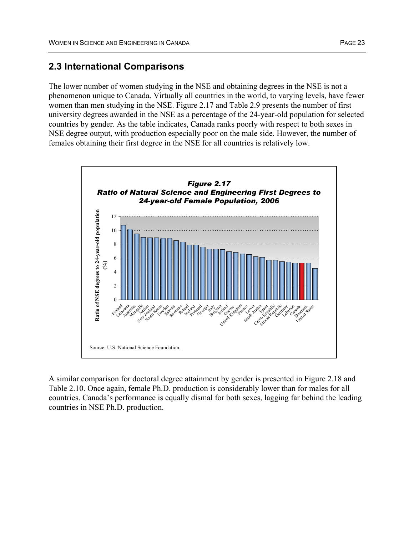### **2.3 International Comparisons**

The lower number of women studying in the NSE and obtaining degrees in the NSE is not a phenomenon unique to Canada. Virtually all countries in the world, to varying levels, have fewer women than men studying in the NSE. Figure 2.17 and Table 2.9 presents the number of first university degrees awarded in the NSE as a percentage of the 24-year-old population for selected countries by gender. As the table indicates, Canada ranks poorly with respect to both sexes in NSE degree output, with production especially poor on the male side. However, the number of females obtaining their first degree in the NSE for all countries is relatively low.



A similar comparison for doctoral degree attainment by gender is presented in Figure 2.18 and Table 2.10. Once again, female Ph.D. production is considerably lower than for males for all countries. Canada's performance is equally dismal for both sexes, lagging far behind the leading countries in NSE Ph.D. production.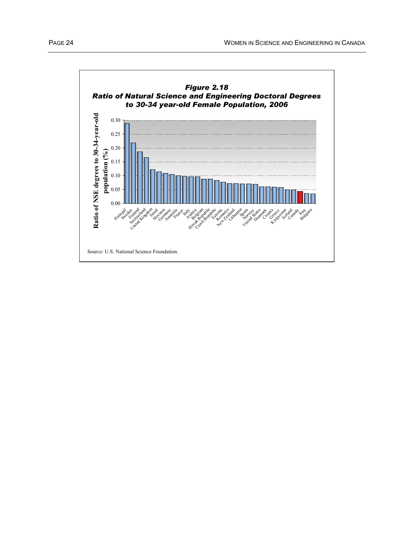

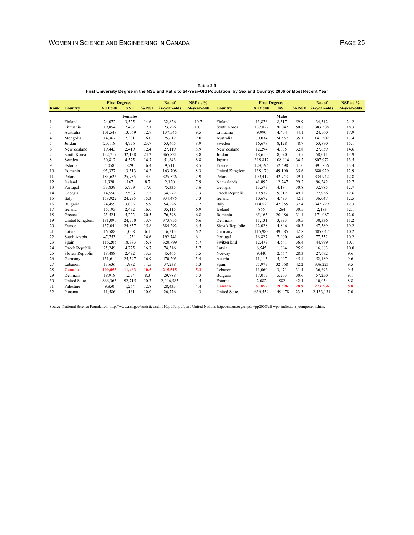|                |                      | <b>First Degrees</b> |                |      | No. of             | NSE as %     |                      | <b>First Degrees</b> |              |      | No. of             | NSE as %     |
|----------------|----------------------|----------------------|----------------|------|--------------------|--------------|----------------------|----------------------|--------------|------|--------------------|--------------|
| Rank           | Country              | <b>All fields</b>    | <b>NSE</b>     |      | % NSE 24-year-olds | 24-year-olds | Country              | <b>All fields</b>    | <b>NSE</b>   |      | % NSE 24-year-olds | 24-year-olds |
|                |                      |                      | <b>Females</b> |      |                    |              |                      |                      | <b>Males</b> |      |                    |              |
| 1              | Finland              | 24,072               | 3,525          | 14.6 | 32,826             | 10.7         | Finland              | 13.876               | 8,317        | 59.9 | 34,312             | 24.2         |
| $\overline{c}$ | Lithuania            | 19,854               | 2.407          | 12.1 | 23,796             | 10.1         | South Korea          | 137,827              | 70.042       | 50.8 | 383,588            | 18.3         |
| 3              | Australia            | 101,548              | 13,069         | 12.9 | 137,545            | 9.5          | Lithuania            | 9.990                | 4,404        | 44.1 | 24,560             | 17.9         |
| $\overline{4}$ | Mongolia             | 14,367               | 2,301          | 16.0 | 25,612             | 9.0          | Australia            | 70,034               | 24,557       | 35.1 | 141,502            | 17.4         |
| 5              | Jordan               | 20,118               | 4.776          | 23.7 | 53,465             | 8.9          | Sweden               | 16,678               | 8,128        | 48.7 | 53,870             | 15.1         |
| 6              | New Zealand          | 19,443               | 2,419          | 12.4 | 27,119             | 8.9          | New Zealand          | 12,294               | 4,035        | 32.8 | 27,659             | 14.6         |
| $\overline{7}$ | South Korea          | 132,719              | 32,138         | 24.2 | 365,821            | 8.8          | Jordan               | 18,610               | 8,090        | 43.5 | 58,011             | 13.9         |
| 8              | Sweden               | 30,812               | 4,525          | 14.7 | 51,643             | 8.8          | Japana               | 318,812              | 108,914      | 34.2 | 807,972            | 13.5         |
| 9              | Estonia              | 5,058                | 829            | 16.4 | 9,711              | 8.5          | France               | 128,194              | 52,498       | 41.0 | 391,856            | 13.4         |
| 10             | Romania              | 95,377               | 13,513         | 14.2 | 163,708            | 8.3          | United Kingdom       | 138,170              | 49,190       | 35.6 | 380,929            | 12.9         |
| 11             | Poland               | 183,626              | 25,755         | 14.0 | 325,526            | 7.9          | Poland               | 109,419              | 42,743       | 39.1 | 334,942            | 12.8         |
| 12             | Iceland              | 1,928                | 167            | 8.7  | 2,120              | 7.9          | Netherlands          | 41,893               | 12,247       | 29.2 | 96,342             | 12.7         |
| 13             | Portugal             | 33,839               | 5,759          | 17.0 | 75,335             | 7.6          | Georgia              | 13,573               | 4,184        | 30.8 | 32,985             | 12.7         |
| 14             | Georgia              | 14,556               | 2,506          | 17.2 | 34,272             | 7.3          | Czech Republic       | 19,977               | 9,812        | 49.1 | 77,956             | 12.6         |
| 15             | Italy                | 158,922              | 24,295         | 15.3 | 334,476            | 7.3          | Ireland              | 10.672               | 4.493        | 42.1 | 36,047             | 12.5         |
| 16             | Bulgaria             | 24,459               | 3,883          | 15.9 | 54,226             | 7.2          | Italy                | 114,529              | 42,855       | 37.4 | 347,729            | 12.3         |
| 17             | Ireland              | 15,193               | 2,432          | 16.0 | 35,115             | 6.9          | Iceland              | 866                  | 264          | 30.5 | 2,183              | 12.1         |
| 18             | Greece               | 25,521               | 5,222          | 20.5 | 76,398             | 6.8          | Romania              | 65,163               | 20,486       | 31.4 | 171,087            | 12.0         |
| 19             | United Kingdom       | 181.090              | 24,750         | 13.7 | 373,955            | 6.6          | Denmark              | 11,131               | 3,393        | 30.5 | 30,336             | 11.2         |
| 20             | France               | 157,044              | 24,857         | 15.8 | 384,292            | 6.5          | Slovak Republic      | 12,028               | 4,846        | 40.3 | 47,389             | 10.2         |
| 21             | Latvia               | 16,588               | 1,008          | 6.1  | 16,313             | 6.2          | Germany              | 115,983              | 49,585       | 42.8 | 485,047            | 10.2         |
| 22             | Saudi Arabia         | 47,753               | 11.751         | 24.6 | 192,741            | 6.1          | Portugal             | 16,827               | 7,900        | 46.9 | 77,552             | 10.2         |
| 23             | Spain                | 116,205              | 18,383         | 15.8 | 320,799            | 5.7          | Switzerland          | 12,479               | 4.541        | 36.4 | 44,999             | 10.1         |
| 24             | Czech Republic       | 25,249               | 4,225          | 16.7 | 74,516             | 5.7          | Latvia               | 6,545                | 1,694        | 25.9 | 16,883             | 10.0         |
| 25             | Slovak Republic      | 18,488               | 2,492          | 13.5 | 45,465             | 5.5          | Norway               | 9,440                | 2,667        | 28.3 | 27,672             | 9.6          |
| 26             | Germany              | 151,614              | 25,597         | 16.9 | 470,203            | 5.4          | Austria              | 11,113               | 5.007        | 45.1 | 52,189             | 9.6          |
| 27             | Lebanon              | 13.636               | 1.982          | 14.5 | 37,238             | 5.3          | Spain                | 75,973               | 32.068       | 42.2 | 336,221            | 9.5          |
| 28             | Canada               | 109.053              | 11.463         | 10.5 | 215,515            | 5.3          | Lebanon              | 11,060               | 3,471        | 31.4 | 36,693             | 9.5          |
| 29             | Denmark              | 18,918               | 1.574          | 8.3  | 29,788             | 5.3          | Bulgaria             | 17,017               | 5,203        | 30.6 | 57,250             | 9.1          |
| 30             | <b>United States</b> | 866,363              | 92,715         | 10.7 | 2,046,583          | 4.5          | Estonia              | 2,082                | 882          | 42.4 | 10,034             | 8.8          |
| 31             | Palestine            | 9,850                | 1,264          | 12.8 | 28,433             | 4.4          | Canada               | 67,857               | 19,596       | 28.9 | 223,266            | 8.8          |
| 32             | Panama               | 11,586               | 1.161          | 10.0 | 26,776             | 4.3          | <b>United States</b> | 636,559              | 149,478      | 23.5 | 2,133,131          | 7.0          |

**Table 2.9 First University Degree in the NSE and Ratio to 24-Year-Old Population, by Sex and Country: 2006 or Most Recent Year**

Source: National Science Foundation, http://www.nsf.gov/statistics/seind10/pdf/at.pdf, and United Nations http://esa.un.org/unpd/wpp2008/all-wpp-indicators\_components.htm.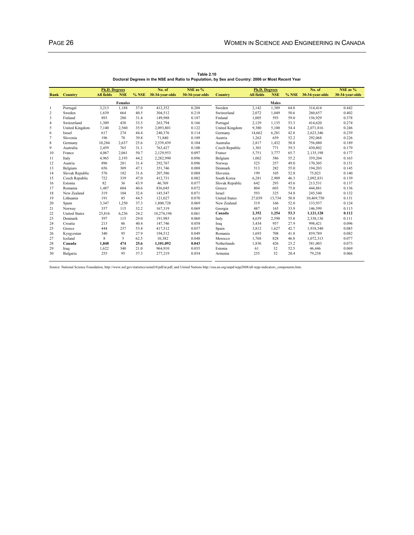|                |                      |                      |                |       | No. of          | $NSE$ as $%$    |                      |                      |              |       | No. of          | NSE as %        |
|----------------|----------------------|----------------------|----------------|-------|-----------------|-----------------|----------------------|----------------------|--------------|-------|-----------------|-----------------|
|                |                      | <b>Ph.D. Degrees</b> |                |       |                 |                 |                      | <b>Ph.D. Degrees</b> |              |       |                 |                 |
| Rank           | Country              | <b>All fields</b>    | <b>NSE</b>     | % NSE | 30-34-year-olds | 30-34-year-olds | Country              | <b>All fields</b>    | <b>NSE</b>   | % NSE | 30-34-year-olds | 30-34-year-olds |
|                |                      |                      | <b>Females</b> |       |                 |                 |                      |                      | <b>Males</b> |       |                 |                 |
| 1              | Portugal             | 3,213                | 1.188          | 37.0  | 412,352         | 0.288           | Sweden               | 2.142                | 1.389        | 64.8  | 314.414         | 0.442           |
| $\overline{c}$ | Sweden               | 1.639                | 664            | 40.5  | 304,512         | 0.218           | Switzerland          | 2.072                | 1.049        | 50.6  | 260,657         | 0.402           |
| 3              | Finland              | 893                  | 280            | 31.4  | 149,988         | 0.187           | Finland              | 1,005                | 593          | 59.0  | 156,929         | 0.378           |
| 4              | Switzerland          | 1.309                | 438            | 33.5  | 263.794         | 0.166           | Portugal             | 2,129                | 1,135        | 53.3  | 414,620         | 0.274           |
| 5              | United Kingdom       | 7,140                | 2,560          | 35.9  | 2,093,801       | 0.122           | United Kingdom       | 9,380                | 5,100        | 54.4  | 2,071,816       | 0.246           |
| 6              | Israel               | 617                  | 274            | 44.4  | 240,376         | 0.114           | Germany              | 14,662               | 6,281        | 42.8  | 2,623,346       | 0.239           |
| $\overline{7}$ | Slovenia             | 196                  | 78             | 39.8  | 71,840          | 0.109           | Austria              | 1,262                | 659          | 52.2  | 292,068         | 0.226           |
| 8              | Germany              | 10,284               | 2,637          | 25.6  | 2,539,439       | 0.104           | Australia            | 2,817                | 1,432        | 50.8  | 756,080         | 0.189           |
| 9              | Australia            | 2,459                | 765            | 31.1  | 763,427         | 0.100           | Czech Republic       | 1,301                | 771          | 59.3  | 430,802         | 0.179           |
| 10             | France               | 4.067                | 2.061          | 50.7  | 2,129,953       | 0.097           | France               | 5.751                | 3.777        | 65.7  | 2,135,198       | 0.177           |
| 11             | Italy                | 4,965                | 2,193          | 44.2  | 2,282,990       | 0.096           | Belgium              | 1,062                | 586          | 55.2  | 359,204         | 0.163           |
| 12             | Austria              | 896                  | 281            | 31.4  | 292,767         | 0.096           | Norway               | 525                  | 257          | 49.0  | 170,305         | 0.151           |
| 13             | Belgium              | 656                  | 309            | 47.1  | 351,746         | 0.088           | Denmark              | 513                  | 282          | 55.0  | 194,203         | 0.145           |
| 14             | Slovak Republic      | 576                  | 182            | 31.6  | 207,586         | 0.088           | Slovenia             | 199                  | 105          | 52.8  | 75,023          | 0.140           |
| 15             | Czech Republic       | 722                  | 339            | 47.0  | 412,731         | 0.082           | South Korea          | 6,281                | 2,909        | 46.3  | 2,092,831       | 0.139           |
| 16             | Estonia              | 82                   | 36             | 43.9  | 46.769          | 0.077           | Slovak Republic      | 642                  | 293          | 45.6  | 213,531         | 0.137           |
| 17             | Romania              | 1.487                | 604            | 40.6  | 836.045         | 0.072           | Greece               | 804                  | 603          | 75.0  | 444,881         | 0.136           |
| 18             | New Zealand          | 319                  | 104            | 32.6  | 145,547         | 0.071           | <b>Israel</b>        | 593                  | 325          | 54.8  | 245,540         | 0.132           |
| 19             | Lithuania            | 191                  | 85             | 44.5  | 121,027         | 0.070           | <b>United States</b> | 27.039               | 13.734       | 50.8  | 10,469,750      | 0.131           |
| 20             | Spain                | 3,347                | 1,250          | 37.3  | 1,800,728       | 0.069           | New Zealand          | 319                  | 166          | 52.0  | 133,937         | 0.124           |
| 21             | Norway               | 357                  | 115            | 32.2  | 167,319         | 0.069           | Georgia              | 487                  | 165          | 33.9  | 146,599         | 0.113           |
| 22             | <b>United States</b> | 25,816               | 6.236          | 24.2  | 10,274,196      | 0.061           | Canada               | 2.352                | 1.254        | 53.3  | 1,121,128       | 0.112           |
| 23             | Denmark              | 397                  | 115            | 29.0  | 191,985         | 0.060           | Italy                | 4.639                | 2,590        | 55.8  | 2,338,136       | 0.111           |
| 24             | Croatia              | 213                  | 86             | 40.4  | 147,746         | 0.058           | Iraq                 | 3,434                | 957          | 27.9  | 998,421         | 0.096           |
| 25             | Greece               | 444                  | 237            | 53.4  | 417,512         | 0.057           | Spain                | 3.812                | 1.627        | 42.7  | 1,918,540       | 0.085           |
| 26             | Kyrgyzstan           | 340                  | 95             | 27.9  | 194,512         | 0.049           | Romania              | 1.693                | 708          | 41.8  | 859,789         | 0.082           |
| 27             | Iceland              | 8                    | 5              | 62.5  | 10,382          | 0.048           | Morocco              | 1.768                | 828          | 46.8  | 1,072,313       | 0.077           |
| 28             | Canada               | 1.848                | 474            | 25.6  | 1.101.092       | 0.043           | Netherlands          | 1.836                | 426          | 23.2  | 581,003         | 0.073           |
| 29             | Iraq                 | 1.622                | 340            | 21.0  | 964,910         | 0.035           | Estonia              | 61                   | 32           | 52.5  | 46,446          | 0.069           |
| 30             | Bulgaria             | 255                  | 95             | 37.3  | 277,219         | 0.034           | Armenia              | 255                  | 52           | 20.4  | 79,258          | 0.066           |

**Table 2.10 Doctoral Degrees in the NSE and Ratio to Population, by Sex and Country: 2006 or Most Recent Year**

Source: National Science Foundation, http://www.nsf.gov/statistics/seind10/pdf/at.pdf, and United Nations http://esa.un.org/unpd/wpp2008/all-wpp-indicators\_components.htm.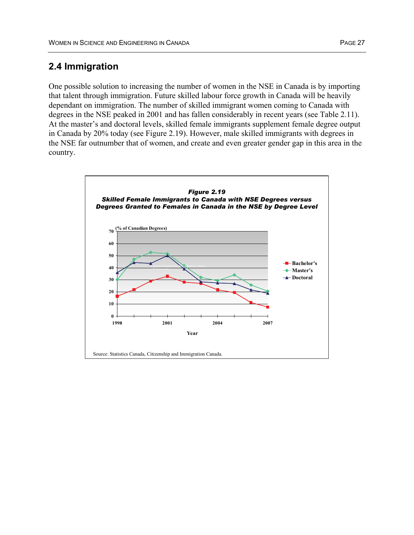### **2.4 Immigration**

One possible solution to increasing the number of women in the NSE in Canada is by importing that talent through immigration. Future skilled labour force growth in Canada will be heavily dependant on immigration. The number of skilled immigrant women coming to Canada with degrees in the NSE peaked in 2001 and has fallen considerably in recent years (see Table 2.11). At the master's and doctoral levels, skilled female immigrants supplement female degree output in Canada by 20% today (see Figure 2.19). However, male skilled immigrants with degrees in the NSE far outnumber that of women, and create and even greater gender gap in this area in the country.

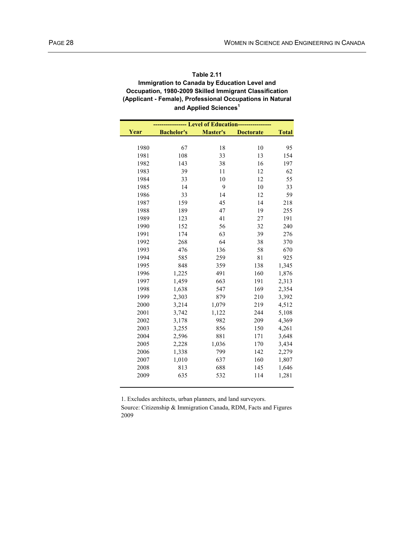#### **Table 2.11 Immigration to Canada by Education Level and Occupation, 1980-2009 Skilled Immigrant Classification (Applicant - Female), Professional Occupations in Natural and Applied Sciences1**

|      |                   | --- Level of Education---- |                  |              |
|------|-------------------|----------------------------|------------------|--------------|
| Year | <b>Bachelor's</b> | Master's                   | <b>Doctorate</b> | <b>Total</b> |
|      |                   |                            |                  |              |
| 1980 | 67                | 18                         | 10               | 95           |
| 1981 | 108               | 33                         | 13               | 154          |
| 1982 | 143               | 38                         | 16               | 197          |
| 1983 | 39                | 11                         | 12               | 62           |
| 1984 | 33                | 10                         | 12               | 55           |
| 1985 | 14                | 9                          | 10               | 33           |
| 1986 | 33                | 14                         | 12               | 59           |
| 1987 | 159               | 45                         | 14               | 218          |
| 1988 | 189               | 47                         | 19               | 255          |
| 1989 | 123               | 41                         | 27               | 191          |
| 1990 | 152               | 56                         | 32               | 240          |
| 1991 | 174               | 63                         | 39               | 276          |
| 1992 | 268               | 64                         | 38               | 370          |
| 1993 | 476               | 136                        | 58               | 670          |
| 1994 | 585               | 259                        | 81               | 925          |
| 1995 | 848               | 359                        | 138              | 1,345        |
| 1996 | 1,225             | 491                        | 160              | 1,876        |
| 1997 | 1,459             | 663                        | 191              | 2,313        |
| 1998 | 1,638             | 547                        | 169              | 2,354        |
| 1999 | 2,303             | 879                        | 210              | 3,392        |
| 2000 | 3,214             | 1,079                      | 219              | 4,512        |
| 2001 | 3,742             | 1,122                      | 244              | 5,108        |
| 2002 | 3,178             | 982                        | 209              | 4,369        |
| 2003 | 3,255             | 856                        | 150              | 4,261        |
| 2004 | 2,596             | 881                        | 171              | 3,648        |
| 2005 | 2,228             | 1,036                      | 170              | 3,434        |
| 2006 | 1,338             | 799                        | 142              | 2,279        |
| 2007 | 1,010             | 637                        | 160              | 1,807        |
| 2008 | 813               | 688                        | 145              | 1,646        |
| 2009 | 635               | 532                        | 114              | 1,281        |
|      |                   |                            |                  |              |

1. Excludes architects, urban planners, and land surveyors.

Source: Citizenship & Immigration Canada, RDM, Facts and Figures 2009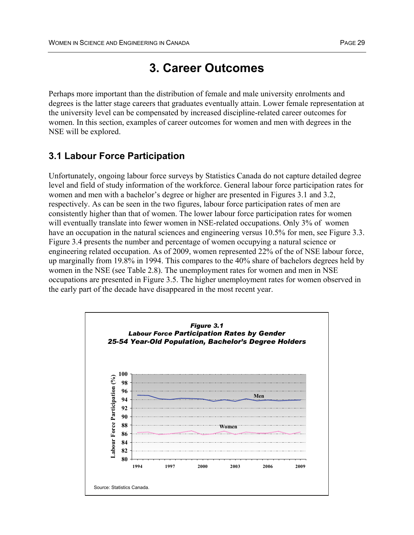## **3. Career Outcomes**

Perhaps more important than the distribution of female and male university enrolments and degrees is the latter stage careers that graduates eventually attain. Lower female representation at the university level can be compensated by increased discipline-related career outcomes for women. In this section, examples of career outcomes for women and men with degrees in the NSE will be explored.

### **3.1 Labour Force Participation**

Unfortunately, ongoing labour force surveys by Statistics Canada do not capture detailed degree level and field of study information of the workforce. General labour force participation rates for women and men with a bachelor's degree or higher are presented in Figures 3.1 and 3.2, respectively. As can be seen in the two figures, labour force participation rates of men are consistently higher than that of women. The lower labour force participation rates for women will eventually translate into fewer women in NSE-related occupations. Only 3% of women have an occupation in the natural sciences and engineering versus 10.5% for men, see Figure 3.3. Figure 3.4 presents the number and percentage of women occupying a natural science or engineering related occupation. As of 2009, women represented 22% of the of NSE labour force, up marginally from 19.8% in 1994. This compares to the 40% share of bachelors degrees held by women in the NSE (see Table 2.8). The unemployment rates for women and men in NSE occupations are presented in Figure 3.5. The higher unemployment rates for women observed in the early part of the decade have disappeared in the most recent year.

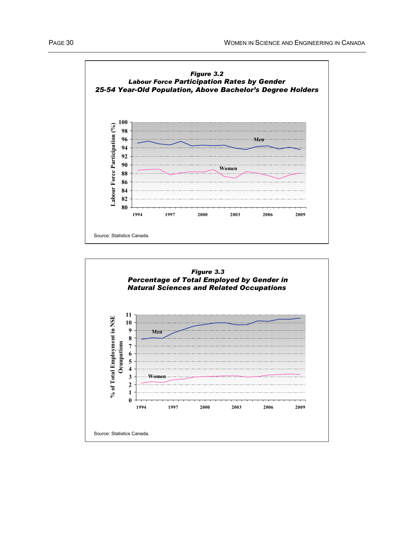

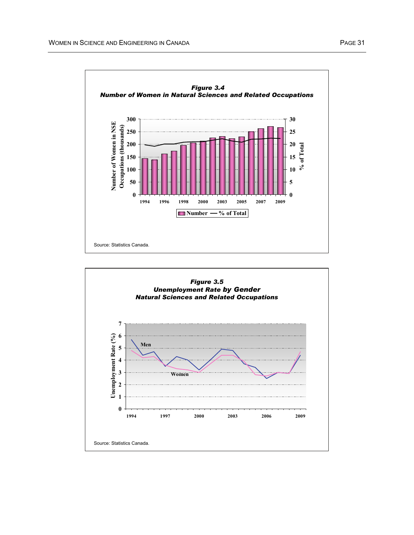

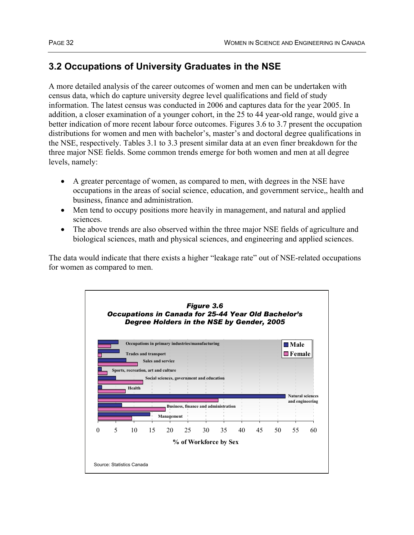# **3.2 Occupations of University Graduates in the NSE**

A more detailed analysis of the career outcomes of women and men can be undertaken with census data, which do capture university degree level qualifications and field of study information. The latest census was conducted in 2006 and captures data for the year 2005. In addition, a closer examination of a younger cohort, in the 25 to 44 year-old range, would give a better indication of more recent labour force outcomes. Figures 3.6 to 3.7 present the occupation distributions for women and men with bachelor's, master's and doctoral degree qualifications in the NSE, respectively. Tables 3.1 to 3.3 present similar data at an even finer breakdown for the three major NSE fields. Some common trends emerge for both women and men at all degree levels, namely:

- A greater percentage of women, as compared to men, with degrees in the NSE have occupations in the areas of social science, education, and government service,, health and business, finance and administration.
- Men tend to occupy positions more heavily in management, and natural and applied sciences.
- The above trends are also observed within the three major NSE fields of agriculture and biological sciences, math and physical sciences, and engineering and applied sciences.

The data would indicate that there exists a higher "leakage rate" out of NSE-related occupations for women as compared to men.

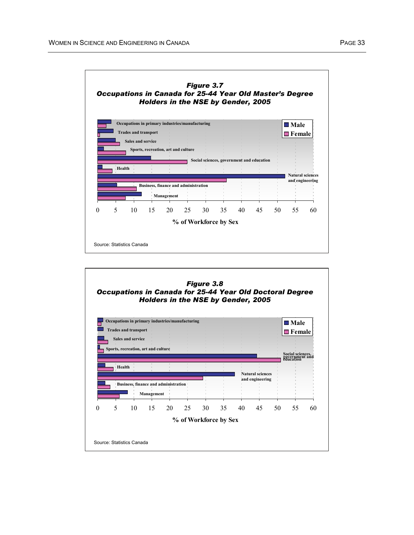

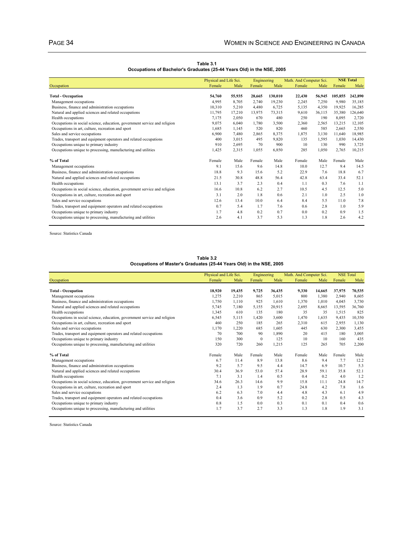| Table 3.1                                                              |  |  |  |  |  |  |  |  |
|------------------------------------------------------------------------|--|--|--|--|--|--|--|--|
| Occupations of Bachelor's Graduates (25-44 Years Old) in the NSE, 2005 |  |  |  |  |  |  |  |  |

|                                                                           | Physical and Life Sci. |        | Engineering |         | Math. And Computer Sci. |        | <b>NSE Total</b> |         |
|---------------------------------------------------------------------------|------------------------|--------|-------------|---------|-------------------------|--------|------------------|---------|
| Occupation                                                                | Female                 | Male   | Female      | Male    | Female                  | Male   | Female           | Male    |
|                                                                           |                        |        |             |         |                         |        |                  |         |
| <b>Total - Occupation</b>                                                 | 54,760                 | 55,935 | 28.665      | 130.010 | 22,430                  | 56,945 | 105.855          | 242,890 |
| Management occupations                                                    | 4,995                  | 8,705  | 2.740       | 19,230  | 2,245                   | 7,250  | 9,980            | 35,185  |
| Business, finance and administration occupations                          | 10,310                 | 5,210  | 4.480       | 6,725   | 5,135                   | 4,350  | 19,925           | 16,285  |
| Natural and applied sciences and related occupations                      | 11,795                 | 17,210 | 13,975      | 73,315  | 9,610                   | 36,115 | 35,380           | 126,640 |
| Health occupations                                                        | 7,175                  | 2,050  | 670         | 480     | 250                     | 190    | 8,095            | 2,720   |
| Occupations in social science, education, government service and religion | 9,075                  | 6,040  | 1,780       | 3,500   | 2,360                   | 2,565  | 13,215           | 12,105  |
| Occupations in art, culture, recreation and sport                         | 1,685                  | 1,145  | 520         | 820     | 460                     | 585    | 2,665            | 2,550   |
| Sales and service occupations                                             | 6,900                  | 7,480  | 2,865       | 8,375   | 1,875                   | 3,130  | 11,640           | 18,985  |
| Trades, transport and equipment operators and related occupations         | 400                    | 3,015  | 495         | 9,820   | 135                     | 1,595  | 1,030            | 14,430  |
| Occupations unique to primary industry                                    | 910                    | 2,695  | 70          | 900     | 10                      | 130    | 990              | 3,725   |
| Occupations unique to processing, manufacturing and utilities             | 1,425                  | 2,315  | 1,055       | 6,850   | 285                     | 1,050  | 2,765            | 10,215  |
| % of Total                                                                | Female                 | Male   | Female      | Male    | Female                  | Male   | Female           | Male    |
| Management occupations                                                    | 9.1                    | 15.6   | 9.6         | 14.8    | 10.0                    | 12.7   | 9.4              | 14.5    |
| Business, finance and administration occupations                          | 18.8                   | 9.3    | 15.6        | 5.2     | 22.9                    | 7.6    | 18.8             | 6.7     |
| Natural and applied sciences and related occupations                      | 21.5                   | 30.8   | 48.8        | 56.4    | 42.8                    | 63.4   | 33.4             | 52.1    |
| Health occupations                                                        | 13.1                   | 3.7    | 2.3         | 0.4     | 1.1                     | 0.3    | 7.6              | 1.1     |
| Occupations in social science, education, government service and religion | 16.6                   | 10.8   | 6.2         | 2.7     | 10.5                    | 4.5    | 12.5             | 5.0     |
| Occupations in art, culture, recreation and sport                         | 3.1                    | 2.0    | 1.8         | 0.6     | 2.1                     | 1.0    | 2.5              | 1.0     |
| Sales and service occupations                                             | 12.6                   | 13.4   | 10.0        | 6.4     | 8.4                     | 5.5    | 11.0             | 7.8     |
| Trades, transport and equipment operators and related occupations         | 0.7                    | 5.4    | 1.7         | 7.6     | 0.6                     | 2.8    | 1.0              | 5.9     |
| Occupations unique to primary industry                                    | 1.7                    | 4.8    | 0.2         | 0.7     | 0.0                     | 0.2    | 0.9              | 1.5     |
| Occupations unique to processing, manufacturing and utilities             | 2.6                    | 4.1    | 3.7         | 5.3     | 1.3                     | 1.8    | 2.6              | 4.2     |

Source: Statistics Canada

**Table 3.2 Occupations of Master's Graduates (25-44 Years Old) in the NSE, 2005**

|                                                                           | Physical and Life Sci. |        | Engineering  |        | Math. And Computer Sci. |        | <b>NSE Total</b> |        |
|---------------------------------------------------------------------------|------------------------|--------|--------------|--------|-------------------------|--------|------------------|--------|
| Occupation                                                                | Female                 | Male   | Female       | Male   | Female                  | Male   | Female           | Male   |
|                                                                           |                        |        |              |        |                         |        |                  |        |
| <b>Total - Occupation</b>                                                 | 18,920                 | 19,435 | 9,725        | 36,435 | 9,330                   | 14,665 | 37,975           | 70,535 |
| Management occupations                                                    | 1,275                  | 2,210  | 865          | 5,015  | 800                     | 1,380  | 2,940            | 8,605  |
| Business, finance and administration occupations                          | 1,750                  | 1,110  | 925          | 1,610  | 1,370                   | 1,010  | 4,045            | 3,730  |
| Natural and applied sciences and related occupations                      | 5,745                  | 7,180  | 5,155        | 20,915 | 2,695                   | 8,665  | 13,595           | 36,760 |
| Health occupations                                                        | 1,345                  | 610    | 135          | 180    | 35                      | 35     | 1,515            | 825    |
| Occupations in social science, education, government service and religion | 6,545                  | 5,115  | 1,420        | 3,600  | 1,470                   | 1,635  | 9,435            | 10,350 |
| Occupations in art, culture, recreation and sport                         | 460                    | 250    | 185          | 265    | 2,310                   | 615    | 2,955            | 1,130  |
| Sales and service occupations                                             | 1,170                  | 1,220  | 685          | 1,605  | 445                     | 630    | 2,300            | 3,455  |
| Trades, transport and equipment operators and related occupations         | 70                     | 700    | 90           | 1,890  | 20                      | 415    | 180              | 3,005  |
| Occupations unique to primary industry                                    | 150                    | 300    | $\mathbf{0}$ | 125    | 10                      | 10     | 160              | 435    |
| Occupations unique to processing, manufacturing and utilities             | 320                    | 720    | 260          | 1,215  | 125                     | 265    | 705              | 2,200  |
| % of Total                                                                | Female                 | Male   | Female       | Male   | Female                  | Male   | Female           | Male   |
| Management occupations                                                    | 6.7                    | 11.4   | 8.9          | 13.8   | 8.6                     | 9.4    | 7.7              | 12.2   |
| Business, finance and administration occupations                          | 9.2                    | 5.7    | 9.5          | 4.4    | 14.7                    | 6.9    | 10.7             | 5.3    |
| Natural and applied sciences and related occupations                      | 30.4                   | 36.9   | 53.0         | 57.4   | 28.9                    | 59.1   | 35.8             | 52.1   |
| Health occupations                                                        | 7.1                    | 3.1    | 1.4          | 0.5    | 0.4                     | 0.2    | 4.0              | 1.2    |
| Occupations in social science, education, government service and religion | 34.6                   | 26.3   | 14.6         | 9.9    | 15.8                    | 11.1   | 24.8             | 14.7   |
| Occupations in art, culture, recreation and sport                         | 2.4                    | 1.3    | 1.9          | 0.7    | 24.8                    | 4.2    | 7.8              | 1.6    |
| Sales and service occupations                                             | 6.2                    | 6.3    | 7.0          | 4.4    | 4.8                     | 4.3    | 6.1              | 4.9    |
| Trades, transport and equipment operators and related occupations         | 0.4                    | 3.6    | 0.9          | 5.2    | 0.2                     | 2.8    | 0.5              | 4.3    |
| Occupations unique to primary industry                                    | 0.8                    | 1.5    | 0.0          | 0.3    | 0.1                     | 0.1    | 0.4              | 0.6    |
| Occupations unique to processing, manufacturing and utilities             | 1.7                    | 3.7    | 2.7          | 3.3    | 1.3                     | 1.8    | 1.9              | 3.1    |

Source: Statistics Canada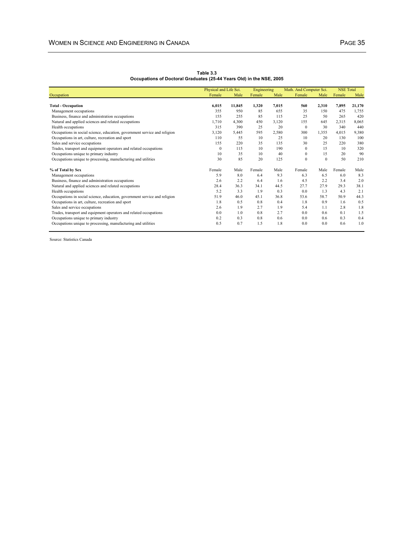|                                                                           | Physical and Life Sci. |        | Engineering |       | Math. And Computer Sci. |          | <b>NSE Total</b> |        |
|---------------------------------------------------------------------------|------------------------|--------|-------------|-------|-------------------------|----------|------------------|--------|
| Occupation                                                                | Female                 | Male   | Female      | Male  | Female                  | Male     | Female           | Male   |
| <b>Total - Occupation</b>                                                 | 6,015                  | 11,845 | 1,320       | 7,015 | 560                     | 2,310    | 7,895            | 21,170 |
| Management occupations                                                    | 355                    | 950    | 85          | 655   | 35                      | 150      | 475              | 1,755  |
| Business, finance and administration occupations                          | 155                    | 255    | 85          | 115   | 25                      | 50       | 265              | 420    |
| Natural and applied sciences and related occupations                      | 1.710                  | 4,300  | 450         | 3,120 | 155                     | 645      | 2,315            | 8.065  |
| Health occupations                                                        | 315                    | 390    | 25          | 20    | $\Omega$                | 30       | 340              | 440    |
| Occupations in social science, education, government service and religion | 3,120                  | 5,445  | 595         | 2,580 | 300                     | 1,355    | 4,015            | 9,380  |
| Occupations in art, culture, recreation and sport                         | 110                    | 55     | 10          | 25    | 10                      | 20       | 130              | 100    |
| Sales and service occupations                                             | 155                    | 220    | 35          | 135   | 30                      | 25       | 220              | 380    |
| Trades, transport and equipment operators and related occupations         | $\mathbf{0}$           | 115    | 10          | 190   | $\Omega$                | 15       | 10               | 320    |
| Occupations unique to primary industry                                    | 10                     | 35     | 10          | 40    | $\mathbf{0}$            | 15       | 20               | 90     |
| Occupations unique to processing, manufacturing and utilities             | 30                     | 85     | 20          | 125   | $\theta$                | $\Omega$ | 50               | 210    |
| % of Total by Sex                                                         | Female                 | Male   | Female      | Male  | Female                  | Male     | Female           | Male   |
| Management occupations                                                    | 5.9                    | 8.0    | 6.4         | 9.3   | 6.3                     | 6.5      | 6.0              | 8.3    |
| Business, finance and administration occupations                          | 2.6                    | 2.2    | 6.4         | 1.6   | 4.5                     | 2.2      | 3.4              | 2.0    |
| Natural and applied sciences and related occupations                      | 28.4                   | 36.3   | 34.1        | 44.5  | 27.7                    | 27.9     | 29.3             | 38.1   |
| Health occupations                                                        | 5.2                    | 3.3    | 1.9         | 0.3   | 0.0                     | 1.3      | 4.3              | 2.1    |
| Occupations in social science, education, government service and religion | 51.9                   | 46.0   | 45.1        | 36.8  | 53.6                    | 58.7     | 50.9             | 44.3   |
| Occupations in art, culture, recreation and sport                         | 1.8                    | 0.5    | 0.8         | 0.4   | 1.8                     | 0.9      | 1.6              | 0.5    |
| Sales and service occupations                                             | 2.6                    | 1.9    | 2.7         | 1.9   | 5.4                     | 11       | 2.8              | 1.8    |
| Trades, transport and equipment operators and related occupations         | 0.0                    | 1.0    | 0.8         | 2.7   | 0.0                     | 0.6      | 0.1              | 1.5    |
| Occupations unique to primary industry                                    | 0.2                    | 0.3    | 0.8         | 0.6   | 0.0                     | 0.6      | 0.3              | 0.4    |
| Occupations unique to processing, manufacturing and utilities             | 0.5                    | 0.7    | 1.5         | 1.8   | 0.0                     | 0.0      | 0.6              | 1.0    |

**Table 3.3 Occupations of Doctoral Graduates (25-44 Years Old) in the NSE, 2005**

Source: Statistics Canada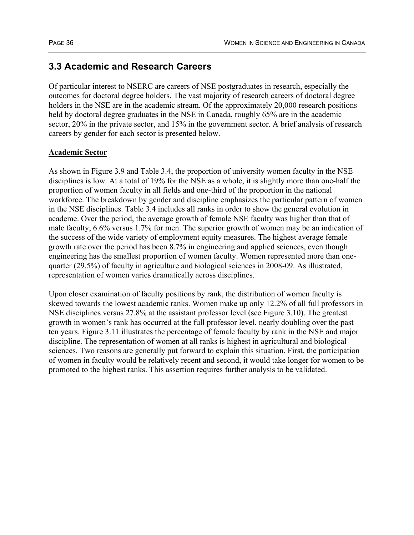### **3.3 Academic and Research Careers**

Of particular interest to NSERC are careers of NSE postgraduates in research, especially the outcomes for doctoral degree holders. The vast majority of research careers of doctoral degree holders in the NSE are in the academic stream. Of the approximately 20,000 research positions held by doctoral degree graduates in the NSE in Canada, roughly 65% are in the academic sector, 20% in the private sector, and 15% in the government sector. A brief analysis of research careers by gender for each sector is presented below.

### **Academic Sector**

As shown in Figure 3.9 and Table 3.4, the proportion of university women faculty in the NSE disciplines is low. At a total of 19% for the NSE as a whole, it is slightly more than one-half the proportion of women faculty in all fields and one-third of the proportion in the national workforce. The breakdown by gender and discipline emphasizes the particular pattern of women in the NSE disciplines. Table 3.4 includes all ranks in order to show the general evolution in academe. Over the period, the average growth of female NSE faculty was higher than that of male faculty, 6.6% versus 1.7% for men. The superior growth of women may be an indication of the success of the wide variety of employment equity measures. The highest average female growth rate over the period has been 8.7% in engineering and applied sciences, even though engineering has the smallest proportion of women faculty. Women represented more than onequarter (29.5%) of faculty in agriculture and biological sciences in 2008-09. As illustrated, representation of women varies dramatically across disciplines.

Upon closer examination of faculty positions by rank, the distribution of women faculty is skewed towards the lowest academic ranks. Women make up only 12.2% of all full professors in NSE disciplines versus 27.8% at the assistant professor level (see Figure 3.10). The greatest growth in women's rank has occurred at the full professor level, nearly doubling over the past ten years. Figure 3.11 illustrates the percentage of female faculty by rank in the NSE and major discipline. The representation of women at all ranks is highest in agricultural and biological sciences. Two reasons are generally put forward to explain this situation. First, the participation of women in faculty would be relatively recent and second, it would take longer for women to be promoted to the highest ranks. This assertion requires further analysis to be validated.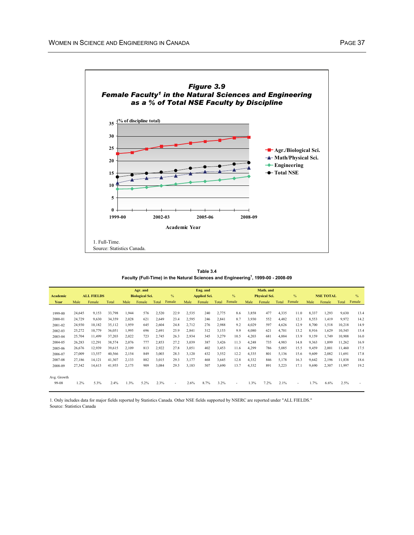

**Table 3.4 Faculty (Full-Time) in the Natural Sciences and Engineering1 , 1999-00 - 2008-09**

|             | Eng. and<br>Agr. and |                   |        |       |                        | Math. and |               |       |                     |       |        |       |                      |       |        |       |                  |        |               |
|-------------|----------------------|-------------------|--------|-------|------------------------|-----------|---------------|-------|---------------------|-------|--------|-------|----------------------|-------|--------|-------|------------------|--------|---------------|
| Academic    |                      | <b>ALL FIELDS</b> |        |       | <b>Biological Sci.</b> |           | $\frac{0}{6}$ |       | <b>Applied Sci.</b> |       | $\%$   |       | <b>Physical Sci.</b> |       | $\%$   |       | <b>NSE TOTAL</b> |        | $\frac{0}{6}$ |
| Year        | Male                 | Female            | Total  | Male  | Female                 | Total     | Female        | Male  | Female              | Total | Female | Male  | Female               | Total | Female | Male  | Female           | Total  | Female        |
|             |                      |                   |        |       |                        |           |               |       |                     |       |        |       |                      |       |        |       |                  |        |               |
| 1999-00     | 24,645               | 9,153             | 33,798 | 1,944 | 576                    | 2,520     | 22.9          | 2,535 | 240                 | 2,775 | 8.6    | 3,858 | 477                  | 4,335 | 11.0   | 8,337 | 1,293            | 9,630  | 13.4          |
| 2000-01     | 24,729               | 9,630             | 34,359 | 2,028 | 621                    | 2,649     | 23.4          | 2,595 | 246                 | 2,841 | 8.7    | 3,930 | 552                  | 4,482 | 12.3   | 8,553 | 1,419            | 9.972  | 14.2          |
| 2001-02     | 24,930               | 10,182            | 35,112 | 1.959 | 645                    | 2,604     | 24.8          | 2,712 | 276                 | 2,988 | 9.2    | 4,029 | 597                  | 4,626 | 12.9   | 8,700 | 1,518            | 10,218 | 14.9          |
| 2002-03     | 25,272               | 10.779            | 36,051 | 1.995 | 696                    | 2,691     | 25.9          | 2,841 | 312                 | 3,153 | 9.9    | 4,080 | 621                  | 4.701 | 13.2   | 8,916 | 1,629            | 10,545 | 15.4          |
| 2003-04     | 25,704               | 11,499            | 37,203 | 2,022 | 723                    | 2,745     | 26.3          | 2,934 | 345                 | 3,279 | 10.5   | 4,203 | 681                  | 4,884 | 13.9   | 9,159 | 1,749            | 10,908 | 16.0          |
| 2004-05     | 26,283               | 12,291            | 38,574 | 2,076 | 777                    | 2,853     | 27.2          | 3,039 | 387                 | 3,426 | 11.3   | 4,248 | 735                  | 4,983 | 14.8   | 9,363 | 1,899            | 11,262 | 16.9          |
| 2005-06     | 26,676               | 12,939            | 39,615 | 2,109 | 813                    | 2,922     | 27.8          | 3,051 | 402                 | 3,453 | 11.6   | 4,299 | 786                  | 5,085 | 15.5   | 9,459 | 2,001            | 11,460 | 17.5          |
| 2006-07     | 27,009               | 13,557            | 40,566 | 2,154 | 849                    | 3,003     | 28.3          | 3,120 | 432                 | 3,552 | 12.2   | 4,335 | 801                  | 5,136 | 15.6   | 9.609 | 2,082            | 11.691 | 17.8          |
| 2007-08     | 27,186               | 14,121            | 41,307 | 2,133 | 882                    | 3,015     | 29.3          | 3,177 | 468                 | 3,645 | 12.8   | 4,332 | 846                  | 5,178 | 16.3   | 9,642 | 2,196            | 11.838 | 18.6          |
| 2008-09     | 27,342               | 14.613            | 41.955 | 2,175 | 909                    | 3,084     | 29.5          | 3,183 | 507                 | 3,690 | 13.7   | 4,332 | 891                  | 5,223 | 17.1   | 9,690 | 2,307            | 1.997  | 19.2          |
|             |                      |                   |        |       |                        |           |               |       |                     |       |        |       |                      |       |        |       |                  |        |               |
| Avg. Growth |                      |                   |        |       |                        |           |               |       |                     |       |        |       |                      |       |        |       |                  |        |               |
| 99-08       | 1.2%                 | 5.3%              | 2.4%   | 1.3%  | 5.2%                   | 2.3%      |               | 2.6%  | 8.7%                | 3.2%  |        | 1.3%  | 7.2%                 | 2.1%  | ٠      | 1.7%  | 6.6%             | 2.5%   |               |
|             |                      |                   |        |       |                        |           |               |       |                     |       |        |       |                      |       |        |       |                  |        |               |

1. Only includes data for major fields reported by Statistics Canada. Other NSE fields supported by NSERC are reported under "ALL FIELDS." Source: Statistics Canada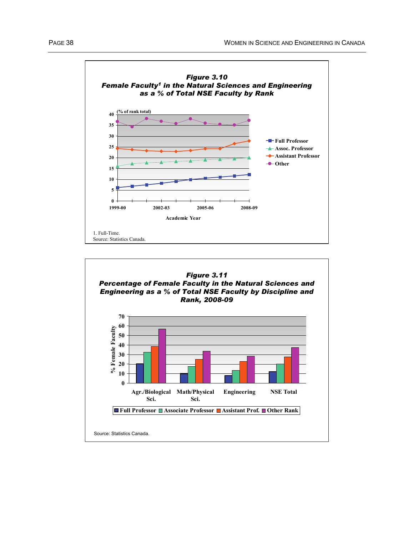



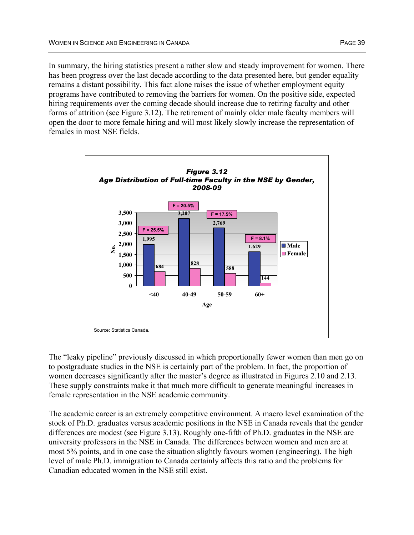In summary, the hiring statistics present a rather slow and steady improvement for women. There has been progress over the last decade according to the data presented here, but gender equality remains a distant possibility. This fact alone raises the issue of whether employment equity programs have contributed to removing the barriers for women. On the positive side, expected hiring requirements over the coming decade should increase due to retiring faculty and other forms of attrition (see Figure 3.12). The retirement of mainly older male faculty members will open the door to more female hiring and will most likely slowly increase the representation of females in most NSE fields.



The "leaky pipeline" previously discussed in which proportionally fewer women than men go on to postgraduate studies in the NSE is certainly part of the problem. In fact, the proportion of women decreases significantly after the master's degree as illustrated in Figures 2.10 and 2.13. These supply constraints make it that much more difficult to generate meaningful increases in female representation in the NSE academic community.

The academic career is an extremely competitive environment. A macro level examination of the stock of Ph.D. graduates versus academic positions in the NSE in Canada reveals that the gender differences are modest (see Figure 3.13). Roughly one-fifth of Ph.D. graduates in the NSE are university professors in the NSE in Canada. The differences between women and men are at most 5% points, and in one case the situation slightly favours women (engineering). The high level of male Ph.D. immigration to Canada certainly affects this ratio and the problems for Canadian educated women in the NSE still exist.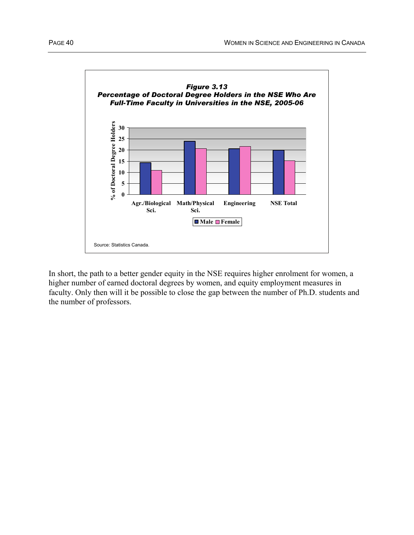

In short, the path to a better gender equity in the NSE requires higher enrolment for women, a higher number of earned doctoral degrees by women, and equity employment measures in faculty. Only then will it be possible to close the gap between the number of Ph.D. students and the number of professors.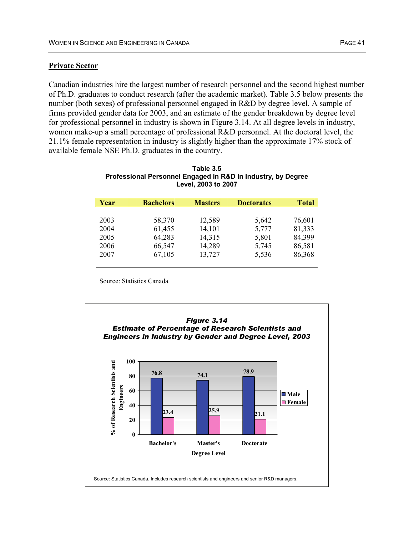### **Private Sector**

Canadian industries hire the largest number of research personnel and the second highest number of Ph.D. graduates to conduct research (after the academic market). Table 3.5 below presents the number (both sexes) of professional personnel engaged in R&D by degree level. A sample of firms provided gender data for 2003, and an estimate of the gender breakdown by degree level for professional personnel in industry is shown in Figure 3.14. At all degree levels in industry, women make-up a small percentage of professional R&D personnel. At the doctoral level, the 21.1% female representation in industry is slightly higher than the approximate 17% stock of available female NSE Ph.D. graduates in the country.

| Year | <b>Bachelors</b> | <b>Masters</b> | <b>Doctorates</b> | <b>Total</b> |
|------|------------------|----------------|-------------------|--------------|
|      |                  |                |                   |              |
| 2003 | 58,370           | 12,589         | 5,642             | 76,601       |
| 2004 | 61,455           | 14,101         | 5,777             | 81,333       |
| 2005 | 64,283           | 14,315         | 5,801             | 84,399       |
| 2006 | 66,547           | 14,289         | 5,745             | 86,581       |
| 2007 | 67,105           | 13,727         | 5,536             | 86,368       |
|      |                  |                |                   |              |

#### **Table 3.5 Professional Personnel Engaged in R&D in Industry, by Degree Level, 2003 to 2007**

Source: Statistics Canada

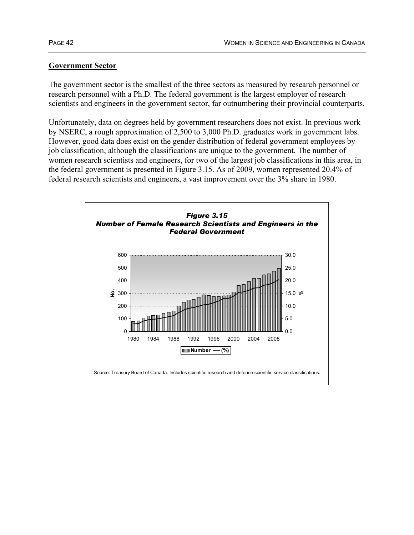### **Government Sector**

The government sector is the smallest of the three sectors as measured by research personnel or research personnel with a Ph.D. The federal government is the largest employer of research scientists and engineers in the government sector, far outnumbering their provincial counterparts.

Unfortunately, data on degrees held by government researchers does not exist. In previous work by NSERC, a rough approximation of 2,500 to 3,000 Ph.D. graduates work in government labs. However, good data does exist on the gender distribution of federal government employees by job classification, although the classifications are unique to the government. The number of women research scientists and engineers, for two of the largest job classifications in this area, in the federal government is presented in Figure 3.15. As of 2009, women represented 20.4% of federal research scientists and engineers, a vast improvement over the 3% share in 1980.

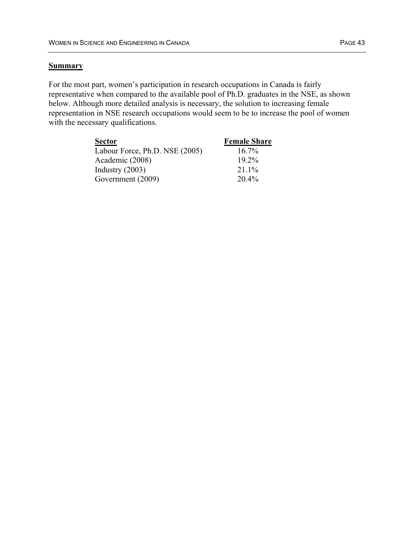### **Summary**

For the most part, women's participation in research occupations in Canada is fairly representative when compared to the available pool of Ph.D. graduates in the NSE, as shown below. Although more detailed analysis is necessary, the solution to increasing female representation in NSE research occupations would seem to be to increase the pool of women with the necessary qualifications.

| <b>Sector</b>                  | <b>Female Share</b> |
|--------------------------------|---------------------|
| Labour Force, Ph.D. NSE (2005) | $16.7\%$            |
| Academic (2008)                | $19.2\%$            |
| Industry $(2003)$              | $211\%$             |
| Government (2009)              | $20.4\%$            |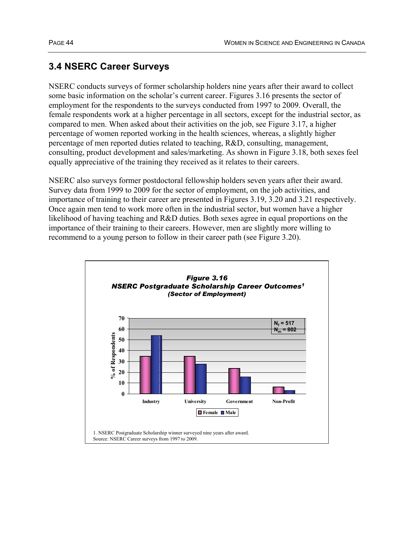# **3.4 NSERC Career Surveys**

NSERC conducts surveys of former scholarship holders nine years after their award to collect some basic information on the scholar's current career. Figures 3.16 presents the sector of employment for the respondents to the surveys conducted from 1997 to 2009. Overall, the female respondents work at a higher percentage in all sectors, except for the industrial sector, as compared to men. When asked about their activities on the job, see Figure 3.17, a higher percentage of women reported working in the health sciences, whereas, a slightly higher percentage of men reported duties related to teaching, R&D, consulting, management, consulting, product development and sales/marketing. As shown in Figure 3.18, both sexes feel equally appreciative of the training they received as it relates to their careers.

NSERC also surveys former postdoctoral fellowship holders seven years after their award. Survey data from 1999 to 2009 for the sector of employment, on the job activities, and importance of training to their career are presented in Figures 3.19, 3.20 and 3.21 respectively. Once again men tend to work more often in the industrial sector, but women have a higher likelihood of having teaching and R&D duties. Both sexes agree in equal proportions on the importance of their training to their careers. However, men are slightly more willing to recommend to a young person to follow in their career path (see Figure 3.20).

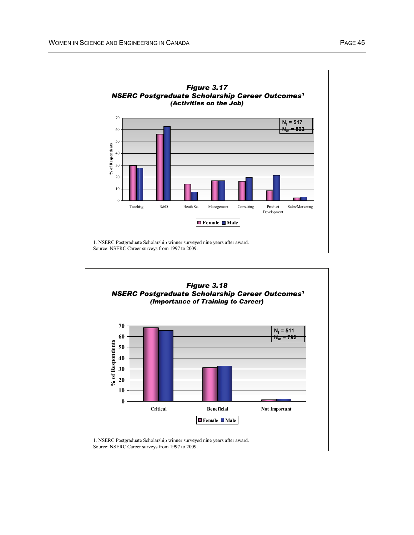

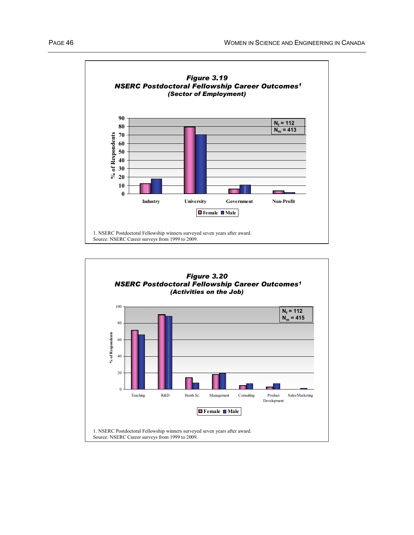

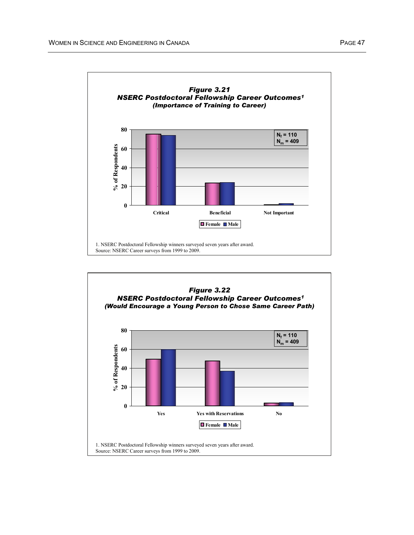

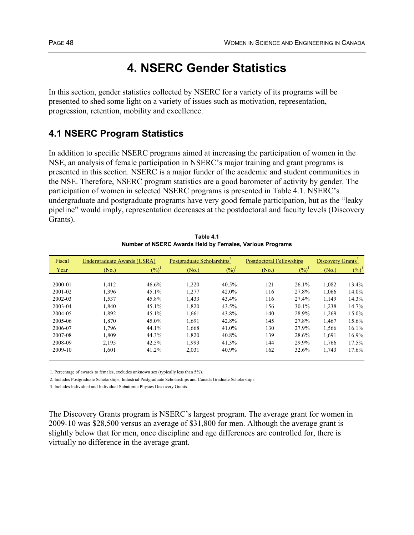# **4. NSERC Gender Statistics**

In this section, gender statistics collected by NSERC for a variety of its programs will be presented to shed some light on a variety of issues such as motivation, representation, progression, retention, mobility and excellence.

# **4.1 NSERC Program Statistics**

In addition to specific NSERC programs aimed at increasing the participation of women in the NSE, an analysis of female participation in NSERC's major training and grant programs is presented in this section. NSERC is a major funder of the academic and student communities in the NSE. Therefore, NSERC program statistics are a good barometer of activity by gender. The participation of women in selected NSERC programs is presented in Table 4.1. NSERC's undergraduate and postgraduate programs have very good female participation, but as the "leaky pipeline" would imply, representation decreases at the postdoctoral and faculty levels (Discovery Grants).

| Fiscal      | Undergraduate Awards (USRA) |          | Postgraduate Scholarships <sup>2</sup> |          | <b>Postdoctoral Fellowships</b> | Discovery Grants <sup>3</sup> |       |          |
|-------------|-----------------------------|----------|----------------------------------------|----------|---------------------------------|-------------------------------|-------|----------|
| Year        | (No.)                       | $(\%)^1$ | (No.)                                  | $(\%)^1$ | (No.)                           | $\frac{6}{2}$                 | (No.) | $(\%)^1$ |
|             |                             |          |                                        |          |                                 |                               |       |          |
| 2000-01     | 1,412                       | 46.6%    | 1,220                                  | 40.5%    | 121                             | 26.1%                         | 1,082 | 13.4%    |
| $2001 - 02$ | 1.396                       | 45.1%    | 1,277                                  | 42.0%    | 116                             | 27.8%                         | 1,066 | 14.0%    |
| 2002-03     | 1.537                       | 45.8%    | 1,433                                  | 43.4%    | 116                             | 27.4%                         | 1,149 | 14.3%    |
| 2003-04     | 1,840                       | 45.1%    | 1,820                                  | 43.5%    | 156                             | 30.1%                         | 1,238 | 14.7%    |
| 2004-05     | 1.892                       | 45.1%    | 1.661                                  | 43.8%    | 140                             | 28.9%                         | 1,269 | 15.0%    |
| 2005-06     | 1,870                       | 45.0%    | 1,691                                  | 42.8%    | 145                             | 27.8%                         | 1,467 | 15.6%    |
| 2006-07     | 1,796                       | 44.1%    | 1,668                                  | 41.0%    | 130                             | 27.9%                         | 1,566 | 16.1%    |
| 2007-08     | 1.809                       | 44.3%    | 1.820                                  | 40.8%    | 139                             | 28.6%                         | 1,691 | 16.9%    |
| 2008-09     | 2,195                       | 42.5%    | 1,993                                  | 41.3%    | 144                             | 29.9%                         | 1,766 | 17.5%    |
| 2009-10     | 1,601                       | 41.2%    | 2,031                                  | 40.9%    | 162                             | 32.6%                         | 1,743 | 17.6%    |

**Table 4.1 Number of NSERC Awards Held by Females, Various Programs**

1. Percentage of awards to females, excludes unknown sex (typically less than 5%).

2. Includes Postgraduate Scholarships, Industrial Postgraduate Scholarships and Canada Graduate Scholarships.

3. Includes Individual and Individual Subatomic Physics Discovery Grants.

The Discovery Grants program is NSERC's largest program. The average grant for women in 2009-10 was \$28,500 versus an average of \$31,800 for men. Although the average grant is slightly below that for men, once discipline and age differences are controlled for, there is virtually no difference in the average grant.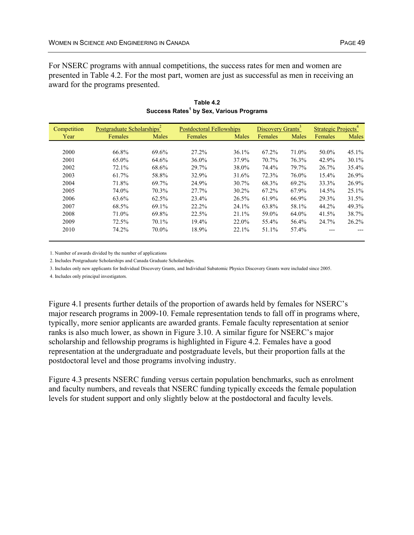For NSERC programs with annual competitions, the success rates for men and women are presented in Table 4.2. For the most part, women are just as successful as men in receiving an award for the programs presented.

| Competition | Postgraduate Scholarships <sup>2</sup> |          | <b>Postdoctoral Fellowships</b> |          | Discovery Grants <sup>3</sup> |       | Strategic Projects <sup>4</sup> |          |
|-------------|----------------------------------------|----------|---------------------------------|----------|-------------------------------|-------|---------------------------------|----------|
| Year        | Females                                | Males    | Females                         | Males    | Females                       | Males | Females                         | Males    |
|             |                                        |          |                                 |          |                               |       |                                 |          |
| 2000        | 66.8%                                  | 69.6%    | 27.2%                           | 36.1%    | 67.2%                         | 71.0% | 50.0%                           | 45.1%    |
| 2001        | 65.0%                                  | 64.6%    | $36.0\%$                        | 37.9%    | 70.7%                         | 76.3% | 42.9%                           | 30.1%    |
| 2002        | 72.1%                                  | 68.6%    | 29.7%                           | 38.0%    | 74.4%                         | 79.7% | 26.7%                           | $35.4\%$ |
| 2003        | 61.7%                                  | 58.8%    | 32.9%                           | 31.6%    | 72.3%                         | 76.0% | 15.4%                           | 26.9%    |
| 2004        | 71.8%                                  | 69.7%    | 24.9%                           | 30.7%    | 68.3%                         | 69.2% | 33.3%                           | 26.9%    |
| 2005        | 74.0%                                  | 70.3%    | 27.7%                           | $30.2\%$ | 67.2%                         | 67.9% | 14.5%                           | 25.1%    |
| 2006        | 63.6%                                  | 62.5%    | 23.4%                           | 26.5%    | 61.9%                         | 66.9% | 29.3%                           | 31.5%    |
| 2007        | 68.5%                                  | 69.1%    | 22.2%                           | 24.1%    | 63.8%                         | 58.1% | 44.2%                           | 49.3%    |
| 2008        | 71.0%                                  | 69.8%    | 22.5%                           | 21.1%    | 59.0%                         | 64.0% | 41.5%                           | 38.7%    |
| 2009        | 72.5%                                  | $70.1\%$ | 19.4%                           | 22.0%    | 55.4%                         | 56.4% | 24.7%                           | 26.2%    |
| 2010        | 74.2%                                  | 70.0%    | 18.9%                           | 22.1%    | 51.1%                         | 57.4% |                                 |          |

**Table 4.2 Success Rates<sup>1</sup> by Sex, Various Programs**

1. Number of awards divided by the number of applications

2. Includes Postgraduate Scholarships and Canada Graduate Scholarships.

3. Includes only new applicants for Individual Discovery Grants, and Individual Subatomic Physics Discovery Grants were included since 2005.

4. Includes only principal investigators.

Figure 4.1 presents further details of the proportion of awards held by females for NSERC's major research programs in 2009-10. Female representation tends to fall off in programs where, typically, more senior applicants are awarded grants. Female faculty representation at senior ranks is also much lower, as shown in Figure 3.10. A similar figure for NSERC's major scholarship and fellowship programs is highlighted in Figure 4.2. Females have a good representation at the undergraduate and postgraduate levels, but their proportion falls at the postdoctoral level and those programs involving industry.

Figure 4.3 presents NSERC funding versus certain population benchmarks, such as enrolment and faculty numbers, and reveals that NSERC funding typically exceeds the female population levels for student support and only slightly below at the postdoctoral and faculty levels.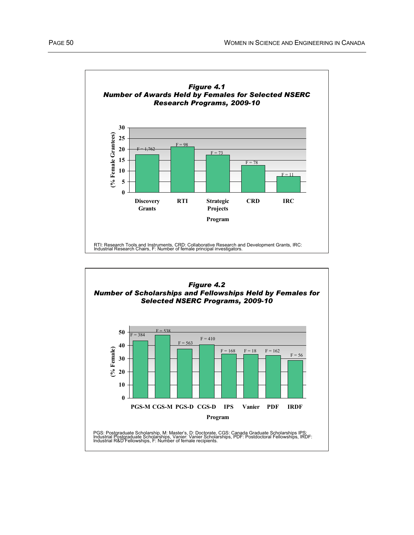

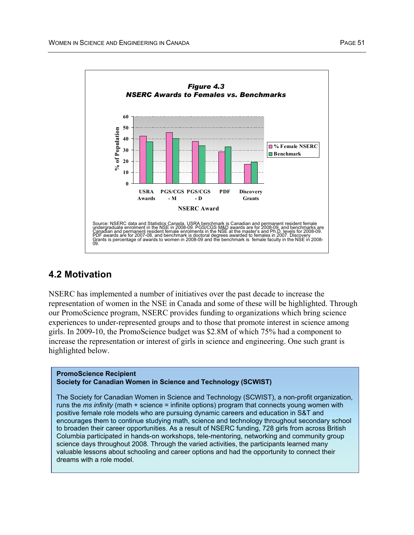

### **4.2 Motivation**

NSERC has implemented a number of initiatives over the past decade to increase the representation of women in the NSE in Canada and some of these will be highlighted. Through our PromoScience program, NSERC provides funding to organizations which bring science experiences to under-represented groups and to those that promote interest in science among girls. In 2009-10, the PromoScience budget was \$2.8M of which 75% had a component to increase the representation or interest of girls in science and engineering. One such grant is highlighted below.

#### **PromoScience Recipient Society for Canadian Women in Science and Technology (SCWIST)**

The Society for Canadian Women in Science and Technology (SCWIST), a non-profit organization, runs the *ms infinity* (math + science = infinite options) program that connects young women with positive female role models who are pursuing dynamic careers and education in S&T and encourages them to continue studying math, science and technology throughout secondary school to broaden their career opportunities. As a result of NSERC funding, 728 girls from across British Columbia participated in hands-on workshops, tele-mentoring, networking and community group science days throughout 2008. Through the varied activities, the participants learned many valuable lessons about schooling and career options and had the opportunity to connect their dreams with a role model.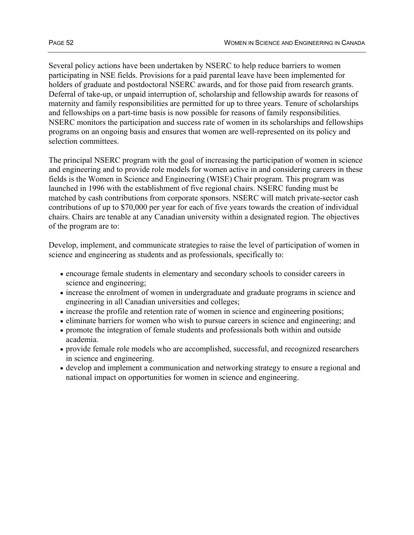Several policy actions have been undertaken by NSERC to help reduce barriers to women participating in NSE fields. Provisions for a paid parental leave have been implemented for holders of graduate and postdoctoral NSERC awards, and for those paid from research grants. Deferral of take-up, or unpaid interruption of, scholarship and fellowship awards for reasons of maternity and family responsibilities are permitted for up to three years. Tenure of scholarships and fellowships on a part-time basis is now possible for reasons of family responsibilities. NSERC monitors the participation and success rate of women in its scholarships and fellowships programs on an ongoing basis and ensures that women are well-represented on its policy and selection committees.

The principal NSERC program with the goal of increasing the participation of women in science and engineering and to provide role models for women active in and considering careers in these fields is the Women in Science and Engineering (WISE) Chair program. This program was launched in 1996 with the establishment of five regional chairs. NSERC funding must be matched by cash contributions from corporate sponsors. NSERC will match private-sector cash contributions of up to \$70,000 per year for each of five years towards the creation of individual chairs. Chairs are tenable at any Canadian university within a designated region. The objectives of the program are to:

Develop, implement, and communicate strategies to raise the level of participation of women in science and engineering as students and as professionals, specifically to:

- encourage female students in elementary and secondary schools to consider careers in science and engineering;
- increase the enrolment of women in undergraduate and graduate programs in science and engineering in all Canadian universities and colleges;
- increase the profile and retention rate of women in science and engineering positions;
- eliminate barriers for women who wish to pursue careers in science and engineering; and
- promote the integration of female students and professionals both within and outside academia.
- provide female role models who are accomplished, successful, and recognized researchers in science and engineering.
- develop and implement a communication and networking strategy to ensure a regional and national impact on opportunities for women in science and engineering.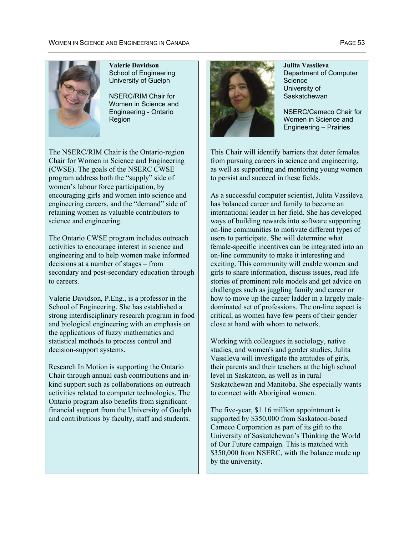

#### **Valerie Davidson**  School of Engineering University of Guelph

NSERC/RIM Chair for Women in Science and Engineering - Ontario Region

The NSERC/RIM Chair is the Ontario-region Chair for Women in Science and Engineering (CWSE). The goals of the NSERC CWSE program address both the "supply" side of women's labour force participation, by encouraging girls and women into science and engineering careers, and the "demand" side of retaining women as valuable contributors to science and engineering.

The Ontario CWSE program includes outreach activities to encourage interest in science and engineering and to help women make informed decisions at a number of stages – from secondary and post-secondary education through to careers.

Valerie Davidson, P.Eng., is a professor in the School of Engineering. She has established a strong interdisciplinary research program in food and biological engineering with an emphasis on the applications of fuzzy mathematics and statistical methods to process control and decision-support systems.

Research In Motion is supporting the Ontario Chair through annual cash contributions and inkind support such as collaborations on outreach activities related to computer technologies. The Ontario program also benefits from significant financial support from the University of Guelph and contributions by faculty, staff and students.



**Julita Vassileva**  Department of Computer Science University of **Saskatchewan** 

NSERC/Cameco Chair for Women in Science and Engineering – Prairies

This Chair will identify barriers that deter females from pursuing careers in science and engineering, as well as supporting and mentoring young women to persist and succeed in these fields.

As a successful computer scientist, Julita Vassileva has balanced career and family to become an international leader in her field. She has developed ways of building rewards into software supporting on-line communities to motivate different types of users to participate. She will determine what female-specific incentives can be integrated into an on-line community to make it interesting and exciting. This community will enable women and girls to share information, discuss issues, read life stories of prominent role models and get advice on challenges such as juggling family and career or how to move up the career ladder in a largely maledominated set of professions. The on-line aspect is critical, as women have few peers of their gender close at hand with whom to network.

Working with colleagues in sociology, native studies, and women's and gender studies, Julita Vassileva will investigate the attitudes of girls, their parents and their teachers at the high school level in Saskatoon, as well as in rural Saskatchewan and Manitoba. She especially wants to connect with Aboriginal women.

The five-year, \$1.16 million appointment is supported by \$350,000 from Saskatoon-based Cameco Corporation as part of its gift to the University of Saskatchewan's Thinking the World of Our Future campaign. This is matched with \$350,000 from NSERC, with the balance made up by the university.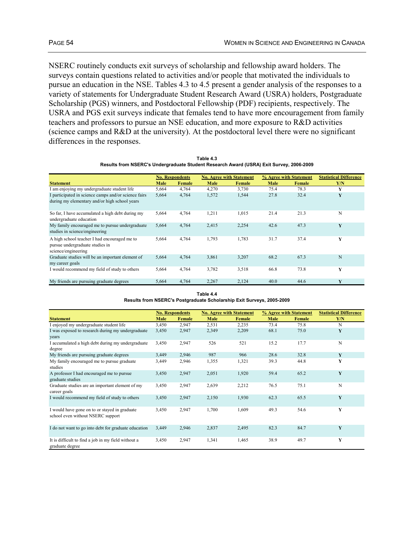NSERC routinely conducts exit surveys of scholarship and fellowship award holders. The surveys contain questions related to activities and/or people that motivated the individuals to pursue an education in the NSE. Tables 4.3 to 4.5 present a gender analysis of the responses to a variety of statements for Undergraduate Student Research Award (USRA) holders, Postgraduate Scholarship (PGS) winners, and Postdoctoral Fellowship (PDF) recipients, respectively. The USRA and PGS exit surveys indicate that females tend to have more encouragement from family teachers and professors to pursue an NSE education, and more exposure to R&D activities (science camps and R&D at the university). At the postdoctoral level there were no significant differences in the responses.

| Table 4.3                                                                               |  |
|-----------------------------------------------------------------------------------------|--|
| Results from NSERC's Undergraduate Student Research Award (USRA) Exit Survey, 2006-2009 |  |

|                                                                                                        |       | <b>No. Respondents</b> |       | <b>No. Agree with Statement</b> |      | % Agree with Statement | <b>Statistical Difference</b> |
|--------------------------------------------------------------------------------------------------------|-------|------------------------|-------|---------------------------------|------|------------------------|-------------------------------|
| <b>Statement</b>                                                                                       | Male  | Female                 | Male  | Female                          | Male | Female                 | Y/N                           |
| I am enjoying my undergraduate student life                                                            | 5,664 | 4,764                  | 4,270 | 3,730                           | 75.4 | 78.3                   | Y                             |
| I participated in science camps and/or science fairs<br>during my elementary and/or high school years  | 5,664 | 4,764                  | 1,572 | 1,544                           | 27.8 | 32.4                   | Y                             |
| So far, I have accumulated a high debt during my<br>undergraduate education                            | 5,664 | 4,764                  | 1,211 | 1,015                           | 21.4 | 21.3                   | N                             |
| My family encouraged me to pursue undergraduate<br>studies in science/engineering                      | 5,664 | 4,764                  | 2,415 | 2,254                           | 42.6 | 47.3                   | Y                             |
| A high school teacher I had encouraged me to<br>pursue undergraduate studies in<br>science/engineering | 5,664 | 4,764                  | 1,793 | 1,783                           | 31.7 | 37.4                   | Y                             |
| Graduate studies will be an important element of<br>my career goals                                    | 5,664 | 4,764                  | 3,861 | 3,207                           | 68.2 | 67.3                   | N                             |
| I would recommend my field of study to others                                                          | 5,664 | 4,764                  | 3,782 | 3,518                           | 66.8 | 73.8                   | Y                             |
| My friends are pursuing graduate degrees                                                               | 5,664 | 4,764                  | 2,267 | 2,124                           | 40.0 | 44.6                   | Y                             |

**Table 4.4 Results from NSERC's Postgraduate Scholarship Exit Surveys, 2005-2009**

|                                                      |             | <b>No. Respondents</b> |       | <b>No. Agree with Statement</b> |             | % Agree with Statement | <b>Statistical Difference</b> |
|------------------------------------------------------|-------------|------------------------|-------|---------------------------------|-------------|------------------------|-------------------------------|
| <b>Statement</b>                                     | <b>Male</b> | Female                 | Male  | Female                          | <b>Male</b> | Female                 | Y/N                           |
| I enjoyed my undergraduate student life              | 3,450       | 2,947                  | 2,531 | 2,235                           | 73.4        | 75.8                   | N                             |
| I was exposed to research during my undergraduate    | 3,450       | 2,947                  | 2,349 | 2,209                           | 68.1        | 75.0                   | Y                             |
| years                                                |             |                        |       |                                 |             |                        |                               |
| I accumulated a high debt during my undergraduate    | 3,450       | 2,947                  | 526   | 521                             | 15.2        | 17.7                   | N                             |
| degree                                               |             |                        |       |                                 |             |                        |                               |
| My friends are pursuing graduate degrees             | 3,449       | 2,946                  | 987   | 966                             | 28.6        | 32.8                   | Y                             |
| My family encouraged me to pursue graduate           | 3,449       | 2,946                  | 1,355 | 1,321                           | 39.3        | 44.8                   | Y                             |
| studies                                              |             |                        |       |                                 |             |                        |                               |
| A professor I had encouraged me to pursue            | 3,450       | 2,947                  | 2,051 | 1,920                           | 59.4        | 65.2                   | Y                             |
| graduate studies                                     |             |                        |       |                                 |             |                        |                               |
| Graduate studies are an important element of my      | 3,450       | 2,947                  | 2,639 | 2,212                           | 76.5        | 75.1                   | N                             |
| career goals                                         |             |                        |       |                                 |             |                        |                               |
| I would recommend my field of study to others        | 3,450       | 2,947                  | 2,150 | 1,930                           | 62.3        | 65.5                   | Y                             |
|                                                      |             |                        |       |                                 |             |                        |                               |
| I would have gone on to or stayed in graduate        | 3,450       | 2,947                  | 1,700 | 1,609                           | 49.3        | 54.6                   | Y                             |
| school even without NSERC support                    |             |                        |       |                                 |             |                        |                               |
|                                                      |             |                        |       |                                 |             |                        |                               |
| I do not want to go into debt for graduate education | 3,449       | 2,946                  | 2,837 | 2,495                           | 82.3        | 84.7                   | Y                             |
|                                                      |             |                        |       |                                 |             |                        |                               |
| It is difficult to find a job in my field without a  | 3,450       | 2,947                  | 1,341 | 1,465                           | 38.9        | 49.7                   | Y                             |
| graduate degree                                      |             |                        |       |                                 |             |                        |                               |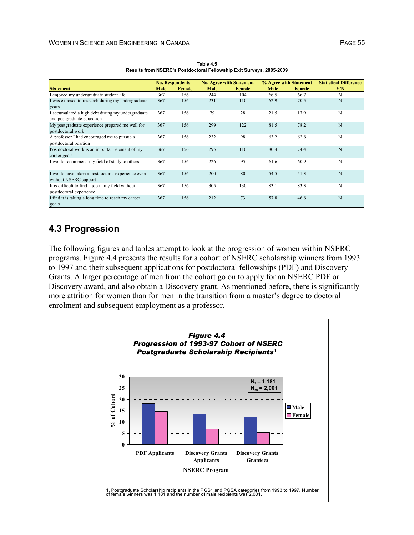|                                                                                 |      | <b>No. Respondents</b> |      | <b>No. Agree with Statement</b> |      | % Agree with Statement | <b>Statistical Difference</b> |
|---------------------------------------------------------------------------------|------|------------------------|------|---------------------------------|------|------------------------|-------------------------------|
| <b>Statement</b>                                                                | Male | Female                 | Male | Female                          | Male | Female                 | Y/N                           |
| I enjoyed my undergraduate student life                                         | 367  | 156                    | 244  | 104                             | 66.5 | 66.7                   | N                             |
| I was exposed to research during my undergraduate                               | 367  | 156                    | 231  | 110                             | 62.9 | 70.5                   | N                             |
| years                                                                           |      |                        |      |                                 |      |                        |                               |
| I accumulated a high debt during my undergraduate<br>and postgraduate education | 367  | 156                    | 79   | 28                              | 21.5 | 17.9                   | N                             |
| My postgraduate experience prepared me well for<br>postdoctoral work            | 367  | 156                    | 299  | 122                             | 81.5 | 78.2                   | N                             |
| A professor I had encouraged me to pursue a<br>postdoctoral position            | 367  | 156                    | 232  | 98                              | 63.2 | 62.8                   | N                             |
| Postdoctoral work is an important element of my<br>career goals                 | 367  | 156                    | 295  | 116                             | 80.4 | 74.4                   | N                             |
| I would recommend my field of study to others                                   | 367  | 156                    | 226  | 95                              | 61.6 | 60.9                   | N                             |
| I would have taken a postdoctoral experience even<br>without NSERC support      | 367  | 156                    | 200  | 80                              | 54.5 | 51.3                   | N                             |
| It is difficult to find a job in my field without<br>postdoctoral experience    | 367  | 156                    | 305  | 130                             | 83.1 | 83.3                   | N                             |
| I find it is taking a long time to reach my career<br>goals                     | 367  | 156                    | 212  | 73                              | 57.8 | 46.8                   | N                             |

**Table 4.5 Results from NSERC's Postdoctoral Fellowship Exit Surveys, 2005-2009**

### **4.3 Progression**

The following figures and tables attempt to look at the progression of women within NSERC programs. Figure 4.4 presents the results for a cohort of NSERC scholarship winners from 1993 to 1997 and their subsequent applications for postdoctoral fellowships (PDF) and Discovery Grants. A larger percentage of men from the cohort go on to apply for an NSERC PDF or Discovery award, and also obtain a Discovery grant. As mentioned before, there is significantly more attrition for women than for men in the transition from a master's degree to doctoral enrolment and subsequent employment as a professor.

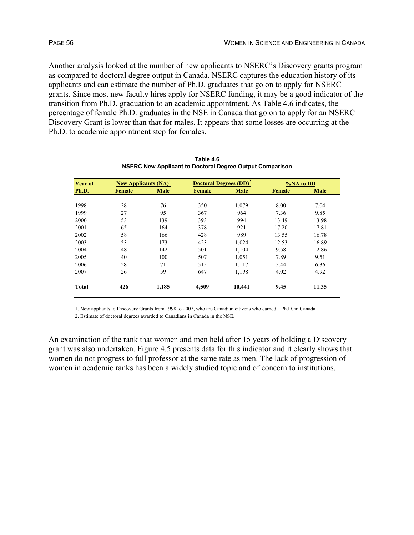Another analysis looked at the number of new applicants to NSERC's Discovery grants program as compared to doctoral degree output in Canada. NSERC captures the education history of its applicants and can estimate the number of Ph.D. graduates that go on to apply for NSERC grants. Since most new faculty hires apply for NSERC funding, it may be a good indicator of the transition from Ph.D. graduation to an academic appointment. As Table 4.6 indicates, the percentage of female Ph.D. graduates in the NSE in Canada that go on to apply for an NSERC Discovery Grant is lower than that for males. It appears that some losses are occurring at the Ph.D. to academic appointment step for females.

| <b>Year of</b> | <b>New Applicants (NA)</b> <sup>1</sup> |             |        | <b>Doctoral Degrees (DD)<sup>2</sup></b><br>%NA to DD |        |       |  |
|----------------|-----------------------------------------|-------------|--------|-------------------------------------------------------|--------|-------|--|
| Ph.D.          | <b>Female</b>                           | <b>Male</b> | Female | <b>Male</b>                                           | Female | Male  |  |
|                |                                         |             |        |                                                       |        |       |  |
| 1998           | 28                                      | 76          | 350    | 1,079                                                 | 8.00   | 7.04  |  |
| 1999           | 27                                      | 95          | 367    | 964                                                   | 7.36   | 9.85  |  |
| 2000           | 53                                      | 139         | 393    | 994                                                   | 13.49  | 13.98 |  |
| 2001           | 65                                      | 164         | 378    | 921                                                   | 17.20  | 17.81 |  |
| 2002           | 58                                      | 166         | 428    | 989                                                   | 13.55  | 16.78 |  |
| 2003           | 53                                      | 173         | 423    | 1,024                                                 | 12.53  | 16.89 |  |
| 2004           | 48                                      | 142         | 501    | 1,104                                                 | 9.58   | 12.86 |  |
| 2005           | 40                                      | 100         | 507    | 1,051                                                 | 7.89   | 9.51  |  |
| 2006           | 28                                      | 71          | 515    | 1,117                                                 | 5.44   | 6.36  |  |
| 2007           | 26                                      | 59          | 647    | 1,198                                                 | 4.02   | 4.92  |  |
| <b>Total</b>   | 426                                     | 1,185       | 4,509  | 10,441                                                | 9.45   | 11.35 |  |

**Table 4.6 NSERC New Applicant to Doctoral Degree Output Comparison**

1. New appliants to Discovery Grants from 1998 to 2007, who are Canadian citizens who earned a Ph.D. in Canada.

2. Estimate of doctoral degrees awarded to Canadians in Canada in the NSE.

An examination of the rank that women and men held after 15 years of holding a Discovery grant was also undertaken. Figure 4.5 presents data for this indicator and it clearly shows that women do not progress to full professor at the same rate as men. The lack of progression of women in academic ranks has been a widely studied topic and of concern to institutions.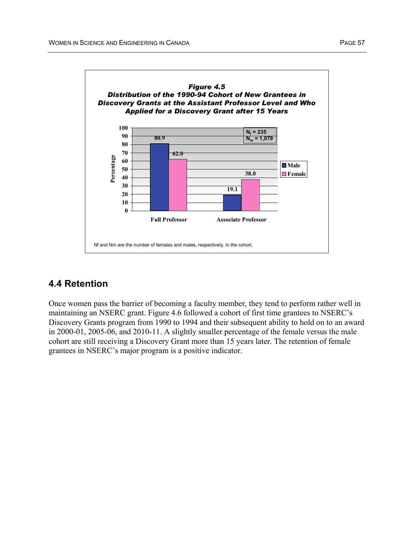

# **4.4 Retention**

Once women pass the barrier of becoming a faculty member, they tend to perform rather well in maintaining an NSERC grant. Figure 4.6 followed a cohort of first time grantees to NSERC's Discovery Grants program from 1990 to 1994 and their subsequent ability to hold on to an award in 2000-01, 2005-06, and 2010-11. A slightly smaller percentage of the female versus the male cohort are still receiving a Discovery Grant more than 15 years later. The retention of female grantees in NSERC's major program is a positive indicator.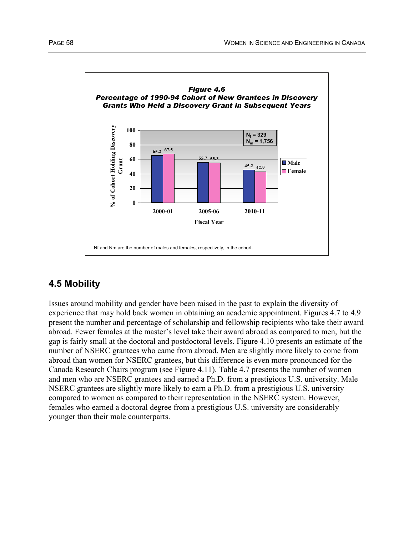

# **4.5 Mobility**

Issues around mobility and gender have been raised in the past to explain the diversity of experience that may hold back women in obtaining an academic appointment. Figures 4.7 to 4.9 present the number and percentage of scholarship and fellowship recipients who take their award abroad. Fewer females at the master's level take their award abroad as compared to men, but the gap is fairly small at the doctoral and postdoctoral levels. Figure 4.10 presents an estimate of the number of NSERC grantees who came from abroad. Men are slightly more likely to come from abroad than women for NSERC grantees, but this difference is even more pronounced for the Canada Research Chairs program (see Figure 4.11). Table 4.7 presents the number of women and men who are NSERC grantees and earned a Ph.D. from a prestigious U.S. university. Male NSERC grantees are slightly more likely to earn a Ph.D. from a prestigious U.S. university compared to women as compared to their representation in the NSERC system. However, females who earned a doctoral degree from a prestigious U.S. university are considerably younger than their male counterparts.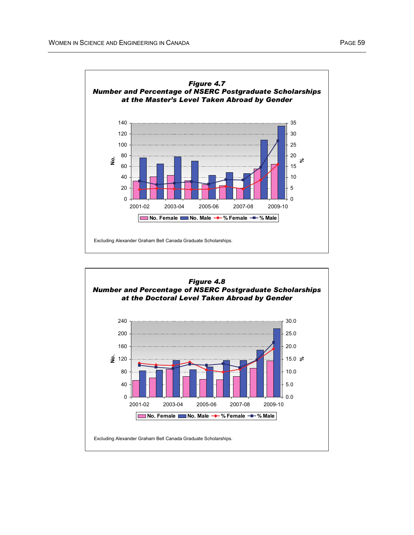

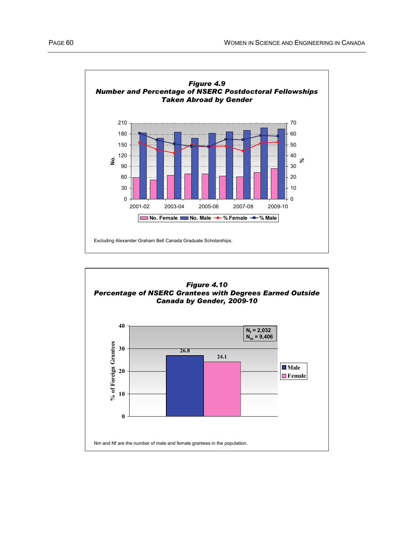

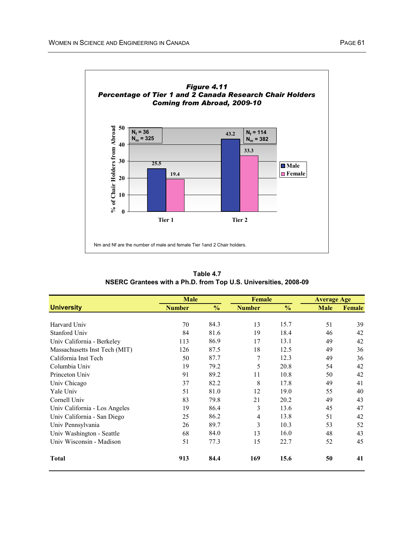

**Table 4.7 NSERC Grantees with a Ph.D. from Top U.S. Universities, 2008-09**

|                               | <b>Male</b>   |               | <b>Female</b> |               | <b>Average Age</b> |               |  |
|-------------------------------|---------------|---------------|---------------|---------------|--------------------|---------------|--|
| <b>University</b>             | <b>Number</b> | $\frac{0}{0}$ | <b>Number</b> | $\frac{0}{0}$ | <b>Male</b>        | <b>Female</b> |  |
|                               |               |               |               |               |                    |               |  |
| Harvard Univ                  | 70            | 84.3          | 13            | 15.7          | 51                 | 39            |  |
| Stanford Univ                 | 84            | 81.6          | 19            | 18.4          | 46                 | 42            |  |
| Univ California - Berkeley    | 113           | 86.9          | 17            | 13.1          | 49                 | 42            |  |
| Massachusetts Inst Tech (MIT) | 126           | 87.5          | 18            | 12.5          | 49                 | 36            |  |
| California Inst Tech          | 50            | 87.7          | 7             | 12.3          | 49                 | 36            |  |
| Columbia Univ                 | 19            | 79.2          | 5             | 20.8          | 54                 | 42            |  |
| Princeton Univ                | 91            | 89.2          | 11            | 10.8          | 50                 | 42            |  |
| Univ Chicago                  | 37            | 82.2          | 8             | 17.8          | 49                 | 41            |  |
| Yale Univ                     | 51            | 81.0          | 12            | 19.0          | 55                 | 40            |  |
| Cornell Univ                  | 83            | 79.8          | 21            | 20.2          | 49                 | 43            |  |
| Univ California - Los Angeles | 19            | 86.4          | 3             | 13.6          | 45                 | 47            |  |
| Univ California - San Diego   | 25            | 86.2          | 4             | 13.8          | 51                 | 42            |  |
| Univ Pennsylvania             | 26            | 89.7          | 3             | 10.3          | 53                 | 52            |  |
| Univ Washington - Seattle     | 68            | 84.0          | 13            | 16.0          | 48                 | 43            |  |
| Univ Wisconsin - Madison      | 51            | 77.3          | 15            | 22.7          | 52                 | 45            |  |
| <b>Total</b>                  | 913           | 84.4          | 169           | 15.6          | 50                 | 41            |  |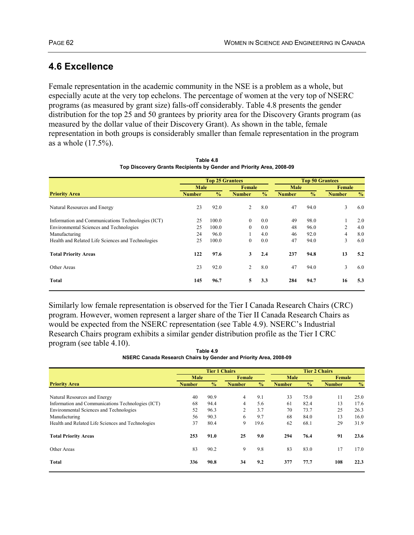## **4.6 Excellence**

Female representation in the academic community in the NSE is a problem as a whole, but especially acute at the very top echelons. The percentage of women at the very top of NSERC programs (as measured by grant size) falls-off considerably. Table 4.8 presents the gender distribution for the top 25 and 50 grantees by priority area for the Discovery Grants program (as measured by the dollar value of their Discovery Grant). As shown in the table, female representation in both groups is considerably smaller than female representation in the program as a whole (17.5%).

|                                                   | <b>Top 25 Grantees</b> |               |               |               |               | <b>Top 50 Grantees</b> |               |               |  |
|---------------------------------------------------|------------------------|---------------|---------------|---------------|---------------|------------------------|---------------|---------------|--|
|                                                   | Male                   |               | Female        |               | Male          |                        | Female        |               |  |
| <b>Priority Area</b>                              | <b>Number</b>          | $\frac{0}{0}$ | <b>Number</b> | $\frac{0}{0}$ | <b>Number</b> | $\frac{0}{0}$          | <b>Number</b> | $\frac{0}{0}$ |  |
| Natural Resources and Energy                      | 23                     | 92.0          | 2             | 8.0           | 47            | 94.0                   | 3             | 6.0           |  |
| Information and Communications Technologies (ICT) | 25                     | 100.0         | $\mathbf{0}$  | 0.0           | 49            | 98.0                   |               | 2.0           |  |
| Environmental Sciences and Technologies           | 25                     | 100.0         | $\mathbf{0}$  | 0.0           | 48            | 96.0                   | 2             | 4.0           |  |
| Manufacturing                                     | 24                     | 96.0          |               | 4.0           | 46            | 92.0                   | 4             | 8.0           |  |
| Health and Related Life Sciences and Technologies | 25                     | 100.0         | $\mathbf{0}$  | 0.0           | 47            | 94.0                   | 3             | 6.0           |  |
| <b>Total Priority Areas</b>                       | 122                    | 97.6          | 3             | 2.4           | 237           | 94.8                   | 13            | 5.2           |  |
| Other Areas                                       | 23                     | 92.0          | 2             | 8.0           | 47            | 94.0                   | 3             | 6.0           |  |
| Total                                             | 145                    | 96.7          | 5             | 3.3           | 284           | 94.7                   | 16            | 5.3           |  |
|                                                   |                        |               |               |               |               |                        |               |               |  |

**Table 4.8 Top Discovery Grants Recipients by Gender and Priority Area, 2008-09**

Similarly low female representation is observed for the Tier I Canada Research Chairs (CRC) program. However, women represent a larger share of the Tier II Canada Research Chairs as would be expected from the NSERC representation (see Table 4.9). NSERC's Industrial Research Chairs program exhibits a similar gender distribution profile as the Tier I CRC program (see table 4.10).

**Table 4.9 NSERC Canada Research Chairs by Gender and Priority Area, 2008-09**

|               |               | <b>Tier 2 Chairs</b> |                      |               |               |               |               |
|---------------|---------------|----------------------|----------------------|---------------|---------------|---------------|---------------|
| Male          |               | Female               |                      | <b>Male</b>   |               | Female        |               |
| <b>Number</b> | $\frac{0}{0}$ | <b>Number</b>        | $\frac{0}{0}$        | <b>Number</b> | $\frac{0}{0}$ | <b>Number</b> | $\frac{0}{0}$ |
| 40            | 90.9          | 4                    | 9.1                  | 33            | 75.0          | 11            | 25.0          |
| 68            | 94.4          | $\overline{4}$       | 5.6                  | 61            | 82.4          | 13            | 17.6          |
| 52            | 96.3          | 2                    | 3.7                  | 70            | 73.7          | 25            | 26.3          |
| 56            | 90.3          | 6                    | 9.7                  | 68            | 84.0          | 13            | 16.0          |
| 37            | 80.4          | 9                    | 19.6                 | 62            | 68.1          | 29            | 31.9          |
| 253           | 91.0          | 25                   | 9.0                  | 294           | 76.4          | 91            | 23.6          |
| 83            | 90.2          | 9                    | 9.8                  | 83            | 83.0          | 17            | 17.0          |
| 336           | 90.8          | 34                   | 9.2                  | 377           | 77.7          | 108           | 22.3          |
|               |               |                      | <b>Tier 1 Chairs</b> |               |               |               |               |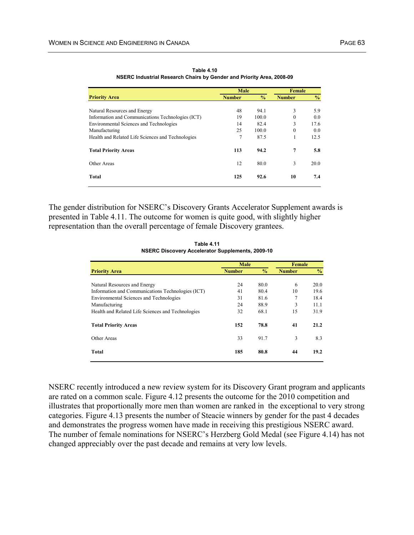|                                                   | Male          | Female        |               |               |
|---------------------------------------------------|---------------|---------------|---------------|---------------|
| <b>Priority Area</b>                              | <b>Number</b> | $\frac{0}{0}$ | <b>Number</b> | $\frac{0}{0}$ |
|                                                   |               |               |               |               |
| Natural Resources and Energy                      | 48            | 94.1          | 3             | 5.9           |
| Information and Communications Technologies (ICT) | 19            | 100.0         | $\mathbf{0}$  | 0.0           |
| <b>Environmental Sciences and Technologies</b>    | 14            | 82.4          | 3             | 17.6          |
| Manufacturing                                     | 25            | 100.0         | $\theta$      | 0.0           |
| Health and Related Life Sciences and Technologies | 7             | 87.5          | 1             | 12.5          |
| <b>Total Priority Areas</b>                       | 113           | 94.2          | 7             | 5.8           |
| Other Areas                                       | 12            | 80.0          | 3             | 20.0          |
| Total                                             | 125           | 92.6          | 10            | 7.4           |

**Table 4.10 NSERC Industrial Research Chairs by Gender and Priority Area, 2008-09**

The gender distribution for NSERC's Discovery Grants Accelerator Supplement awards is presented in Table 4.11. The outcome for women is quite good, with slightly higher representation than the overall percentage of female Discovery grantees.

**Table 4.11 NSERC Discovery Accelerator Supplements, 2009-10**

|                                                   | <b>Male</b>   |               | Female        |               |
|---------------------------------------------------|---------------|---------------|---------------|---------------|
| <b>Priority Area</b>                              | <b>Number</b> | $\frac{0}{0}$ | <b>Number</b> | $\frac{6}{6}$ |
| Natural Resources and Energy                      | 24            | 80.0          | 6             | 20.0          |
| Information and Communications Technologies (ICT) | 41            | 80.4          | 10            | 19.6          |
| Environmental Sciences and Technologies           | 31            | 81.6          | 7             | 18.4          |
| Manufacturing                                     | 24            | 88.9          | 3             | 11.1          |
| Health and Related Life Sciences and Technologies | 32            | 68.1          | 15            | 31.9          |
| <b>Total Priority Areas</b>                       | 152           | 78.8          | 41            | 21.2          |
| Other Areas                                       | 33            | 91.7          | 3             | 8.3           |
| Total                                             | 185           | 80.8          | 44            | 19.2          |

NSERC recently introduced a new review system for its Discovery Grant program and applicants are rated on a common scale. Figure 4.12 presents the outcome for the 2010 competition and illustrates that proportionally more men than women are ranked in the exceptional to very strong categories. Figure 4.13 presents the number of Steacie winners by gender for the past 4 decades and demonstrates the progress women have made in receiving this prestigious NSERC award. The number of female nominations for NSERC's Herzberg Gold Medal (see Figure 4.14) has not changed appreciably over the past decade and remains at very low levels.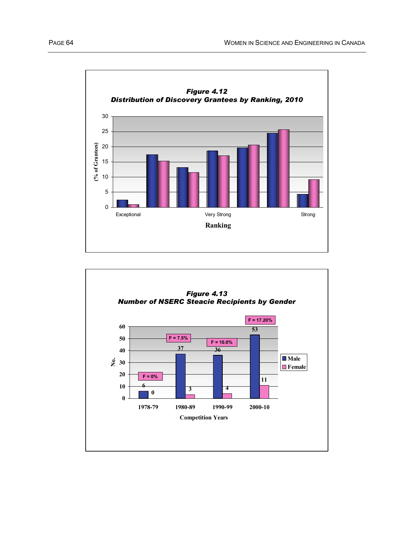

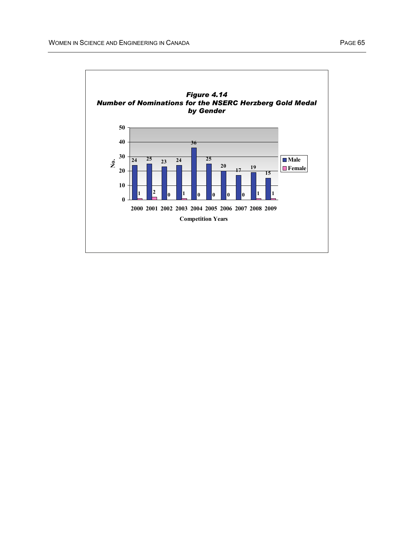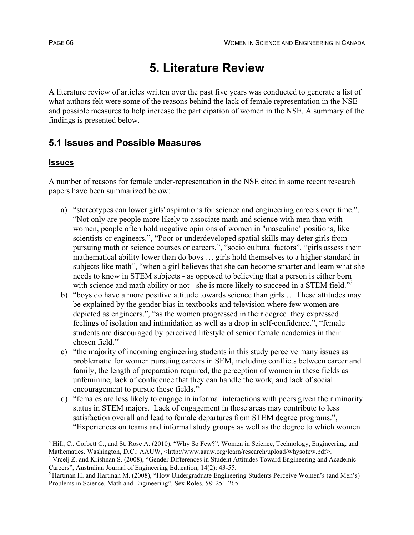# **5. Literature Review**

A literature review of articles written over the past five years was conducted to generate a list of what authors felt were some of the reasons behind the lack of female representation in the NSE and possible measures to help increase the participation of women in the NSE. A summary of the findings is presented below.

## **5.1 Issues and Possible Measures**

### **Issues**

A number of reasons for female under-representation in the NSE cited in some recent research papers have been summarized below:

- a) "stereotypes can lower girls' aspirations for science and engineering careers over time.", "Not only are people more likely to associate math and science with men than with women, people often hold negative opinions of women in "masculine" positions, like scientists or engineers.", "Poor or underdeveloped spatial skills may deter girls from pursuing math or science courses or careers,", "socio cultural factors", "girls assess their mathematical ability lower than do boys … girls hold themselves to a higher standard in subjects like math", "when a girl believes that she can become smarter and learn what she needs to know in STEM subjects - as opposed to believing that a person is either born with science and math ability or not - she is more likely to succeed in a STEM field."<sup>3</sup>
- b) "boys do have a more positive attitude towards science than girls … These attitudes may be explained by the gender bias in textbooks and television where few women are depicted as engineers.", "as the women progressed in their degree they expressed feelings of isolation and intimidation as well as a drop in self-confidence.", "female students are discouraged by perceived lifestyle of senior female academics in their chosen field."<sup>4</sup>
- c) "the majority of incoming engineering students in this study perceive many issues as problematic for women pursuing careers in SEM, including conflicts between career and family, the length of preparation required, the perception of women in these fields as unfeminine, lack of confidence that they can handle the work, and lack of social encouragement to pursue these fields."<sup>5</sup>
- d) "females are less likely to engage in informal interactions with peers given their minority status in STEM majors. Lack of engagement in these areas may contribute to less satisfaction overall and lead to female departures from STEM degree programs.", "Experiences on teams and informal study groups as well as the degree to which women

 $\overline{a}$ <sup>3</sup> Hill, C., Corbett C., and St. Rose A. (2010), "Why So Few?", Women in Science, Technology, Engineering, and Mathematics. Washington, D.C.: AAUW, <http://www.aauw.org/learn/research/upload/whysofew.pdf>.

<sup>&</sup>lt;sup>4</sup> Vrcelj Z. and Krishnan S. (2008), "Gender Differences in Student Attitudes Toward Engineering and Academic Careers", Australian Journal of Engineering Education, 14(2): 43-55.

<sup>&</sup>lt;sup>5</sup> Hartman H. and Hartman M. (2008), "How Undergraduate Engineering Students Perceive Women's (and Men's) Problems in Science, Math and Engineering", Sex Roles, 58: 251-265.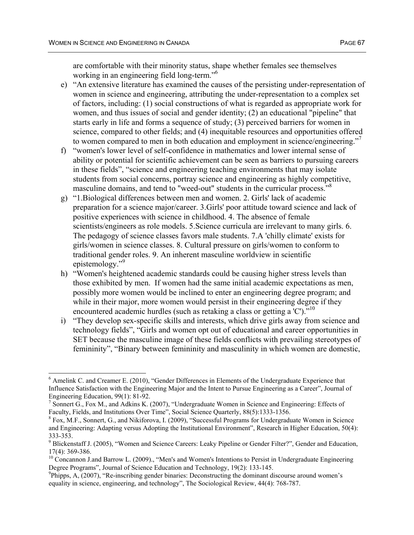are comfortable with their minority status, shape whether females see themselves working in an engineering field long-term."<sup>6</sup>

- e) "An extensive literature has examined the causes of the persisting under-representation of women in science and engineering, attributing the under-representation to a complex set of factors, including: (1) social constructions of what is regarded as appropriate work for women, and thus issues of social and gender identity; (2) an educational "pipeline" that starts early in life and forms a sequence of study; (3) perceived barriers for women in science, compared to other fields; and (4) inequitable resources and opportunities offered to women compared to men in both education and employment in science/engineering."
- f) "women's lower level of self-confidence in mathematics and lower internal sense of ability or potential for scientific achievement can be seen as barriers to pursuing careers in these fields", "science and engineering teaching environments that may isolate students from social concerns, portray science and engineering as highly competitive, masculine domains, and tend to "weed-out" students in the curricular process."8
- g) "1.Biological differences between men and women. 2. Girls' lack of academic preparation for a science major/career. 3.Girls' poor attitude toward science and lack of positive experiences with science in childhood. 4. The absence of female scientists/engineers as role models. 5.Science curricula are irrelevant to many girls. 6. The pedagogy of science classes favors male students. 7.A 'chilly climate' exists for girls/women in science classes. 8. Cultural pressure on girls/women to conform to traditional gender roles. 9. An inherent masculine worldview in scientific epistemology."<sup>9</sup>
- h) "Women's heightened academic standards could be causing higher stress levels than those exhibited by men. If women had the same initial academic expectations as men, possibly more women would be inclined to enter an engineering degree program; and while in their major, more women would persist in their engineering degree if they encountered academic hurdles (such as retaking a class or getting a 'C').<sup>"10</sup>
- i) "They develop sex-specific skills and interests, which drive girls away from science and technology fields", "Girls and women opt out of educational and career opportunities in SET because the masculine image of these fields conflicts with prevailing stereotypes of femininity", "Binary between femininity and masculinity in which women are domestic,

<sup>&</sup>lt;sup>6</sup> Amelink C. and Creamer E. (2010), "Gender Differences in Elements of the Undergraduate Experience that Influence Satisfaction with the Engineering Major and the Intent to Pursue Engineering as a Career", Journal of Engineering Education, 99(1): 81-92.

<sup>&</sup>lt;sup>7</sup> Sonnert G., Fox M., and Adkins K. (2007), "Undergraduate Women in Science and Engineering: Effects of Faculty, Fields, and Institutions Over Time", Social Science Quarterly, 88(5):1333-1356.

<sup>&</sup>lt;sup>8</sup> Fox, M.F., Sonnert, G., and Nikiforova, I. (2009), "Successful Programs for Undergraduate Women in Science and Engineering: Adapting versus Adopting the Institutional Environment", Research in Higher Education, 50(4): 333-353.

<sup>&</sup>lt;sup>9</sup> Blickenstaff J. (2005), "Women and Science Careers: Leaky Pipeline or Gender Filter?", Gender and Education, 17(4): 369-386.

 $10$  Concannon J.and Barrow L. (2009)., "Men's and Women's Intentions to Persist in Undergraduate Engineering Degree Programs", Journal of Science Education and Technology, 19(2): 133-145.

 $^{9}$ Phipps, A, (2007), "Re-inscribing gender binaries: Deconstructing the dominant discourse around women's equality in science, engineering, and technology", The Sociological Review, 44(4): 768-787.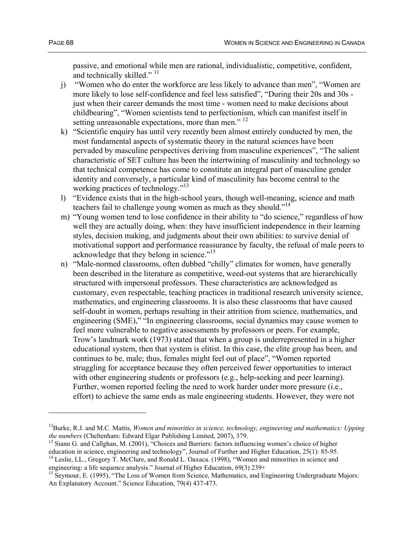passive, and emotional while men are rational, individualistic, competitive, confident, and technically skilled."<sup>11</sup>

- j) "Women who do enter the workforce are less likely to advance than men", "Women are more likely to lose self-confidence and feel less satisfied", "During their 20s and 30s just when their career demands the most time - women need to make decisions about childbearing", "Women scientists tend to perfectionism, which can manifest itself in setting unreasonable expectations, more than men."  $^{12}$
- k) "Scientific enquiry has until very recently been almost entirely conducted by men, the most fundamental aspects of systematic theory in the natural sciences have been pervaded by masculine perspectives deriving from masculine experiences", "The salient characteristic of SET culture has been the intertwining of masculinity and technology so that technical competence has come to constitute an integral part of masculine gender identity and conversely, a particular kind of masculinity has become central to the working practices of technology."<sup>13</sup>
- l) "Evidence exists that in the high-school years, though well-meaning, science and math teachers fail to challenge young women as much as they should."<sup>14</sup>
- m) "Young women tend to lose confidence in their ability to "do science," regardless of how well they are actually doing, when: they have insufficient independence in their learning styles, decision making, and judgments about their own abilities: to survive denial of motivational support and performance reassurance by faculty, the refusal of male peers to acknowledge that they belong in science."<sup>15</sup>
- n) "Male-normed classrooms, often dubbed "chilly" climates for women, have generally been described in the literature as competitive, weed-out systems that are hierarchically structured with impersonal professors. These characteristics are acknowledged as customary, even respectable, teaching practices in traditional research university science, mathematics, and engineering classrooms. It is also these classrooms that have caused self-doubt in women, perhaps resulting in their attrition from science, mathematics, and engineering (SME)," "In engineering classrooms, social dynamics may cause women to feel more vulnerable to negative assessments by professors or peers. For example, Trow's landmark work (1973) stated that when a group is underrepresented in a higher educational system, then that system is elitist. In this case, the elite group has been, and continues to be, male; thus, females might feel out of place", "Women reported struggling for acceptance because they often perceived fewer opportunities to interact with other engineering students or professors (e.g., help-seeking and peer learning). Further, women reported feeling the need to work harder under more pressure (i.e., effort) to achieve the same ends as male engineering students. However, they were not

<sup>&</sup>lt;sup>12</sup>Burke, R.J. and M.C. Mattis, *Women and minorities in science, technology, engineering and mathematics: Upping the numbers (Cheltenham: Edward Elgar Publishing Limited, 2007), 379.* 

<sup>&</sup>lt;sup>13</sup> Siann G. and Callghan, M. (2001), "Choices and Barriers: factors influencing women's choice of higher education in science, engineering and technology", Journal of Further and Higher Education, 25(1): 85-95.

<sup>&</sup>lt;sup>14</sup> Leslie, LL., Gregory T. McClure, and Ronald L. Oaxaca. (1998), "Women and minorities in science and engineering: a life sequence analysis." Journal of Higher Education,  $69(3)$  239+

<sup>&</sup>lt;sup>15</sup> Seymour, E. (1995), "The Loss of Women from Science, Mathematics, and Engineering Undergraduate Majors: An Explanatory Account." Science Education, 79(4) 437-473.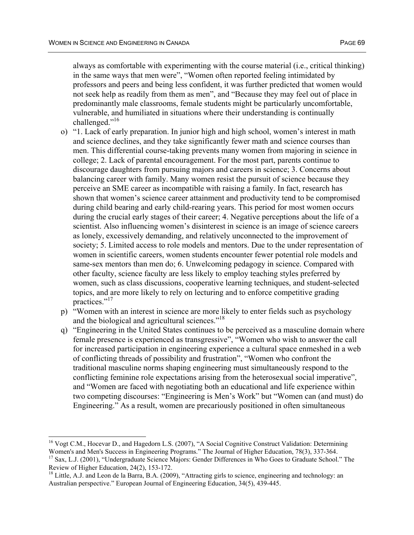$\overline{a}$ 

always as comfortable with experimenting with the course material (i.e., critical thinking) in the same ways that men were", "Women often reported feeling intimidated by professors and peers and being less confident, it was further predicted that women would not seek help as readily from them as men", and "Because they may feel out of place in predominantly male classrooms, female students might be particularly uncomfortable, vulnerable, and humiliated in situations where their understanding is continually challenged."<sup>16</sup>

- o) "1. Lack of early preparation. In junior high and high school, women's interest in math and science declines, and they take significantly fewer math and science courses than men. This differential course-taking prevents many women from majoring in science in college; 2. Lack of parental encouragement. For the most part, parents continue to discourage daughters from pursuing majors and careers in science; 3. Concerns about balancing career with family. Many women resist the pursuit of science because they perceive an SME career as incompatible with raising a family. In fact, research has shown that women's science career attainment and productivity tend to be compromised during child bearing and early child-rearing years. This period for most women occurs during the crucial early stages of their career; 4. Negative perceptions about the life of a scientist. Also influencing women's disinterest in science is an image of science careers as lonely, excessively demanding, and relatively unconnected to the improvement of society; 5. Limited access to role models and mentors. Due to the under representation of women in scientific careers, women students encounter fewer potential role models and same-sex mentors than men do; 6. Unwelcoming pedagogy in science. Compared with other faculty, science faculty are less likely to employ teaching styles preferred by women, such as class discussions, cooperative learning techniques, and student-selected topics, and are more likely to rely on lecturing and to enforce competitive grading practices."<sup>17</sup>
- p) "Women with an interest in science are more likely to enter fields such as psychology and the biological and agricultural sciences."<sup>18</sup>
- q) "Engineering in the United States continues to be perceived as a masculine domain where female presence is experienced as transgressive", "Women who wish to answer the call for increased participation in engineering experience a cultural space enmeshed in a web of conflicting threads of possibility and frustration", "Women who confront the traditional masculine norms shaping engineering must simultaneously respond to the conflicting feminine role expectations arising from the heterosexual social imperative", and "Women are faced with negotiating both an educational and life experience within two competing discourses: "Engineering is Men's Work" but "Women can (and must) do Engineering." As a result, women are precariously positioned in often simultaneous

<sup>&</sup>lt;sup>16</sup> Vogt C.M., Hocevar D., and Hagedorn L.S. (2007), "A Social Cognitive Construct Validation: Determining Women's and Men's Success in Engineering Programs." The Journal of Higher Education, 78(3), 337-364. <sup>17</sup> Sax, L.J. (2001), "Undergraduate Science Majors: Gender Differences in Who Goes to Graduate School." The Review of Higher Education, 24(2), 153-172.

<sup>&</sup>lt;sup>18</sup> Little, A.J. and Leon de la Barra, B.A. (2009), "Attracting girls to science, engineering and technology: an Australian perspective." European Journal of Engineering Education, 34(5), 439-445.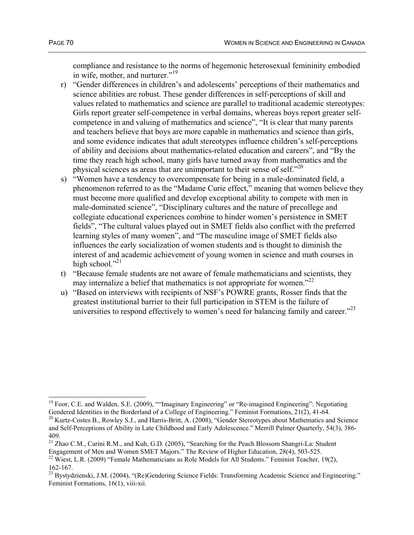$\overline{a}$ 

compliance and resistance to the norms of hegemonic heterosexual femininity embodied in wife, mother, and nurturer."<sup>19</sup>

- r) "Gender differences in children's and adolescents' perceptions of their mathematics and science abilities are robust. These gender differences in self-perceptions of skill and values related to mathematics and science are parallel to traditional academic stereotypes: Girls report greater self-competence in verbal domains, whereas boys report greater selfcompetence in and valuing of mathematics and science", "It is clear that many parents and teachers believe that boys are more capable in mathematics and science than girls, and some evidence indicates that adult stereotypes influence children's self-perceptions of ability and decisions about mathematics-related education and careers", and "By the time they reach high school, many girls have turned away from mathematics and the physical sciences as areas that are unimportant to their sense of self. $^{20}$
- s) "Women have a tendency to overcompensate for being in a male-dominated field, a phenomenon referred to as the "Madame Curie effect," meaning that women believe they must become more qualified and develop exceptional ability to compete with men in male-dominated science", "Disciplinary cultures and the nature of precollege and collegiate educational experiences combine to hinder women's persistence in SMET fields", "The cultural values played out in SMET fields also conflict with the preferred learning styles of many women", and "The masculine image of SMET fields also influences the early socialization of women students and is thought to diminish the interest of and academic achievement of young women in science and math courses in high school." $^{21}$
- t) "Because female students are not aware of female mathematicians and scientists, they may internalize a belief that mathematics is not appropriate for women."<sup>22</sup>
- u) "Based on interviews with recipients of NSF's POWRE grants, Rosser finds that the greatest institutional barrier to their full participation in STEM is the failure of universities to respond effectively to women's need for balancing family and career."<sup>23</sup>

<sup>&</sup>lt;sup>19</sup> Foor, C.E. and Walden, S.E. (2009), ""Imaginary Engineering" or "Re-imagined Engineering": Negotiating Gendered Identities in the Borderland of a College of Engineering." Feminist Formations, 21(2), 41-64.

<sup>&</sup>lt;sup>20</sup> Kurtz-Costes B., Rowley S.J., and Harris-Britt, A. (2008), "Gender Stereotypes about Mathematics and Science and Self-Perceptions of Ability in Late Childhood and Early Adolescence." Merrill Palmer Quarterly, 54(3), 386- 409.

<sup>&</sup>lt;sup>21</sup> Zhao C.M., Carini R.M., and Kuh, G.D. (2005), "Searching for the Peach Blossom Shangri-La: Student Engagement of Men and Women SMET Majors." The Review of Higher Education,  $28(4)$ , 503-525.

<sup>&</sup>lt;sup>22</sup> Wiest, L.R. (2009) "Female Mathematicians as Role Models for All Students." Feminist Teacher, 19(2), 162-167.

<sup>&</sup>lt;sup>23</sup> Bystydzienski, J.M. (2004), "(Re)Gendering Science Fields: Transforming Academic Science and Engineering." Feminist Formations, 16(1), viii-xii.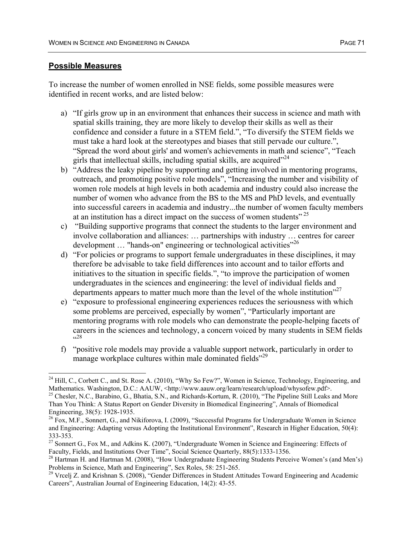To increase the number of women enrolled in NSE fields, some possible measures were identified in recent works, and are listed below:

- a) "If girls grow up in an environment that enhances their success in science and math with spatial skills training, they are more likely to develop their skills as well as their confidence and consider a future in a STEM field.", "To diversify the STEM fields we must take a hard look at the stereotypes and biases that still pervade our culture.", "Spread the word about girls' and women's achievements in math and science", "Teach girls that intellectual skills, including spatial skills, are acquired $^{224}$
- b) "Address the leaky pipeline by supporting and getting involved in mentoring programs, outreach, and promoting positive role models", "Increasing the number and visibility of women role models at high levels in both academia and industry could also increase the number of women who advance from the BS to the MS and PhD levels, and eventually into successful careers in academia and industry...the number of women faculty members at an institution has a direct impact on the success of women students"<sup>25</sup>
- c) "Building supportive programs that connect the students to the larger environment and involve collaboration and alliances: … partnerships with industry … centres for career development ... "hands-on" engineering or technological activities"<sup>26</sup>
- d) "For policies or programs to support female undergraduates in these disciplines, it may therefore be advisable to take field differences into account and to tailor efforts and initiatives to the situation in specific fields.", "to improve the participation of women undergraduates in the sciences and engineering: the level of individual fields and departments appears to matter much more than the level of the whole institution $^{27}$
- e) "exposure to professional engineering experiences reduces the seriousness with which some problems are perceived, especially by women", "Particularly important are mentoring programs with role models who can demonstrate the people-helping facets of careers in the sciences and technology, a concern voiced by many students in SEM fields 28ء<br>پ
- f) "positive role models may provide a valuable support network, particularly in order to manage workplace cultures within male dominated fields<sup>"29</sup>

 $24$  Hill, C., Corbett C., and St. Rose A. (2010), "Why So Few?", Women in Science, Technology, Engineering, and Mathematics. Washington, D.C.: AAUW, <http://www.aauw.org/learn/research/upload/whysofew.pdf>. <sup>25</sup> Chesler, N.C., Barabino, G., Bhatia, S.N., and Richards-Kortum, R. (2010), "The Pipeline Still Leaks and More

Than You Think: A Status Report on Gender Diversity in Biomedical Engineering", Annals of Biomedical Engineering, 38(5): 1928-1935.

<sup>&</sup>lt;sup>26</sup> Fox, M.F., Sonnert, G., and Nikiforova, I. (2009), "Successful Programs for Undergraduate Women in Science and Engineering: Adapting versus Adopting the Institutional Environment", Research in Higher Education, 50(4): 333-353.

<sup>&</sup>lt;sup>27</sup> Sonnert G., Fox M., and Adkins K. (2007), "Undergraduate Women in Science and Engineering: Effects of Faculty, Fields, and Institutions Over Time", Social Science Quarterly,  $88(5)$ : 1333-1356.

<sup>&</sup>lt;sup>28</sup> Hartman H. and Hartman M. (2008), "How Undergraduate Engineering Students Perceive Women's (and Men's) Problems in Science, Math and Engineering", Sex Roles, 58: 251-265.

<sup>&</sup>lt;sup>29</sup> Vrcelj Z. and Krishnan S. (2008), "Gender Differences in Student Attitudes Toward Engineering and Academic Careers", Australian Journal of Engineering Education, 14(2): 43-55.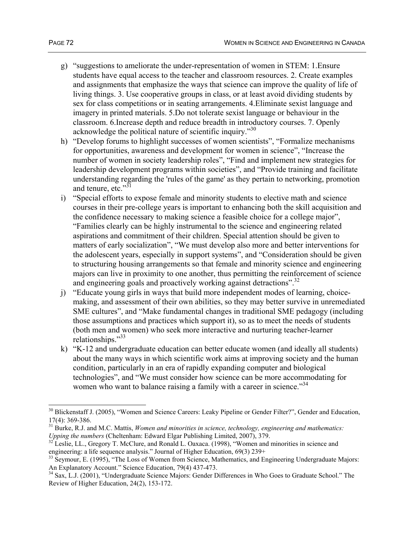- g) "suggestions to ameliorate the under-representation of women in STEM: 1.Ensure students have equal access to the teacher and classroom resources. 2. Create examples and assignments that emphasize the ways that science can improve the quality of life of living things. 3. Use cooperative groups in class, or at least avoid dividing students by sex for class competitions or in seating arrangements. 4.Eliminate sexist language and imagery in printed materials. 5.Do not tolerate sexist language or behaviour in the classroom. 6.Increase depth and reduce breadth in introductory courses. 7. Openly acknowledge the political nature of scientific inquiry.<sup>30</sup>
- h) "Develop forums to highlight successes of women scientists", "Formalize mechanisms for opportunities, awareness and development for women in science", "Increase the number of women in society leadership roles", "Find and implement new strategies for leadership development programs within societies", and "Provide training and facilitate understanding regarding the 'rules of the game' as they pertain to networking, promotion and tenure, etc."<sup>31</sup>
- i) "Special efforts to expose female and minority students to elective math and science courses in their pre-college years is important to enhancing both the skill acquisition and the confidence necessary to making science a feasible choice for a college major", "Families clearly can be highly instrumental to the science and engineering related aspirations and commitment of their children. Special attention should be given to matters of early socialization", "We must develop also more and better interventions for the adolescent years, especially in support systems", and "Consideration should be given to structuring housing arrangements so that female and minority science and engineering majors can live in proximity to one another, thus permitting the reinforcement of science and engineering goals and proactively working against detractions".<sup>32</sup>
- j) "Educate young girls in ways that build more independent modes of learning, choicemaking, and assessment of their own abilities, so they may better survive in unremediated SME cultures", and "Make fundamental changes in traditional SME pedagogy (including those assumptions and practices which support it), so as to meet the needs of students (both men and women) who seek more interactive and nurturing teacher-learner relationships."<sup>33</sup>
- k) "K-12 and undergraduate education can better educate women (and ideally all students) about the many ways in which scientific work aims at improving society and the human condition, particularly in an era of rapidly expanding computer and biological technologies", and "We must consider how science can be more accommodating for women who want to balance raising a family with a career in science.<sup>34</sup>

<sup>&</sup>lt;sup>30</sup> Blickenstaff J. (2005), "Women and Science Careers: Leaky Pipeline or Gender Filter?", Gender and Education, 17(4): 369-386.

<sup>31</sup> Burke, R.J. and M.C. Mattis, *Women and minorities in science, technology, engineering and mathematics:* 

*Upping the numbers* (Cheltenham: Edward Elgar Publishing Limited, 2007), 379.<br><sup>32</sup> Leslie, LL., Gregory T. McClure, and Ronald L. Oaxaca. (1998), "Women and minorities in science and engineering: a life sequence analysis.

 $^{33}$  Seymour, E. (1995), "The Loss of Women from Science, Mathematics, and Engineering Undergraduate Majors: An Explanatory Account." Science Education, 79(4) 437-473.

<sup>&</sup>lt;sup>34</sup> Sax, L.J. (2001), "Undergraduate Science Majors: Gender Differences in Who Goes to Graduate School." The Review of Higher Education, 24(2), 153-172.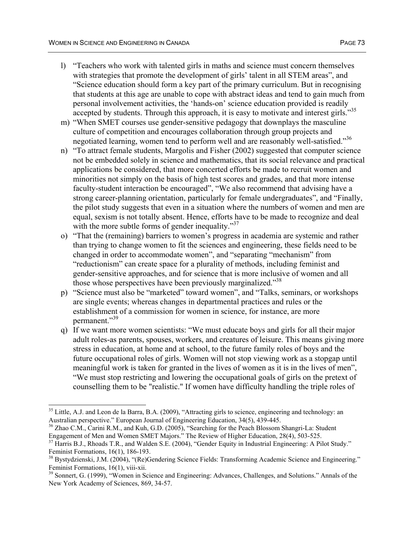- l) "Teachers who work with talented girls in maths and science must concern themselves with strategies that promote the development of girls' talent in all STEM areas", and "Science education should form a key part of the primary curriculum. But in recognising that students at this age are unable to cope with abstract ideas and tend to gain much from personal involvement activities, the 'hands-on' science education provided is readily accepted by students. Through this approach, it is easy to motivate and interest girls."<sup>35</sup>
- m) "When SMET courses use gender-sensitive pedagogy that downplays the masculine culture of competition and encourages collaboration through group projects and negotiated learning, women tend to perform well and are reasonably well-satisfied."<sup>36</sup>
- n) "To attract female students, Margolis and Fisher (2002) suggested that computer science not be embedded solely in science and mathematics, that its social relevance and practical applications be considered, that more concerted efforts be made to recruit women and minorities not simply on the basis of high test scores and grades, and that more intense faculty-student interaction be encouraged", "We also recommend that advising have a strong career-planning orientation, particularly for female undergraduates", and "Finally, the pilot study suggests that even in a situation where the numbers of women and men are equal, sexism is not totally absent. Hence, efforts have to be made to recognize and deal with the more subtle forms of gender inequality. $37$
- o) "That the (remaining) barriers to women's progress in academia are systemic and rather than trying to change women to fit the sciences and engineering, these fields need to be changed in order to accommodate women", and "separating "mechanism" from "reductionism" can create space for a plurality of methods, including feminist and gender-sensitive approaches, and for science that is more inclusive of women and all those whose perspectives have been previously marginalized."<sup>38</sup>
- p) "Science must also be "marketed" toward women", and "Talks, seminars, or workshops are single events; whereas changes in departmental practices and rules or the establishment of a commission for women in science, for instance, are more permanent."39
- q) If we want more women scientists: "We must educate boys and girls for all their major adult roles-as parents, spouses, workers, and creatures of leisure. This means giving more stress in education, at home and at school, to the future family roles of boys and the future occupational roles of girls. Women will not stop viewing work as a stopgap until meaningful work is taken for granted in the lives of women as it is in the lives of men", "We must stop restricting and lowering the occupational goals of girls on the pretext of counselling them to be "realistic." If women have difficulty handling the triple roles of

 $35$  Little, A.J. and Leon de la Barra, B.A. (2009), "Attracting girls to science, engineering and technology: an Australian perspective." European Journal of Engineering Education, 34(5), 439-445.

<sup>&</sup>lt;sup>36</sup> Zhao C.M., Carini R.M., and Kuh, G.D. (2005), "Searching for the Peach Blossom Shangri-La: Student Engagement of Men and Women SMET Majors." The Review of Higher Education, 28(4), 503-525.<br><sup>37</sup> Harris B.J., Rhoads T.R., and Walden S.E. (2004), "Gender Equity in Industrial Engineering: A Pilot Study."

Feminist Formations, 16(1), 186-193.

<sup>&</sup>lt;sup>38</sup> Bystydzienski, J.M. (2004), "(Re)Gendering Science Fields: Transforming Academic Science and Engineering." Feminist Formations, 16(1), viii-xii.

<sup>&</sup>lt;sup>39</sup> Sonnert, G. (1999), "Women in Science and Engineering: Advances, Challenges, and Solutions." Annals of the New York Academy of Sciences, 869, 34-57.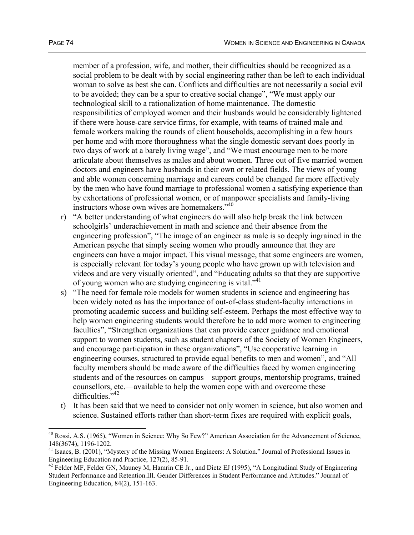member of a profession, wife, and mother, their difficulties should be recognized as a social problem to be dealt with by social engineering rather than be left to each individual woman to solve as best she can. Conflicts and difficulties are not necessarily a social evil to be avoided; they can be a spur to creative social change", "We must apply our technological skill to a rationalization of home maintenance. The domestic responsibilities of employed women and their husbands would be considerably lightened if there were house-care service firms, for example, with teams of trained male and female workers making the rounds of client households, accomplishing in a few hours per home and with more thoroughness what the single domestic servant does poorly in two days of work at a barely living wage", and "We must encourage men to be more articulate about themselves as males and about women. Three out of five married women doctors and engineers have husbands in their own or related fields. The views of young and able women concerning marriage and careers could be changed far more effectively by the men who have found marriage to professional women a satisfying experience than by exhortations of professional women, or of manpower specialists and family-living instructors whose own wives are homemakers."<sup>40</sup>

- r) "A better understanding of what engineers do will also help break the link between schoolgirls' underachievement in math and science and their absence from the engineering profession", "The image of an engineer as male is so deeply ingrained in the American psyche that simply seeing women who proudly announce that they are engineers can have a major impact. This visual message, that some engineers are women, is especially relevant for today's young people who have grown up with television and videos and are very visually oriented", and "Educating adults so that they are supportive of young women who are studying engineering is vital."<sup>41</sup>
- s) "The need for female role models for women students in science and engineering has been widely noted as has the importance of out-of-class student-faculty interactions in promoting academic success and building self-esteem. Perhaps the most effective way to help women engineering students would therefore be to add more women to engineering faculties", "Strengthen organizations that can provide career guidance and emotional support to women students, such as student chapters of the Society of Women Engineers, and encourage participation in these organizations", "Use cooperative learning in engineering courses, structured to provide equal benefits to men and women", and "All faculty members should be made aware of the difficulties faced by women engineering students and of the resources on campus—support groups, mentorship programs, trained counsellors, etc.—available to help the women cope with and overcome these difficulties. $1.42$
- t) It has been said that we need to consider not only women in science, but also women and science. Sustained efforts rather than short-term fixes are required with explicit goals,

<sup>&</sup>lt;sup>40</sup> Rossi, A.S. (1965), "Women in Science: Why So Few?" American Association for the Advancement of Science, 148(3674), 1196-1202.

<sup>&</sup>lt;sup>41</sup> Isaacs, B. (2001), "Mystery of the Missing Women Engineers: A Solution." Journal of Professional Issues in Engineering Education and Practice, 127(2), 85-91.

 $42$  Felder MF, Felder GN, Mauney M, Hamrin CE Jr., and Dietz EJ (1995), "A Longitudinal Study of Engineering Student Performance and Retention.III. Gender Differences in Student Performance and Attitudes." Journal of Engineering Education, 84(2), 151-163.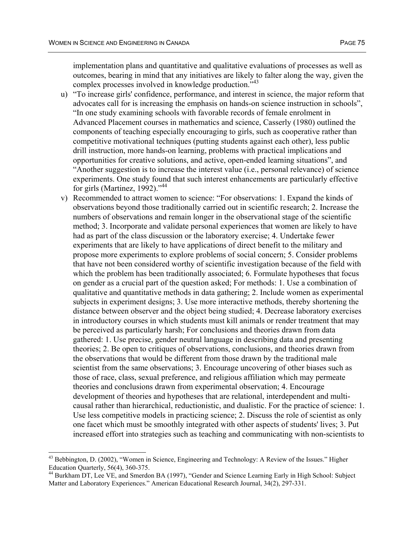implementation plans and quantitative and qualitative evaluations of processes as well as outcomes, bearing in mind that any initiatives are likely to falter along the way, given the complex processes involved in knowledge production.<sup>743</sup>

- u) "To increase girls' confidence, performance, and interest in science, the major reform that advocates call for is increasing the emphasis on hands-on science instruction in schools", "In one study examining schools with favorable records of female enrolment in Advanced Placement courses in mathematics and science, Casserly (1980) outlined the components of teaching especially encouraging to girls, such as cooperative rather than competitive motivational techniques (putting students against each other), less public drill instruction, more hands-on learning, problems with practical implications and opportunities for creative solutions, and active, open-ended learning situations", and "Another suggestion is to increase the interest value (i.e., personal relevance) of science experiments. One study found that such interest enhancements are particularly effective for girls (Martinez, 1992)."<sup>44</sup>
- v) Recommended to attract women to science: "For observations: 1. Expand the kinds of observations beyond those traditionally carried out in scientific research; 2. Increase the numbers of observations and remain longer in the observational stage of the scientific method; 3. Incorporate and validate personal experiences that women are likely to have had as part of the class discussion or the laboratory exercise; 4. Undertake fewer experiments that are likely to have applications of direct benefit to the military and propose more experiments to explore problems of social concern; 5. Consider problems that have not been considered worthy of scientific investigation because of the field with which the problem has been traditionally associated; 6. Formulate hypotheses that focus on gender as a crucial part of the question asked; For methods: 1. Use a combination of qualitative and quantitative methods in data gathering; 2. Include women as experimental subjects in experiment designs; 3. Use more interactive methods, thereby shortening the distance between observer and the object being studied; 4. Decrease laboratory exercises in introductory courses in which students must kill animals or render treatment that may be perceived as particularly harsh; For conclusions and theories drawn from data gathered: 1. Use precise, gender neutral language in describing data and presenting theories; 2. Be open to critiques of observations, conclusions, and theories drawn from the observations that would be different from those drawn by the traditional male scientist from the same observations; 3. Encourage uncovering of other biases such as those of race, class, sexual preference, and religious affiliation which may permeate theories and conclusions drawn from experimental observation; 4. Encourage development of theories and hypotheses that are relational, interdependent and multicausal rather than hierarchical, reductionistic, and dualistic. For the practice of science: 1. Use less competitive models in practicing science; 2. Discuss the role of scientist as only one facet which must be smoothly integrated with other aspects of students' lives; 3. Put increased effort into strategies such as teaching and communicating with non-scientists to

<sup>&</sup>lt;sup>43</sup> Bebbington, D. (2002), "Women in Science, Engineering and Technology: A Review of the Issues." Higher Education Quarterly,  $56(4)$ ,  $360-375$ .

<sup>44</sup> Burkham DT, Lee VE, and Smerdon BA (1997), "Gender and Science Learning Early in High School: Subject Matter and Laboratory Experiences." American Educational Research Journal, 34(2), 297-331.